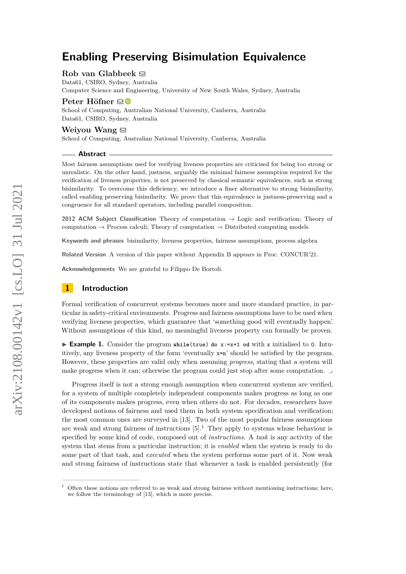### **Rob van Glabbeek** [!](mailto:rvg@cs.stanford.edu)

Data61, CSIRO, Sydney, Australia Computer Science and Engineering, University of New South Wales, Sydney, Australia

# **Peter Höfner** ⊠ <sup>■</sup>

School of Computing, Australian National University, Canberra, Australia Data61, CSIRO, Sydney, Australia

### **Weiyou Wang** [!](mailto:weiyou.wang@anu.edu.au)

School of Computing, Australian National University, Canberra, Australia

#### **Abstract**

Most fairness assumptions used for verifying liveness properties are criticised for being too strong or unrealistic. On the other hand, justness, arguably the minimal fairness assumption required for the verification of liveness properties, is not preserved by classical semantic equivalences, such as strong bisimilarity. To overcome this deficiency, we introduce a finer alternative to strong bisimilarity, called enabling preserving bisimilarity. We prove that this equivalence is justness-preserving and a congruence for all standard operators, including parallel composition.

**2012 ACM Subject Classification** Theory of computation → Logic and verification; Theory of computation  $\rightarrow$  Process calculi; Theory of computation  $\rightarrow$  Distributed computing models

**Keywords and phrases** bisimilarity, liveness properties, fairness assumptions, process algebra

**Related Version** A version of this paper without Appendix [B](#page-20-0) appears in Proc. CONCUR'21.

**Acknowledgements** We are grateful to Filippo De Bortoli.

# **1 Introduction**

Formal verification of concurrent systems becomes more and more standard practice, in particular in safety-critical environments. Progress and fairness assumptions have to be used when verifying liveness properties, which guarantee that 'something good will eventually happen'. Without assumptions of this kind, no meaningful liveness property can formally be proven.

▶ **Example 1.** Consider the program while(true) do x:=x+1 od with x initialised to 0. Intuitively, any liveness property of the form 'eventually x=n' should be satisfied by the program. However, these properties are valid only when assuming *progress*, stating that a system will make progress when it can; otherwise the program could just stop after some computation. ⌟

Progress itself is not a strong enough assumption when concurrent systems are verified, for a system of multiple completely independent components makes progress as long as one of its components makes progress, even when others do not. For decades, researchers have developed notions of fairness and used them in both system specification and verification; the most common ones are surveyed in [\[13\]](#page-15-0). Two of the most popular fairness assumptions are weak and strong fairness of instructions  $[5]$ .<sup>[1](#page-0-0)</sup> They apply to systems whose behaviour is specified by some kind of code, composed out of *instructions*. A *task* is any activity of the system that stems from a particular instruction; it is *enabled* when the system is ready to do some part of that task, and *executed* when the system performs some part of it. Now weak and strong fairness of instructions state that whenever a task is enabled persistently (for

<span id="page-0-0"></span><sup>1</sup> Often these notions are referred to as weak and strong fairness without mentioning instructions; here, we follow the terminology of [\[13\]](#page-15-0), which is more precise.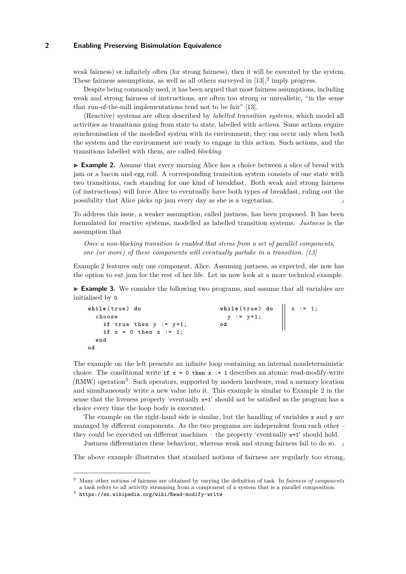weak fairness) or infinitely often (for strong fairness), then it will be executed by the system. These fairness assumptions, as well as all others surveyed in  $[13],^2$  $[13],^2$  $[13],^2$  imply progress.

Despite being commonly used, it has been argued that most fairness assumptions, including weak and strong fairness of instructions, are often too strong or unrealistic, "in the sense that run-of-the-mill implementations tend not to be fair" [\[13\]](#page-15-0).

(Reactive) systems are often described by *labelled transition systems*, which model all activities as transitions going from state to state, labelled with *actions*. Some actions require synchronisation of the modelled system with its environment; they can occur only when both the system and the environment are ready to engage in this action. Such actions, and the transitions labelled with them, are called *blocking*.

<span id="page-1-1"></span>▶ **Example 2.** Assume that every morning Alice has a choice between a slice of bread with jam or a bacon and egg roll. A corresponding transition system consists of one state with two transitions, each standing for one kind of breakfast. Both weak and strong fairness (of instructions) will force Alice to eventually have both types of breakfast, ruling out the possibility that Alice picks up jam every day as she is a vegetarian.

To address this issue, a weaker assumption, called justness, has been proposed. It has been formulated for reactive systems, modelled as labelled transition systems. *Justness* is the assumption that

*Once a non-blocking transition is enabled that stems from a set of parallel components, one (or more) of these components will eventually partake in a transition.* [\[13\]](#page-15-0)

Example [2](#page-1-1) features only one component, Alice. Assuming justness, as expected, she now has the option to eat jam for the rest of her life. Let us now look at a more technical example.

<span id="page-1-3"></span>▶ **Example 3.** We consider the following two programs, and assume that all variables are initialised by 0.

```
while ( true ) do
  choose
    if true then y := y+1;
    if x = 0 then x := 1;
  end
od
                                      while ( true ) do
                                      y := y +1;
od ∥
                                                           x : = 1;
```
The example on the left presents an infinite loop containing an internal nondeterministic choice. The conditional write **if** x = 0 then x := 1 describes an atomic read-modify-write (RMW) operation<sup>[3](#page-1-2)</sup>. Such operators, supported by modern hardware, read a memory location and simultaneously write a new value into it. This example is similar to Example [2](#page-1-1) in the sense that the liveness property 'eventually  $x=1$ ' should not be satisfied as the program has a choice every time the loop body is executed.

The example on the right-hand side is similar, but the handling of variables  $x$  and  $y$  are managed by different components. As the two programs are independent from each other – they could be executed on different machines – the property 'eventually  $x=1$ ' should hold.

Justness differentiates these behaviour, whereas weak and strong fairness fail to do so. ⌟

The above example illustrates that standard notions of fairness are regularly too strong,

<span id="page-1-0"></span><sup>2</sup> Many other notions of fairness are obtained by varying the definition of task. In *fairness of components* a task refers to all activity stemming from a component of a system that is a parallel composition.

<span id="page-1-2"></span> $^3$  <https://en.wikipedia.org/wiki/Read-modify-write>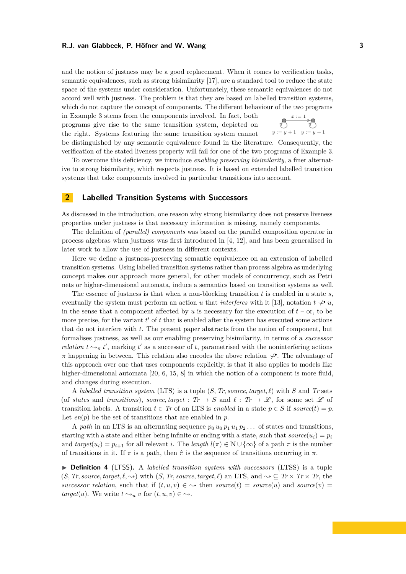and the notion of justness may be a good replacement. When it comes to verification tasks, semantic equivalences, such as strong bisimilarity [\[17\]](#page-15-1), are a standard tool to reduce the state space of the systems under consideration. Unfortunately, these semantic equivalences do not accord well with justness. The problem is that they are based on labelled transition systems, which do not capture the concept of components. The different behaviour of the two programs

in Example [3](#page-1-3) stems from the components involved. In fact, both programs give rise to the same transition system, depicted on the right. Systems featuring the same transition system cannot



be distinguished by any semantic equivalence found in the literature. Consequently, the verification of the stated liveness property will fail for one of the two programs of Example [3.](#page-1-3)

To overcome this deficiency, we introduce *enabling preserving bisimilarity*, a finer alternative to strong bisimilarity, which respects justness. It is based on extended labelled transition systems that take components involved in particular transitions into account.

# <span id="page-2-0"></span>**2 Labelled Transition Systems with Successors**

As discussed in the introduction, one reason why strong bisimilarity does not preserve liveness properties under justness is that necessary information is missing, namely components.

The definition of *(parallel) components* was based on the parallel composition operator in process algebras when justness was first introduced in [\[4,](#page-14-1) [12\]](#page-15-2), and has been generalised in later work to allow the use of justness in different contexts.

Here we define a justness-preserving semantic equivalence on an extension of labelled transition systems. Using labelled transition systems rather than process algebra as underlying concept makes our approach more general, for other models of concurrency, such as Petri nets or higher-dimensional automata, induce a semantics based on transition systems as well.

The essence of justness is that when a non-blocking transition *t* is enabled in a state *s*, eventually the system must perform an action *u* that *interferes* with it [\[13\]](#page-15-0), notation  $t \searrow u$ , in the sense that a component affected by  $u$  is necessary for the execution of  $t$  – or, to be more precise, for the variant  $t'$  of  $t$  that is enabled after the system has executed some actions that do not interfere with *t*. The present paper abstracts from the notion of component, but formalises justness, as well as our enabling preserving bisimilarity, in terms of a *successor relation*  $t \rightarrow_\pi t'$ , marking  $t'$  as a successor of t, parametrised with the noninterfering actions  $\pi$  happening in between. This relation also encodes the above relation  $\varphi$ . The advantage of this approach over one that uses components explicitly, is that it also applies to models like higher-dimensional automata [\[20,](#page-15-3) [6,](#page-14-2) [15,](#page-15-4) [8\]](#page-14-3) in which the notion of a component is more fluid, and changes during execution.

A *labelled transition system* (LTS) is a tuple (*S, Tr, source, target, ℓ*) with *S* and *Tr* sets (of *states* and *transitions*), *source*, *target* :  $Tr \rightarrow S$  and  $\ell : Tr \rightarrow \mathcal{L}$ , for some set  $\mathcal{L}$  of transition labels. A transition  $t \in Tr$  of an LTS is *enabled* in a state  $p \in S$  if *source*(*t*) = *p*. Let  $en(p)$  be the set of transitions that are enabled in  $p$ .

A *path* in an LTS is an alternating sequence  $p_0 u_0 p_1 u_1 p_2 \ldots$  of states and transitions, starting with a state and either being infinite or ending with a state, such that  $source(u_i) = p_i$ and  $target(u_i) = p_{i+1}$  for all relevant *i*. The *length*  $l(\pi) \in \mathbb{N} \cup \{\infty\}$  of a path  $\pi$  is the number of transitions in it. If  $\pi$  is a path, then  $\hat{\pi}$  is the sequence of transitions occurring in  $\pi$ .

▶ **Definition 4** (LTSS)**.** A *labelled transition system with successors* (LTSS) is a tuple  $(S, Tr, source, target, \ell, \rightarrow)$  with  $(S, Tr, source, target, \ell)$  an LTS, and  $\sim \mathbb{C}$   $Tr \times Tr \times Tr$ , the *successor relation*, such that if  $(t, u, v) \in \infty$  then *source* $(t) = source(u)$  and *source* $(v) =$ *target*(*u*). We write  $t \sim_u v$  for  $(t, u, v) \in \sim_u$ .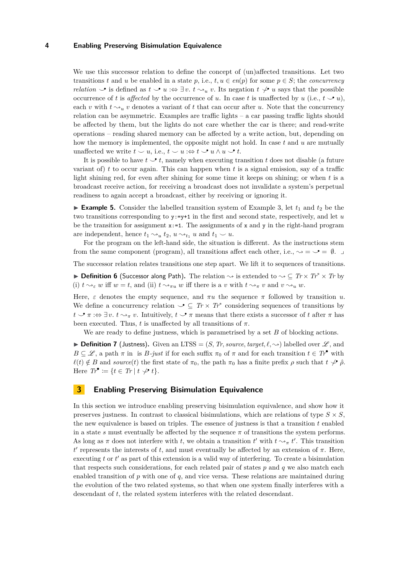We use this successor relation to define the concept of (un)affected transitions. Let two transitions *t* and *u* be enabled in a state *p*, i.e.,  $t, u \in en(p)$  for some  $p \in S$ ; the *concurrency relation*  $\triangleright$  is defined as  $t \triangleright u$  : $\Leftrightarrow \exists v. t \rightsquigarrow_u v$ . Its negation  $t \not\triangleright u$  says that the possible occurrence of *t* is *affected* by the occurrence of *u*. In case *t* is unaffected by *u* (i.e.,  $t \rightarrow u$ ), each *v* with  $t \sim u$  *v* denotes a variant of *t* that can occur after *u*. Note that the concurrency relation can be asymmetric. Examples are traffic lights – a car passing traffic lights should be affected by them, but the lights do not care whether the car is there; and read-write operations – reading shared memory can be affected by a write action, but, depending on how the memory is implemented, the opposite might not hold. In case *t* and *u* are mutually unaffected we write  $t \smile u$ , i.e.,  $t \smile u \Rightarrow t \smile u \wedge u \smile t$ .

It is possible to have  $t \rightarrow t$ , namely when executing transition  $t$  does not disable (a future variant of) *t* to occur again. This can happen when *t* is a signal emission, say of a traffic light shining red, for even after shining for some time it keeps on shining; or when *t* is a broadcast receive action, for receiving a broadcast does not invalidate a system's perpetual readiness to again accept a broadcast, either by receiving or ignoring it.

**Example 5.** Consider the labelled transition system of Example [3,](#page-1-3) let  $t_1$  and  $t_2$  be the two transitions corresponding to y:=y+1 in the first and second state, respectively, and let *u* be the transition for assignment  $x:=1$ . The assignments of x and y in the right-hand program are independent, hence  $t_1 \sim_u t_2$ ,  $u \sim_{t_1} u$  and  $t_1 \sim u$ .

For the program on the left-hand side, the situation is different. As the instructions stem from the same component (program), all transitions affect each other, i.e.,  $\rightarrow = \mathcal{I} = \emptyset$ .

The successor relation relates transitions one step apart. We lift it to sequences of transitions.

<span id="page-3-1"></span>**▶ Definition 6** (Successor along Path). The relation  $\sim$  is extended to  $\sim$  ⊂ *Tr* × *Tr*<sup>\*</sup> × *Tr* by (i)  $t \rightarrow_{\varepsilon} w$  iff  $w = t$ , and (ii)  $t \rightarrow_{\pi} w$  iff there is a *v* with  $t \rightarrow_{\pi} v$  and  $v \rightarrow_{u} w$ .

Here,  $\varepsilon$  denotes the empty sequence, and  $\pi u$  the sequence  $\pi$  followed by transition  $u$ . We define a concurrency relation  $\mathcal{I} \subseteq Tr \times Tr^*$  considering sequences of transitions by  $t \to \pi : \Rightarrow \exists v. t \leadsto_{\pi} v$ . Intuitively,  $t \to \pi$  means that there exists a successor of *t* after  $\pi$  has been executed. Thus, *t* is unaffected by all transitions of  $\pi$ .

We are ready to define justness, which is parametrised by a set *B* of blocking actions.

**• Definition 7** (Justness). Given an LTSS =  $(S, Tr, source, target, l, \rightarrow)$  labelled over  $\mathscr{L}$ , and  $B \subseteq \mathscr{L}$ , a path  $\pi$  in is *B-just* if for each suffix  $\pi_0$  of  $\pi$  and for each transition  $t \in T_r^{\bullet}$  with  $\ell(t) \notin B$  and *source*(*t*) the first state of  $\pi_0$ , the path  $\pi_0$  has a finite prefix  $\rho$  such that  $t \not\downarrow \hat{\rho}$ . Here  $Tr^{\bullet} := \{ t \in Tr \mid t \not\smile t \}.$ 

### **3 Enabling Preserving Bisimulation Equivalence**

<span id="page-3-0"></span>In this section we introduce enabling preserving bisimulation equivalence, and show how it preserves justness. In contrast to classical bisimulations, which are relations of type  $S \times S$ , the new equivalence is based on triples. The essence of justness is that a transition  $t$  enabled in a state *s* must eventually be affected by the sequence  $\pi$  of transitions the system performs. As long as  $\pi$  does not interfere with *t*, we obtain a transition *t'* with  $t \sim_\pi t'$ . This transition *t*<sup>*t*</sup> represents the interests of *t*, and must eventually be affected by an extension of *π*. Here, executing t or t' as part of this extension is a valid way of interfering. To create a bisimulation that respects such considerations, for each related pair of states *p* and *q* we also match each enabled transition of  $p$  with one of  $q$ , and vice versa. These relations are maintained during the evolution of the two related systems, so that when one system finally interferes with a descendant of *t*, the related system interferes with the related descendant.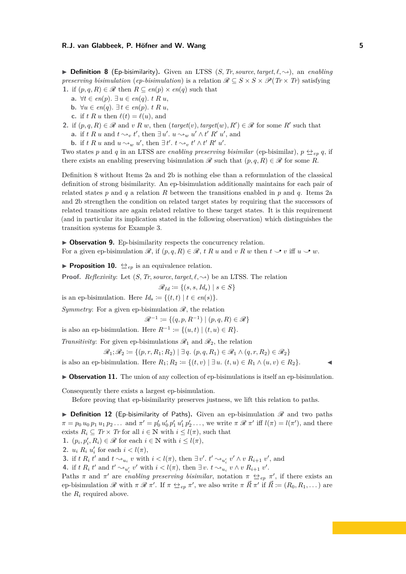$\triangleright$  **Definition 8** (Ep-bisimilarity). Given an LTSS (*S, Tr, source, target,*  $\ell$ *,*  $\rightsquigarrow$ ), an *enabling preserving bisimulation* (*ep-bisimulation*) is a relation  $\mathcal{R} \subseteq S \times S \times \mathcal{P}(Tr \times Tr)$  satisfying **1.** if  $(p, q, R) \in \mathcal{R}$  then  $R \subseteq en(p) \times en(q)$  such that

- **a.** ∀*t* ∈ *en*(*p*)*.* ∃ *u* ∈ *en*(*q*)*. t R u*,
- **b.** ∀*u* ∈ *en*(*q*). ∃*t* ∈ *en*(*p*). *t R u*,
- **c.** if *t R u* then  $\ell(t) = \ell(u)$ , and
- <span id="page-4-0"></span>**2.** if  $(p, q, R) \in \mathcal{R}$  and *v R w*, then  $(target(v), target(w), R') \in \mathcal{R}$  for some *R'* such that
	- **a.** if *t R u* and  $t \sim v$ , *t'*, then  $\exists u'$ .  $u \sim w$  *u'*  $\wedge t'$  *R' u'*, and
	- **b.** if  $t R u$  and  $u \sim_w u'$ , then  $\exists t'$ .  $t \sim_v t' \wedge t' R' u'$ .

<span id="page-4-1"></span>Two states p and q in an LTSS are *enabling preserving bisimilar* (ep-bisimilar),  $p \leftrightarroweq_{ep} q$ , if there exists an enabling preserving bisimulation  $\mathscr R$  such that  $(p, q, R) \in \mathscr R$  for some R.

Definition [8](#page-3-0) without Items [2a](#page-4-0) and [2b](#page-4-1) is nothing else than a reformulation of the classical definition of strong bisimilarity. An ep-bisimulation additionally maintains for each pair of related states *p* and *q* a relation *R* between the transitions enabled in *p* and *q*. Items [2a](#page-4-0) and [2b](#page-4-1) strengthen the condition on related target states by requiring that the successors of related transitions are again related relative to these target states. It is this requirement (and in particular its implication stated in the following observation) which distinguishes the transition systems for Example [3.](#page-1-3)

<span id="page-4-2"></span>▶ Observation 9. Ep-bisimilarity respects the concurrency relation. For a given ep-bisimulation  $\mathcal{R}$ , if  $(p, q, R) \in \mathcal{R}$ ,  $t \, R \, u$  and  $v \, R \, w$  then  $t \sim v$  iff  $u \sim w$ .

**• Proposition 10.**  $\leftrightarrow$ <sub>*ep*</sub> is an equivalence relation.

**Proof.** *Reflexivity:* Let  $(S, Tr, source, target, l, \rightarrow)$  be an LTSS. The relation

$$
\mathscr{R}_{Id} \coloneqq \{ (s, s, Id_s) \mid s \in S \}
$$

is an ep-bisimulation. Here  $Id_s := \{(t, t) | t \in en(s)\}.$ 

*Symmetry:* For a given ep-bisimulation  $\mathcal{R}$ , the relation

$$
\mathcal{R}^{-1} \coloneqq \{(q, p, R^{-1}) \mid (p, q, R) \in \mathcal{R}\}
$$

is also an ep-bisimulation. Here  $R^{-1} := \{(u, t) | (t, u) \in R\}.$ 

*Transitivity*: For given ep-bisimulations  $\mathcal{R}_1$  and  $\mathcal{R}_2$ , the relation

$$
\mathscr{R}_1; \mathscr{R}_2 \coloneqq \{ (p, r, R_1; R_2) \mid \exists q. (p, q, R_1) \in \mathscr{R}_1 \land (q, r, R_2) \in \mathscr{R}_2 \}
$$

is also an ep-bisimulation. Here  $R_1$ ;  $R_2 := \{(t, v) | \exists u. (t, u) \in R_1 \land (u, v) \in R_2\}.$ 

▶ **Observation 11.** The union of any collection of ep-bisimulations is itself an ep-bisimulation.

Consequently there exists a largest ep-bisimulation.

Before proving that ep-bisimilarity preserves justness, we lift this relation to paths.

<span id="page-4-3"></span> $\triangleright$  **Definition 12** (Ep-bisimilarity of Paths). Given an ep-bisimulation  $\mathcal{R}$  and two paths  $\pi = p_0 u_0 p_1 u_1 p_2 \ldots$  and  $\pi' = p'_0 u'_0 p'_1 u'_1 p'_2 \ldots$ , we write  $\pi \mathcal{R} \pi'$  iff  $l(\pi) = l(\pi')$ , and there exists  $R_i \subseteq Tr \times Tr$  for all  $i \in \mathbb{N}$  with  $i \leq l(\pi)$ , such that

**1.**  $(p_i, p'_i, R_i) \in \mathcal{R}$  for each  $i \in \mathbb{N}$  with  $i \leq l(\pi)$ ,

**2.** *u<sub>i</sub>*  $R_i$  *u'*<sub>i</sub> for each  $i < l(\pi)$ ,

**3.** if  $t R_i t'$  and  $t \sim_{u_i} v$  with  $i < l(\pi)$ , then  $\exists v'$ .  $t' \sim_{u'_i} v' \wedge v R_{i+1} v'$ , and

**4.** if  $t R_i t'$  and  $t' \sim_{u'_i} v'$  with  $i < l(\pi)$ , then  $\exists v. t \sim_{u_i} v \wedge v R_{i+1} v'$ .

Paths  $\pi$  and  $\pi'$  are *enabling preserving bisimilar*, notation  $\pi \leftrightarrow_{ep} \pi'$ , if there exists an ep-bisimulation  $\mathscr R$  with  $\pi \mathscr R \pi'$ . If  $\pi \Leftrightarrow_{e_p} \pi'$ , we also write  $\pi \vec R \pi'$  if  $\vec R := (R_0, R_1, \dots)$  are the  $R_i$  required above.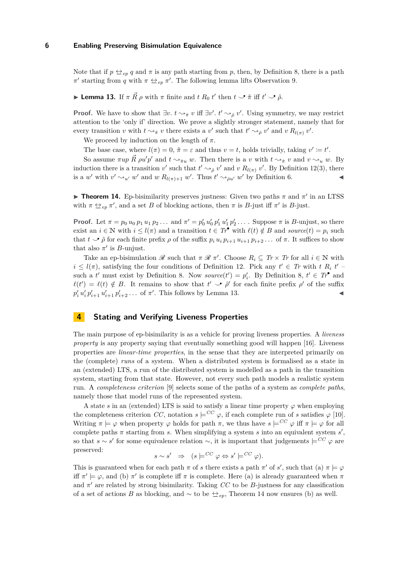Note that if  $p \leftrightarrow e_p q$  and  $\pi$  is any path starting from p, then, by Definition [8,](#page-3-0) there is a path  $π'$  starting from *q* with  $π$   $\leftrightarrow$ <sub>ep</sub>  $π'$ . The following lemma lifts Observation [9.](#page-4-2)

<span id="page-5-0"></span> $\blacktriangleright$  **Lemma 13.** If  $\pi \vec{R} \rho$  with  $\pi$  finite and  $t R_0 t'$  then  $t \sim \hat{\pi}$  iff  $t' \sim \hat{\rho}$ .

**Proof.** We have to show that  $\exists v. t \rightarrow_{\hat{\pi}} v$  iff  $\exists v'. t' \rightarrow_{\hat{\rho}} v'$ . Using symmetry, we may restrict attention to the 'only if' direction. We prove a slightly stronger statement, namely that for every transition *v* with  $t \rightsquigarrow_{\hat{\pi}} v$  there exists a *v*' such that  $t' \rightsquigarrow_{\hat{\rho}} v'$  and *v*  $R_{l(\pi)} v'$ .

We proceed by induction on the length of  $\pi$ .

The base case, where  $l(\pi) = 0$ ,  $\hat{\pi} = \varepsilon$  and thus  $v = t$ , holds trivially, taking  $v' \coloneqq t'$ .

So assume  $\pi up \vec{R}$   $\rho u'p'$  and  $t \rightarrow_{\hat{\pi}u} w$ . Then there is a *v* with  $t \rightarrow_{\hat{\pi}} v$  and  $v \rightarrow_{u} w$ . By induction there is a transition *v*' such that  $t' \sim_{\hat{\rho}} v'$  and *v*  $R_{l(\pi)} v'$ . By Definition [12\(](#page-4-3)3), there is a *w*' with  $v' \sim_{u'} w'$  and *w*  $R_{l(\pi)+1} w'$ . Thus  $t' \sim_{\hat{\rho}u'} w'$  by Definition [6.](#page-3-1)

<span id="page-5-1"></span>**Theorem 14.** Ep-bisimilarity preserves justness: Given two paths  $\pi$  and  $\pi'$  in an LTSS with  $\pi \leftrightarrow e_p \pi'$ , and a set *B* of blocking actions, then  $\pi$  is *B*-just iff  $\pi'$  is *B*-just.

**Proof.** Let  $\pi = p_0 u_0 p_1 u_1 p_2 ...$  and  $\pi' = p'_0 u'_0 p'_1 u'_1 p'_2 ...$  Suppose  $\pi$  is *B*-unjust, so there exist an  $i \in \mathbb{N}$  with  $i \leq l(\pi)$  and a transition  $t \in Tr^{\bullet}$  with  $\ell(t) \notin B$  and source $(t) = p_i$  such that  $t \to \hat{\rho}$  for each finite prefix  $\rho$  of the suffix  $p_i u_i p_{i+1} u_{i+1} p_{i+2} \ldots$  of  $\pi$ . It suffices to show that also  $\pi'$  is *B*-unjust.

Take an ep-bisimulation  $\mathscr R$  such that  $\pi \mathscr R \pi'$ . Choose  $R_i \subseteq Tr \times Tr$  for all  $i \in \mathbb N$  with  $i \leq l(\pi)$ , satisfying the four conditions of Definition [12.](#page-4-3) Pick any  $t' \in Tr$  with  $t R_i t'$ such a *t'* must exist by Definition [8.](#page-3-0) Now *source*(*t'*) =  $p'_i$ . By Definition [8,](#page-3-0)  $t' \in Tr^{\bullet}$  and  $\ell(t') = \ell(t) \notin B$ . It remains to show that  $t' \rightarrow \hat{\rho}'$  for each finite prefix  $\rho'$  of the suffix  $p'_i u'_i p'_{i+1} u'_{i+1} p'_{i+2} \ldots$  of  $\pi'$ . This follows by Lemma [13.](#page-5-0)

# **4 Stating and Verifying Liveness Properties**

The main purpose of ep-bisimilarity is as a vehicle for proving liveness properties. A *liveness property* is any property saying that eventually something good will happen [\[16\]](#page-15-5). Liveness properties are *linear-time properties*, in the sense that they are interpreted primarily on the (complete) *runs* of a system. When a distributed system is formalised as a state in an (extended) LTS, a run of the distributed system is modelled as a path in the transition system, starting from that state. However, not every such path models a realistic system run. A *completeness criterion* [\[9\]](#page-15-6) selects some of the paths of a system as *complete paths*, namely those that model runs of the represented system.

A state *s* in an (extended) LTS is said to satisfy a linear time property  $\varphi$  when employing the completeness criterion *CC*, notation  $s \models^{CC} \varphi$ , if each complete run of *s* satisfies  $\varphi$  [\[10\]](#page-15-7). Writing  $\pi \models \varphi$  when property  $\varphi$  holds for path  $\pi$ , we thus have  $s \models^{CC} \varphi$  iff  $\pi \models \varphi$  for all complete paths  $\pi$  starting from *s*. When simplifying a system *s* into an equivalent system  $s'$ , so that  $s \sim s'$  for some equivalence relation  $\sim$ , it is important that judgements  $\models^{CC} \varphi$  are preserved:

$$
s \sim s' \quad \Rightarrow \quad (s \models^{CC} \varphi \Leftrightarrow s' \models^{CC} \varphi).
$$

This is guaranteed when for each path  $\pi$  of *s* there exists a path  $\pi'$  of *s'*, such that (a)  $\pi \models \varphi$ iff  $\pi' \models \varphi$ , and (b)  $\pi'$  is complete iff  $\pi$  is complete. Here (a) is already guaranteed when  $\pi$ and *π* ′ are related by strong bisimilarity. Taking *CC* to be *B*-justness for any classification of a set of actions *B* as blocking, and ∼ to be  $\triangleq_{ep}$ , Theorem [14](#page-5-1) now ensures (b) as well.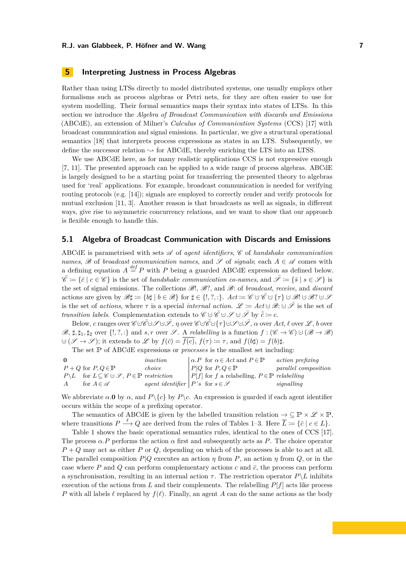# **5 Interpreting Justness in Process Algebras**

Rather than using LTSs directly to model distributed systems, one usually employs other formalisms such as process algebras or Petri nets, for they are often easier to use for system modelling. Their formal semantics maps their syntax into states of LTSs. In this section we introduce the *Algebra of Broadcast Communication with discards and Emissions* (ABCdE), an extension of Milner's *Calculus of Communication Systems* (CCS) [\[17\]](#page-15-1) with broadcast communication and signal emissions. In particular, we give a structural operational semantics [\[18\]](#page-15-8) that interprets process expressions as states in an LTS. Subsequently, we define the successor relation  $\sim$  for ABCdE, thereby enriching the LTS into an LTSS.

We use ABCdE here, as for many realistic applications CCS is not expressive enough [\[7,](#page-14-4) [11\]](#page-15-9). The presented approach can be applied to a wide range of process algebras. ABCdE is largely designed to be a starting point for transferring the presented theory to algebras used for 'real' applications. For example, broadcast communication is needed for verifying routing protocols (e.g. [\[14\]](#page-15-10)); signals are employed to correctly render and verify protocols for mutual exclusion [\[11,](#page-15-9) [3\]](#page-14-5). Another reason is that broadcasts as well as signals, in different ways, give rise to asymmetric concurrency relations, and we want to show that our approach is flexible enough to handle this.

# <span id="page-6-0"></span>**5.1 Algebra of Broadcast Communication with Discards and Emissions**

ABCdE is parametrised with sets  $\mathscr A$  of *agent identifiers*,  $\mathscr C$  of *handshake communication names*,  $\mathscr B$  of *broadcast communication names*, and  $\mathscr S$  of *signals*; each  $A \in \mathscr A$  comes with a defining equation  $A \stackrel{def}{=} P$  with *P* being a guarded ABCdE expression as defined below.  $\overline{\mathscr{C}} := {\overline{c} \mid c \in \mathscr{C}}$  is the set of *handshake communication co-names*, and  $\overline{\mathscr{S}} := {\overline{s} \mid s \in \mathscr{S}}$  is the set of signal emissions. The collections B!, B?, and B: of *broadcast*, *receive*, and *discard* actions are given by  $\mathscr{B} \sharp := \{b\sharp \mid b \in \mathscr{B}\}\$  for  $\sharp \in \{!,\,\}:$ .  $Act := \mathscr{C} \cup \mathscr{C} \cup \{\tau\} \cup \mathscr{B}! \cup \mathscr{B} \cup \mathscr{S}$ is the set of *actions*, where  $\tau$  is a special *internal action.*  $\mathscr{L} := Act \cup \mathscr{F}$  is the set of *transition labels.* Complementation extends to  $\mathscr{C} \cup \overline{\mathscr{C}} \cup \mathscr{S} \cup \overline{\mathscr{S}}$  by  $\overline{\overline{c}} = c$ .

Below, *c* ranges over C ∪· C¯∪· S ∪· S¯, *η* over C ∪· C¯∪{· *τ*}∪· S ∪· S¯, *α* over *Act*, *ℓ* over L , *b* over  $\mathscr{B}, \sharp, \sharp_1, \sharp_2$  over  $\{!, ?, :\}$  and  $s, r$  over  $\mathscr{S}$ . A *relabelling* is a function  $f : (\mathscr{C} \to \mathscr{C}) \cup (\mathscr{B} \to \mathscr{B})$  $∪$  ( $\mathscr{S} \rightarrow \mathscr{S}$ ); it extends to  $\mathscr{L}$  by  $f(\bar{c}) = \overline{f(c)}$ ,  $f(\tau) := \tau$ , and  $f(b\sharp) = f(b)\sharp$ .

The set P of ABCdE expressions or *processes* is the smallest set including:

| $\Omega$       |                                                                                                  | inaction                                              |  | $\alpha.P$ for $\alpha \in Act$ and $P \in \mathbb{P}$      | <i>action prefixing</i>     |
|----------------|--------------------------------------------------------------------------------------------------|-------------------------------------------------------|--|-------------------------------------------------------------|-----------------------------|
|                | $P + Q$ for $P, Q \in \mathbb{P}$                                                                | choice                                                |  | $P Q \text{ for } P,Q \in \mathbb{P}$                       | <i>parallel composition</i> |
|                | $P \backslash L$ for $L \subseteq \mathscr{C} \cup \mathscr{S}$ , $P \in \mathbb{P}$ restriction |                                                       |  | $ P[f]$ for f a relabelling, $P \in \mathbb{P}$ relabelling |                             |
| $\overline{A}$ | for $A \in \mathscr{A}$                                                                          | <i>agent identifier</i> $P^s$ for $s \in \mathcal{S}$ |  |                                                             | signalling                  |

We abbreviate  $\alpha$ .**0** by  $\alpha$ , and  $P\{c\}$  by  $P\{c\}$ . An expression is guarded if each agent identifier occurs within the scope of a prefixing operator.

The semantics of ABCdE is given by the labelled transition relation  $\rightarrow \subseteq \mathbb{P} \times \mathscr{L} \times \mathbb{P}$ , where transitions  $P \stackrel{\ell}{\longrightarrow} Q$  are derived from the rules of Tables [1–](#page-7-0)[3.](#page-8-0) Here  $\overline{L} := \{ \overline{c} \mid c \in L \}.$ 

Table [1](#page-7-0) shows the basic operational semantics rules, identical to the ones of CCS [\[17\]](#page-15-1). The process  $\alpha.P$  performs the action  $\alpha$  first and subsequently acts as P. The choice operator *P* + *Q* may act as either *P* or *Q*, depending on which of the processes is able to act at all. The parallel composition *P*|*Q* executes an action *η* from *P*, an action *η* from *Q*, or in the case where  $P$  and  $Q$  can perform complementary actions  $c$  and  $\bar{c}$ , the process can perform a synchronisation, resulting in an internal action  $\tau$ . The restriction operator  $P\backslash L$  inhibits execution of the actions from *L* and their complements. The relabelling  $P[f]$  acts like process *P* with all labels  $\ell$  replaced by  $f(\ell)$ . Finally, an agent *A* can do the same actions as the body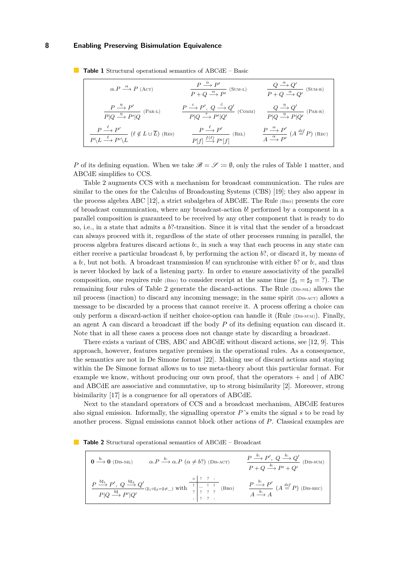<span id="page-7-14"></span><span id="page-7-11"></span><span id="page-7-10"></span><span id="page-7-9"></span><span id="page-7-8"></span><span id="page-7-7"></span><span id="page-7-6"></span>

| $\alpha.P \xrightarrow{\alpha} P$ (ACT)                                                                                                                         | $\frac{P \stackrel{\alpha}{\longrightarrow} P'}{P + Q \stackrel{\alpha}{\longrightarrow} P'} \text{ (SUM-L)}$                      | $\frac{Q \stackrel{\alpha}{\longrightarrow} Q'}{P + Q \stackrel{\alpha}{\longrightarrow} Q'} \text{ (SUM-R)}$              |
|-----------------------------------------------------------------------------------------------------------------------------------------------------------------|------------------------------------------------------------------------------------------------------------------------------------|----------------------------------------------------------------------------------------------------------------------------|
| $\frac{P \stackrel{\eta}{\longrightarrow} P'}{P Q \stackrel{\eta}{\longrightarrow} P' Q} (\text{Par-L})$                                                        | $\frac{P \stackrel{c}{\longrightarrow} P', Q \stackrel{c}{\longrightarrow} Q'}{P Q \stackrel{\tau}{\longrightarrow} P' Q'}$ (COMM) | $\frac{Q \stackrel{\eta}{\longrightarrow} Q'}{P Q \stackrel{\eta}{\longrightarrow} P Q'}$ (PAR-R)                          |
| $\frac{P \stackrel{\ell}{\longrightarrow} P'}{P \backslash L \stackrel{\ell}{\longrightarrow} P' \backslash L} (\ell \notin L \cup \overline{L}) \text{ (Res)}$ | $\frac{P \stackrel{\ell}{\longrightarrow} P'}{P[f] \stackrel{f(\ell)}{\longrightarrow} P'[f]}$ (REL)                               | $\frac{P \stackrel{\alpha}{\longrightarrow} P'}{A \stackrel{\alpha}{\longrightarrow} P'}$ (A $\stackrel{def}{=} P$ ) (REC) |

<span id="page-7-0"></span>**Table 1** Structural operational semantics of ABCdE – Basic

<span id="page-7-13"></span><span id="page-7-12"></span>*P* of its defining equation. When we take  $\mathscr{B} = \mathscr{S} := \emptyset$ , only the rules of Table [1](#page-7-0) matter, and ABCdE simplifies to CCS.

Table [2](#page-7-1) augments CCS with a mechanism for broadcast communication. The rules are similar to the ones for the Calculus of Broadcasting Systems (CBS) [\[19\]](#page-15-11); they also appear in the process algebra ABC [\[12\]](#page-15-2), a strict subalgebra of ABCdE. The Rule [\(Bro\)](#page-7-2) presents the core of broadcast communication, where any broadcast-action *b*! performed by a component in a parallel composition is guaranteed to be received by any other component that is ready to do so, i.e., in a state that admits a *b*?-transition. Since it is vital that the sender of a broadcast can always proceed with it, regardless of the state of other processes running in parallel, the process algebra features discard actions *b*:, in such a way that each process in any state can either receive a particular broadcast *b*, by performing the action *b*?, or discard it, by means of a *b*:, but not both. A broadcast transmission *b*! can synchronise with either *b*? or *b*:, and thus is never blocked by lack of a listening party. In order to ensure associativity of the parallel composition, one requires rule (B<sub>RO</sub>) to consider receipt at the same time  $(\sharp_1 = \sharp_2 = ?)$ . The remaining four rules of Table [2](#page-7-1) generate the discard-actions. The Rule [\(Dis-nil\)](#page-7-3) allows the nil process (inaction) to discard any incoming message; in the same spirit (DIS-ACT) allows a message to be discarded by a process that cannot receive it. A process offering a choice can only perform a discard-action if neither choice-option can handle it (Rule [\(Dis-sum\)](#page-7-5)). Finally, an agent A can discard a broadcast iff the body *P* of its defining equation can discard it. Note that in all these cases a process does not change state by discarding a broadcast.

There exists a variant of CBS, ABC and ABCdE without discard actions, see [\[12,](#page-15-2) [9\]](#page-15-6). This approach, however, features negative premises in the operational rules. As a consequence, the semantics are not in De Simone format [\[22\]](#page-15-12). Making use of discard actions and staying within the De Simone format allows us to use meta-theory about this particular format. For example we know, without producing our own proof, that the operators  $+$  and  $\vert$  of ABC and ABCdE are associative and commutative, up to strong bisimilarity [\[2\]](#page-14-6). Moreover, strong bisimilarity [\[17\]](#page-15-1) is a congruence for all operators of ABCdE.

Next to the standard operators of CCS and a broadcast mechanism, ABCdE features also signal emission. Informally, the signalling operator  $P^s$  emits the signal *s* to be read by another process. Signal emissions cannot block other actions of *P*. Classical examples are

<span id="page-7-1"></span>**Table 2** Structural operational semantics of ABCdE – Broadcast

<span id="page-7-5"></span><span id="page-7-4"></span><span id="page-7-3"></span><span id="page-7-2"></span>

| $0 \stackrel{b:}{\longrightarrow} 0$ (Dis-NIL) | $\alpha.P \xrightarrow{b:} \alpha.P \ (\alpha \neq b?)$ (DIS-ACT)                                                                                                                                                                                                                                                                                                                                                                                                                                                      | $\frac{P \xrightarrow{b:} P', Q \xrightarrow{b:} Q'}{P + Q \xrightarrow{b:} P' + Q'} \text{ (DIS-SUM)}$ |
|------------------------------------------------|------------------------------------------------------------------------------------------------------------------------------------------------------------------------------------------------------------------------------------------------------------------------------------------------------------------------------------------------------------------------------------------------------------------------------------------------------------------------------------------------------------------------|---------------------------------------------------------------------------------------------------------|
|                                                | $\frac{P \stackrel{b \sharp_1}{\longrightarrow} P', \ Q \stackrel{b \sharp_2}{\longrightarrow} Q'}{P   Q \stackrel{b \sharp_1}{\longrightarrow} P'   Q'} (\sharp_1 \circ \sharp_2 = \sharp \neq \_ ) \text{ with } \begin{array}{ c c c c c c c } \hline \begin{array}{c} \circ & \vdots & \vdots & \vdots & \vdots \cr \hline \uparrow & \multicolumn{3}{c}{\top} & \multicolumn{3}{c}{\top} & \multicolumn{3}{c}{\top} \cr \hline \uparrow & \multicolumn{3}{c}{\top} & \multicolumn{3}{c}{\top} & \multicolumn{3}{$ | $\frac{P \xrightarrow{b:} P'}{A \xrightarrow{b:} A}$ $(A \stackrel{def}{=} P)$ (DIS-REC)                |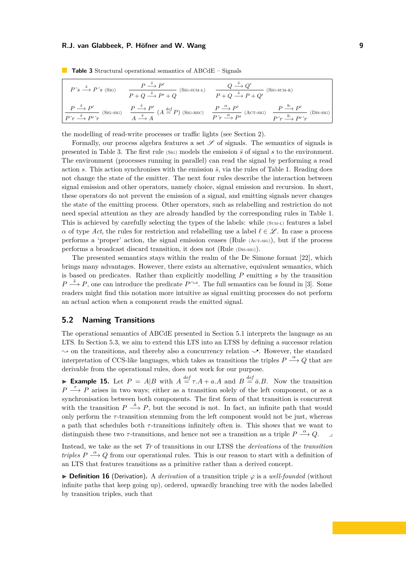<span id="page-8-5"></span><span id="page-8-1"></span>

| $P \hat{\phantom{\alpha}} s \stackrel{\bar{s}}{\longrightarrow} P \hat{\phantom{\alpha}} s$ (Sig) | $\frac{P \stackrel{\bar{s}}{\longrightarrow} P'}{P+Q \stackrel{\bar{s}}{\longrightarrow} P'+Q} \text{ (SIG-SUM-L)}$ | $P+Q \stackrel{\overline{Q} \longrightarrow Q}{\longrightarrow} P+Q'$ (S<br>$(SIG-SUM-R)$                                                                                                                                                                                                                                                                                                                                                                                                                                                            |
|---------------------------------------------------------------------------------------------------|---------------------------------------------------------------------------------------------------------------------|------------------------------------------------------------------------------------------------------------------------------------------------------------------------------------------------------------------------------------------------------------------------------------------------------------------------------------------------------------------------------------------------------------------------------------------------------------------------------------------------------------------------------------------------------|
|                                                                                                   |                                                                                                                     | $\begin{array}{cc} P \stackrel{\overline{s}}{\longrightarrow} P'\\ \hline P' \overline{r} \stackrel{\overline{s}}{\longrightarrow} P' \hat{r} \end{array}$ (SIG-SIG) $\begin{array}{cc} P \stackrel{\overline{s}}{\longrightarrow} P'\\ A \stackrel{\overline{s}}{\longrightarrow} A \end{array}$ (A $\stackrel{def}{=} P$ ) (SIG-REC) $\begin{array}{cc} P \stackrel{\alpha}{\longrightarrow} P'\\ \hline P' \overline{r} \stackrel{\alpha}{\longrightarrow} P' \end{array}$ (ACT-SIG) $\begin{array}{cc} P \stackrel{b:}{\longrightarrow} P'\\ \h$ |

<span id="page-8-6"></span><span id="page-8-0"></span>**Table 3** Structural operational semantics of ABCdE – Signals

<span id="page-8-7"></span><span id="page-8-4"></span><span id="page-8-3"></span><span id="page-8-2"></span>the modelling of read-write processes or traffic lights (see Section [2\)](#page-2-0).

Formally, our process algebra features a set  $\mathscr S$  of signals. The semantics of signals is presented in Table [3.](#page-8-0) The first rule (S<sub>IG</sub>) models the emission  $\bar{s}$  of signal  $s$  to the environment. The environment (processes running in parallel) can read the signal by performing a read action *s*. This action synchronises with the emission  $\bar{s}$ , via the rules of Table [1.](#page-7-0) Reading does not change the state of the emitter. The next four rules describe the interaction between signal emission and other operators, namely choice, signal emission and recursion. In short, these operators do not prevent the emission of a signal, and emitting signals never changes the state of the emitting process. Other operators, such as relabelling and restriction do not need special attention as they are already handled by the corresponding rules in Table [1.](#page-7-0) This is achieved by carefully selecting the types of the labels: while (SUM-L) features a label *α* of type *Act*, the rules for restriction and relabelling use a label  $\ell \in \mathcal{L}$ . In case a process performs a 'proper' action, the signal emission ceases (Rule [\(Act-sig\)](#page-8-2)), but if the process performs a broadcast discard transition, it does not (Rule [\(Dis-sig\)](#page-8-3)).

The presented semantics stays within the realm of the De Simone format [\[22\]](#page-15-12), which brings many advantages. However, there exists an alternative, equivalent semantics, which is based on predicates. Rather than explicitly modelling *P* emitting *s* by the transition  $P \stackrel{\bar{s}}{\longrightarrow} P$ , one can introduce the predicate  $P^{\frown s}$ . The full semantics can be found in [\[3\]](#page-14-5). Some readers might find this notation more intuitive as signal emitting processes do not perform an actual action when a component reads the emitted signal.

### **5.2 Naming Transitions**

The operational semantics of ABCdE presented in Section [5.1](#page-6-0) interprets the language as an LTS. In Section [5.3,](#page-9-0) we aim to extend this LTS into an LTSS by defining a successor relation ❀ on the transitions, and thereby also a concurrency relation *⌣*• . However, the standard interpretation of CCS-like languages, which takes as transitions the triples  $P \stackrel{\alpha}{\longrightarrow} Q$  that are derivable from the operational rules, does not work for our purpose.

**Example 15.** Let  $P = A|B$  with  $A \stackrel{def}{=} \tau.A + a.A$  and  $B \stackrel{def}{=} \bar{a}.B$ . Now the transition  $P \stackrel{\tau}{\longrightarrow} P$  arises in two ways; either as a transition solely of the left component, or as a synchronisation between both components. The first form of that transition is concurrent with the transition  $P \stackrel{\bar{a}}{\longrightarrow} P$ , but the second is not. In fact, an infinite path that would only perform the  $\tau$ -transition stemming from the left component would not be just, whereas a path that schedules both *τ* -transitions infinitely often is. This shows that we want to distinguish these two *τ*-transitions, and hence not see a transition as a triple  $P \stackrel{\alpha}{\longrightarrow} Q$ .

Instead, we take as the set *Tr* of transitions in our LTSS the *derivations* of the *transition triples*  $P \stackrel{\alpha}{\longrightarrow} Q$  from our operational rules. This is our reason to start with a definition of an LTS that features transitions as a primitive rather than a derived concept.

▶ **Definition 16** (Derivation)**.** A *derivation* of a transition triple *φ* is a *well-founded* (without infinite paths that keep going up), ordered, upwardly branching tree with the nodes labelled by transition triples, such that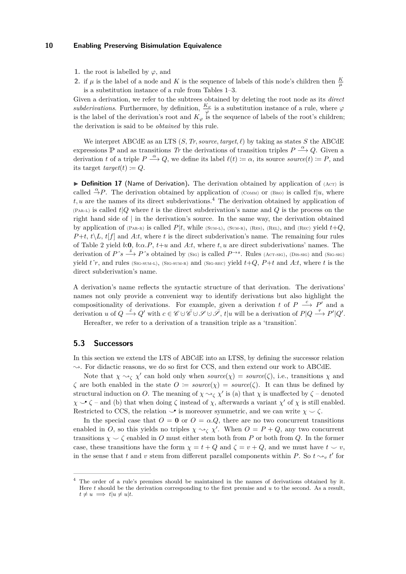- **1.** the root is labelled by  $\varphi$ , and
- **2.** if  $\mu$  is the label of a node and *K* is the sequence of labels of this node's children then  $\frac{K}{\mu}$ is a substitution instance of a rule from Tables [1–](#page-7-0)[3.](#page-8-0)

Given a derivation, we refer to the subtrees obtained by deleting the root node as its *direct subderivations*. Furthermore, by definition,  $\frac{K_{\varphi}}{\varphi}$  is a substitution instance of a rule, where  $\varphi$ is the label of the derivation's root and  $K_{\varphi}$  is the sequence of labels of the root's children; the derivation is said to be *obtained* by this rule.

We interpret ABCdE as an LTS  $(S, Tr, source, target, \ell)$  by taking as states *S* the ABCdE expressions  $\mathbb{P}$  and as transitions *Tr* the derivations of transition triples  $P \stackrel{\alpha}{\longrightarrow} Q$ . Given a derivation *t* of a triple  $P \stackrel{\alpha}{\longrightarrow} Q$ , we define its label  $\ell(t) := \alpha$ , its source *source*(*t*) := *P*, and its target  $target(t) := Q$ .

 $\triangleright$  **Definition 17** (Name of Derivation). The derivation obtained by application of  $(ACT)$  is called  $\overset{\alpha}{\rightarrow} P$ . The derivation obtained by application of (COMM) or (BRO) is called *t*|*u*, where *t, u* are the names of its direct subderivations.[4](#page-9-1) The derivation obtained by application of [\(Par-l\)](#page-7-9) is called *t*|*Q* where *t* is the direct subderivation's name and *Q* is the process on the right hand side of | in the derivation's source. In the same way, the derivation obtained by application of (PAR-R) is called  $P|t$ , while (SUM-L), (SUM-R), (RES), (REL), and (REC) yield  $t+Q$ ,  $P+t$ ,  $t\setminus L$ ,  $t\left(f\right)$  and *A*:*t*, where *t* is the direct subderivation's name. The remaining four rules of Table [2](#page-7-1) yield *b*:**0**, *b*:*α.P*, *t*+*u* and *A*:*t*, where *t, u* are direct subderivations' names. The derivation of  $P \hat{s} \stackrel{\bar{s}}{\longrightarrow} P \hat{s}$  obtained by [\(Sig\)](#page-8-1) is called  $P \rightarrow s$ . Rules [\(Act-sig\)](#page-8-2), [\(Dis-sig\)](#page-8-3) and [\(Sig-sig\)](#page-8-4) yield  $t<sup>~</sup>r$ , and rules (SIG-SUM-L), (SIG-SUM-R) and (SIG-REC) yield  $t+Q$ ,  $P+t$  and  $A:t$ , where  $t$  is the direct subderivation's name.

A derivation's name reflects the syntactic structure of that derivation. The derivations' names not only provide a convenient way to identify derivations but also highlight the compositionality of derivations. For example, given a derivation *t* of  $P \stackrel{c}{\longrightarrow} P'$  and a derivation *u* of  $Q \stackrel{\bar{c}}{\longrightarrow} Q'$  with  $c \in \mathscr{C} \cup \overline{\mathscr{C}} \cup \mathscr{S} \cup \mathscr{S}$ ,  $t|u$  will be a derivation of  $P|Q \stackrel{\tau}{\longrightarrow} P'|Q'.$ 

Hereafter, we refer to a derivation of a transition triple as a 'transition'.

### <span id="page-9-0"></span>**5.3 Successors**

In this section we extend the LTS of ABCdE into an LTSS, by defining the successor relation  $\sim$ . For didactic reasons, we do so first for CCS, and then extend our work to ABCdE.

Note that  $\chi \sim_\zeta \chi'$  can hold only when *source*( $\chi$ ) = *source*( $\zeta$ ), i.e., transitions  $\chi$  and *ζ* are both enabled in the state  $O := source(\chi) = source(\zeta)$ . It can thus be defined by structural induction on *O*. The meaning of  $\chi \sim_\zeta \chi'$  is (a) that  $\chi$  is unaffected by  $\zeta$  – denoted  $\chi \rightarrow \zeta$  – and (b) that when doing  $\zeta$  instead of  $\chi$ , afterwards a variant  $\chi'$  of  $\chi$  is still enabled. Restricted to CCS, the relation *⌣*• is moreover symmetric, and we can write *χ ⌣ ζ*.

In the special case that  $O = 0$  or  $O = \alpha \cdot Q$ , there are no two concurrent transitions enabled in *O*, so this yields no triples  $\chi \sim_\zeta \chi'$ . When  $O = P + Q$ , any two concurrent transitions  $\chi \smile \zeta$  enabled in *O* must either stem both from *P* or both from *Q*. In the former case, these transitions have the form  $\chi = t + Q$  and  $\zeta = v + Q$ , and we must have  $t \smile v$ , in the sense that *t* and *v* stem from different parallel components within *P*. So  $t \sim_v t'$  for

<span id="page-9-1"></span><sup>4</sup> The order of a rule's premises should be maintained in the names of derivations obtained by it. Here *t* should be the derivation corresponding to the first premise and *u* to the second. As a result,  $t \neq u \implies t|u \neq u|t.$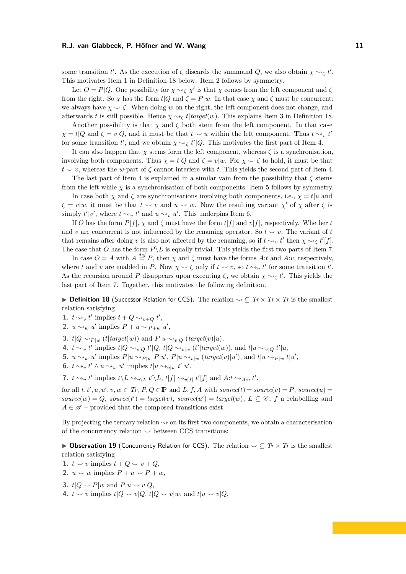some transition *t'*. As the execution of  $\zeta$  discards the summand *Q*, we also obtain  $\chi \sim_\zeta t'$ . This motivates Item [1](#page-10-0) in Definition [18](#page-10-1) below. Item [2](#page-10-2) follows by symmetry.

Let  $O = P|Q$ . One possibility for  $\chi \sim_\zeta \chi'$  is that  $\chi$  comes from the left component and  $\zeta$ from the right. So  $\chi$  has the form  $t|Q$  and  $\zeta = P|w$ . In that case  $\chi$  and  $\zeta$  must be concurrent: we always have  $\chi \sim \zeta$ . When doing *w* on the right, the left component does not change, and afterwards *t* is still possible. Hence  $\chi \sim_{\mathcal{C}} t$  *target*(*w*). This explains Item [3](#page-10-3) in Definition [18.](#page-10-1)

Another possibility is that  $\chi$  and  $\zeta$  both stem from the left component. In that case  $\chi = t|Q$  and  $\zeta = v|Q$ , and it must be that  $t \sim u$  within the left component. Thus  $t \sim_v t'$ for some transition  $t'$ , and we obtain  $\chi \sim_\zeta t' |Q$ . This motivates the first part of Item [4.](#page-10-4)

It can also happen that  $\chi$  stems form the left component, whereas  $\zeta$  is a synchronisation, involving both components. Thus  $\chi = t|Q$  and  $\zeta = v|w$ . For  $\chi \smile \zeta$  to hold, it must be that  $t \sim v$ , whereas the *w*-part of  $\zeta$  cannot interfere with *t*. This yields the second part of Item [4.](#page-10-4)

The last part of Item [4](#page-10-4) is explained in a similar vain from the possibility that  $\zeta$  stems from the left while  $\chi$  is a synchronisation of both components. Item [5](#page-10-5) follows by symmetry.

In case both  $\chi$  and  $\zeta$  are synchronisations involving both components, i.e.,  $\chi = t | u$  and  $\zeta = v | w$ , it must be that  $t \smile v$  and  $u \smile w$ . Now the resulting variant  $\chi'$  of  $\chi$  after  $\zeta$  is simply  $t'|v'$ , where  $t \sim_v t'$  and  $u \sim_v u'$ . This underpins Item [6.](#page-10-6)

If *O* has the form  $P[f]$ ,  $\chi$  and  $\zeta$  must have the form  $t[f]$  and  $v[f]$ , respectively. Whether *t* and *v* are concurrent is not influenced by the renaming operator. So  $t \sim v$ . The variant of *t* that remains after doing *v* is also not affected by the renaming, so if  $t \sim_v t'$  then  $\chi \sim_\zeta t'[f]$ . The case that *O* has the form  $P\backslash L$  is equally trivial. This yields the first two parts of Item [7.](#page-10-7)

In case  $O = A$  with  $A \stackrel{def}{=} P$ , then  $\chi$  and  $\zeta$  must have the forms A:*t* and A:*v*, respectively, where *t* and *v* are enabled in *P*. Now  $\chi \sim \zeta$  only if  $t \sim v$ , so  $t \sim_v t'$  for some transition  $t'$ . As the recursion around *P* disappears upon executing  $\zeta$ , we obtain  $\chi \sim_{\zeta} t'$ . This yields the last part of Item [7.](#page-10-7) Together, this motivates the following definition.

<span id="page-10-1"></span>▶ **Definition 18** (Successor Relation for CCS)**.** The relation ❀ ⊆ *Tr* × *Tr* × *Tr* is the smallest relation satisfying

- <span id="page-10-0"></span>1.  $t \rightarrow v$ ,  $t'$  implies  $t + Q \rightarrow v + Q$ ,  $t'$ ,
- <span id="page-10-2"></span>**2.**  $u \rightsquigarrow_w u'$  implies  $P + u \rightsquigarrow_{P+w} u'$ ,
- <span id="page-10-3"></span>**3.**  $t|Q \sim_{P|w} (t|target(w))$  and  $P|u \sim_{v|Q} (target(v)|u)$ ,
- <span id="page-10-4"></span>4.  $t \rightsquigarrow_v t'$  implies  $t|Q \rightsquigarrow_{v|Q} t'|Q$ ,  $t|Q \rightsquigarrow_{v|w} (t'|target(w))$ , and  $t|u \rightsquigarrow_{v|Q} t'|u$ ,
- <span id="page-10-5"></span>**5.**  $u \rightsquigarrow_w u'$  implies  $P|u \rightsquigarrow_{P|w} P|u', P|u \rightsquigarrow_{v|w} (target(v)|u'),$  and  $t|u \rightsquigarrow_{P|w} t|u',$
- <span id="page-10-6"></span>**6.**  $t \sim_v t' \wedge u \sim_w u'$  implies  $t|u \sim_{v|w} t'|u'$ ,

<span id="page-10-7"></span>**7.**  $t \sim_v t'$  implies  $t \setminus L \sim_{v \setminus L} t' \setminus L$ ,  $t[f] \sim_{v[f]} t'[f]$  and  $A:t \sim_{A:v} t'$ .

for all  $t, t', u, u', v, w \in Tr, P, Q \in \mathbb{P}$  and  $L, f, A$  with  $source(t) = source(v) = P$ ,  $source(u) =$  $source(w) = Q$ ,  $source(t') = target(v)$ ,  $source(u') = target(w)$ ,  $L \subseteq \mathscr{C}$ ,  $f$  a relabelling and  $A \in \mathscr{A}$  – provided that the composed transitions exist.

By projecting the ternary relation  $\sim$  on its first two components, we obtain a characterisation of the concurrency relation  $\sim$  between CCS transitions:

<span id="page-10-8"></span>▶ **Observation 19** (Concurrency Relation for CCS)**.** The relation *⌣* ⊆ *Tr* × *Tr* is the smallest relation satisfying

- **1.**  $t \smile v$  implies  $t + Q \smile v + Q$ ,
- 2.  $u \smile w$  implies  $P + u \smile P + w$ ,
- **3.**  $t|Q \nightharpoonup P|w$  and  $P|u \nightharpoonup v|Q$ ,
- **4.**  $t \smile v$  implies  $t|Q \smile v|Q$ ,  $t|Q \smile v|w$ , and  $t|u \smile v|Q$ ,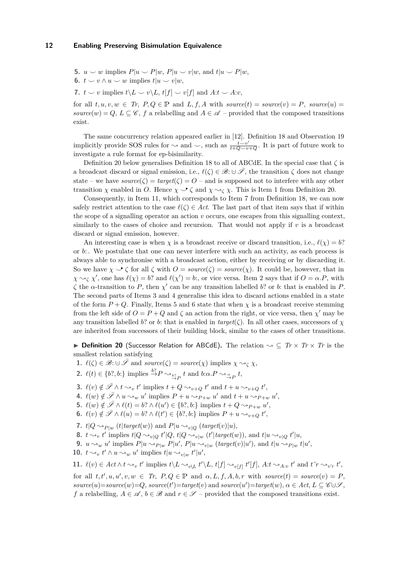**5.**  $u \smile w$  implies  $P|u \smile P|w$ ,  $P|u \smile v|w$ , and  $t|u \smile P|w$ ,

**6.**  $t \smile v \wedge u \smile w$  implies  $t|u \smile v|w$ ,

**7.**  $t \smile v$  implies  $t \backslash L \smile v \backslash L$ ,  $t[f] \smile v[f]$  and  $A:t \smile A:v$ ,

for all  $t, u, v, w \in Tr$ ,  $P, Q \in \mathbb{P}$  and  $L, f, A$  with  $source(t) = source(v) = P$ ,  $source(u) =$ *source*(*w*) = *Q*, *L* ⊆  $\mathscr{C}$ , *f* a relabelling and *A* ∈  $\mathscr{A}$  – provided that the composed transitions exist.

The same concurrency relation appeared earlier in [\[12\]](#page-15-2). Definition [18](#page-10-1) and Observation [19](#page-10-8) implicitly provide SOS rules for  $\sim$  and  $\sim$ , such as  $\frac{t \vee v'}{t+Q \vee v+Q}$ . It is part of future work to investigate a rule format for ep-bisimilarity.

Definition [20](#page-11-0) below generalises Definition [18](#page-10-1) to all of ABCdE. In the special case that *ζ* is a broadcast discard or signal emission, i.e.,  $\ell(\zeta) \in \mathscr{B}$ :  $\cup \overline{\mathscr{S}}$ , the transition  $\zeta$  does not change state – we have  $source(\zeta) = target(\zeta) = O$  – and is supposed not to interfere with any other transition *χ* enabled in *O*. Hence  $\chi \to \zeta$  and  $\chi \sim_{\zeta} \chi$ . This is Item [1](#page-11-1) from Definition [20.](#page-11-0)

Consequently, in Item [11,](#page-11-2) which corresponds to Item [7](#page-10-7) from Definition [18,](#page-10-1) we can now safely restrict attention to the case  $\ell(\zeta) \in Act$ . The last part of that item says that if within the scope of a signalling operator an action *v* occurs, one escapes from this signalling context, similarly to the cases of choice and recursion. That would not apply if  $v$  is a broadcast discard or signal emission, however.

An interesting case is when  $\chi$  is a broadcast receive or discard transition, i.e.,  $\ell(\chi) = b$ ? or *b*: . We postulate that one can never interfere with such an activity, as each process is always able to synchronise with a broadcast action, either by receiving or by discarding it. So we have  $\chi \to \zeta$  for all  $\zeta$  with  $O = source(\zeta) = source(\chi)$ . It could be, however, that in  $\chi \sim_{\zeta} \chi'$ , one has  $\ell(\chi) = b$ ? and  $\ell(\chi') = b$ :, or vice versa. Item [2](#page-11-3) says that if  $O = \alpha.P$ , with *ζ* the *α*-transition to *P*, then *χ* ′ can be any transition labelled *b*? or *b*: that is enabled in *P*. The second parts of Items [3](#page-11-4) and [4](#page-11-5) generalise this idea to discard actions enabled in a state of the form  $P + Q$ . Finally, Items [5](#page-11-6) and [6](#page-11-7) state that when  $\chi$  is a broadcast receive stemming from the left side of  $O = P + Q$  and  $\zeta$  an action from the right, or vice versa, then  $\chi'$  may be any transition labelled *b*? or *b*: that is enabled in  $target(\zeta)$ . In all other cases, successors of  $\chi$ are inherited from successors of their building block, similar to the cases of other transitions.

<span id="page-11-0"></span>▶ **Definition 20** (Successor Relation for ABCdE)**.** The relation ❀ ⊆ *Tr* × *Tr* × *Tr* is the smallest relation satisfying

<span id="page-11-1"></span>**1.**  $\ell(\zeta) \in \mathcal{B}: \cup \overline{\mathcal{S}}$  and  $source(\zeta) = source(\chi)$  implies  $\chi \sim_{\zeta} \chi$ ,

<span id="page-11-3"></span>**2.**  $\ell(t) \in \{b^?, b^. \}$  implies  $\stackrel{b^?}{\rightarrow} P \rightsquigarrow_{\stackrel{b^?}{\rightarrow} P}^{\ast} t$  and  $b:\alpha.P \rightsquigarrow_{\stackrel{\alpha}{\rightarrow} P}^{\ast} t$ ,

- <span id="page-11-4"></span>**3.**  $\ell(v) \notin \overline{\mathscr{S}} \wedge t \leadsto_v t'$  implies  $t + Q \leadsto_{v+Q} t'$  and  $t + u \leadsto_{v+Q} t'$ ,
- <span id="page-11-5"></span>**4.**  $\ell(w) \notin \bar{\mathscr{S}} \wedge u \leadsto_w u'$  implies  $P + u \leadsto_{P+w} u'$  and  $t + u \leadsto_{P+w} u'$ ,
- <span id="page-11-6"></span>**5.**  $\ell(w) \notin \bar{\mathscr{S}} \wedge \ell(t) = b$ ?  $\wedge \ell(u') \in \{b$ ?, *b*:} implies  $t + Q \sim_{P+w} u'$ ,
- <span id="page-11-7"></span>**6.**  $\ell(v) \notin \overline{\mathscr{S}} \wedge \ell(u) = b$ ?  $\wedge \ell(t') \in \{b$ ?, *b*:} implies  $P + u \leadsto_{v+Q} t'$ ,
- **7.**  $t|Q \sim_{P|w} (t|target(w))$  and  $P|u \sim_{v|Q} (target(v)|u)$ ,
- **8.**  $t \sim_v t'$  implies  $t|Q \sim_{v|Q} t'|Q$ ,  $t|Q \sim_{v|w} (t'|target(w))$ , and  $t|u \sim_{v|Q} t'|u$ ,
- **9.**  $u \rightsquigarrow_w u'$  implies  $P|u \rightsquigarrow_{P|w} P|u', P|u \rightsquigarrow_{v|w} (target(v)|u'),$  and  $t|u \rightsquigarrow_{P|w} t|u',$
- **10.**  $t \sim_v t' \wedge u \sim_w u'$  implies  $t|u \sim_{v|w} t'|u'$ ,

<span id="page-11-2"></span>11. 
$$
\ell(v) \in \text{Act} \land t \leadsto_v t'
$$
 implies  $t \setminus L \leadsto_{v \setminus L} t' \setminus L$ ,  $t[f] \leadsto_{v[f]} t'[f]$ ,  $\text{At} \leadsto_{A:v} t'$  and  $t \uparrow r \leadsto_{v \uparrow r} t'$ ,

for all  $t, t', u, u', v, w \in Tr$ ,  $P, Q \in \mathbb{P}$  and  $\alpha, L, f, A, b, r$  with  $source(t) = source(v) = P$ ,  $source(u) = source(w) = Q$ ,  $source(t') = target(v)$  and  $source(u') = target(w)$ ,  $\alpha \in Act$ ,  $L \subseteq \mathcal{C} \cup \mathcal{S}$ , *f* a relabelling,  $A \in \mathcal{A}$ ,  $b \in \mathcal{B}$  and  $r \in \mathcal{S}$  – provided that the composed transitions exist.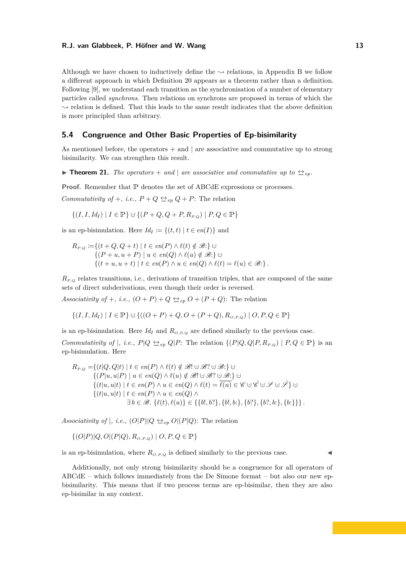Although we have chosen to inductively define the  $\sim$  relations, in Appendix [B](#page-20-0) we follow a different approach in which Definition [20](#page-11-0) appears as a theorem rather than a definition. Following [\[9\]](#page-15-6), we understand each transition as the synchronisation of a number of elementary particles called *synchrons*. Then relations on synchrons are proposed in terms of which the  $\sim$  relation is defined. That this leads to the same result indicates that the above definition is more principled than arbitrary.

# **5.4 Congruence and Other Basic Properties of Ep-bisimilarity**

As mentioned before, the operators  $+$  and  $|$  are associative and commutative up to strong bisimilarity. We can strengthen this result.

▶ **Theorem 21.** *The operators* + *and* | *are associative and commutative up to*  $\triangleq_{ep}$ *.* 

**Proof.** Remember that  $\mathbb P$  denotes the set of ABCdE expressions or processes.

*Commutativity of* +*, i.e.,*  $P + Q \leq_{ep} Q + P$ : The relation

$$
\{(I, I, Id_I) \mid I \in \mathbb{P}\} \cup \{(P + Q, Q + P, R_{P,Q}) \mid P, Q \in \mathbb{P}\}\
$$

is an ep-bisimulation. Here  $Id_I := \{(t, t) | t \in en(I)\}\$ and

$$
R_{P,Q} := \{(t+Q,Q+t) \mid t \in en(P) \land \ell(t) \notin \mathcal{B}:\} \cup
$$
  
\n
$$
\{(P+u,u+P) \mid u \in en(Q) \land \ell(u) \notin \mathcal{B}:\} \cup
$$
  
\n
$$
\{(t+u,u+t) \mid t \in en(P) \land u \in en(Q) \land \ell(t) = \ell(u) \in \mathcal{B}:\}.
$$

 $R_{P,Q}$  relates transitions, i.e., derivations of transition triples, that are composed of the same sets of direct subderivations, even though their order is reversed.

*Associativity of* +*, i.e.,*  $(O + P) + Q \trianglelefteq_{ep} O + (P + Q)$ : The relation

$$
\{(I, I, Id_I) \mid I \in \mathbb{P}\} \cup \{((O + P) + Q, O + (P + Q), R_{O, P, Q}) \mid O, P, Q \in \mathbb{P}\}\
$$

is an ep-bisimulation. Here  $Id_I$  and  $R_{O,P,Q}$  are defined similarly to the previous case.

*Commutativity of*  $|$ *, i.e.,*  $P|Q \nightharpoonup_{ep} Q|P$ : The relation  $\{(P|Q,Q|P,R_{P,Q}) | P,Q \in \mathbb{P}\}\$ is an ep-bisimulation. Here

$$
R_{P,Q} = \{(t|Q,Q|t) \mid t \in en(P) \land \ell(t) \notin \mathcal{B}! \cup \mathcal{B}! \cup \mathcal{B}! \} \cup
$$
  
\n
$$
\{(P|u,u|P) \mid u \in en(Q) \land \ell(u) \notin \mathcal{B}! \cup \mathcal{B}! \cup \mathcal{B}! \} \cup
$$
  
\n
$$
\{(t|u,u|t) \mid t \in en(P) \land u \in en(Q) \land \ell(t) = \overline{\ell(u)} \in \mathcal{C} \cup \mathcal{C} \cup \mathcal{F} \} \cup
$$
  
\n
$$
\{(t|u,u|t) \mid t \in en(P) \land u \in en(Q) \land
$$
  
\n
$$
\exists b \in \mathcal{B}. \{\ell(t),\ell(u)\} \in \{\{b!,b?\},\{b!,b:\},\{b?\},\{b?\},\{b:\},\{b:\}\} \}.
$$

*Associativity of*  $|$ , *i.e.*,  $(O|P)|Q \nightharpoonup_{ep} O|(P|Q)$ : The relation

$$
\{ (O|P)|Q,O|(P|Q), R_{O,P,Q}) | O,P,Q \in \mathbb{P} \}
$$

is an ep-bisimulation, where  $R_{O,P,Q}$  is defined similarly to the previous case.

<span id="page-12-0"></span>Additionally, not only strong bisimilarity should be a congruence for all operators of  $\text{ABCdE}$  – which follows immediately from the De Simone format – but also our new epbisimilarity. This means that if two process terms are ep-bisimilar, then they are also ep-bisimilar in any context.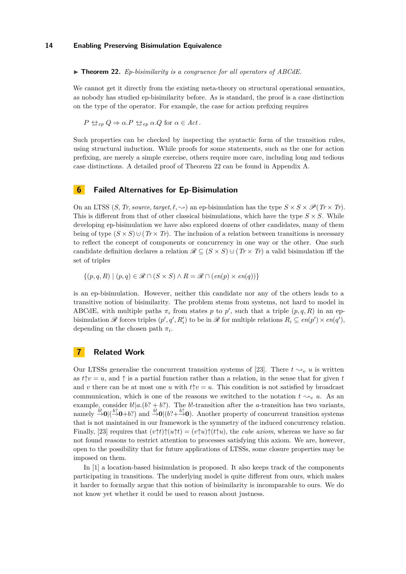▶ **Theorem 22.** *Ep-bisimilarity is a congruence for all operators of ABCdE.*

We cannot get it directly from the existing meta-theory on structural operational semantics, as nobody has studied ep-bisimilarity before. As is standard, the proof is a case distinction on the type of the operator. For example, the case for action prefixing requires

$$
P \Leftrightarrow_{ep} Q \Rightarrow \alpha.P \Leftrightarrow_{ep} \alpha.Q
$$
 for  $\alpha \in Act$ .

Such properties can be checked by inspecting the syntactic form of the transition rules, using structural induction. While proofs for some statements, such as the one for action prefixing, are merely a simple exercise, others require more care, including long and tedious case distinctions. A detailed proof of Theorem [22](#page-12-0) can be found in Appendix [A.](#page-16-0)

# **6 Failed Alternatives for Ep-Bisimulation**

On an LTSS  $(S, Tr, source, target, \ell, \rightarrow)$  an ep-bisimulation has the type  $S \times S \times \mathcal{P}(Tr \times Tr)$ . This is different from that of other classical bisimulations, which have the type  $S \times S$ . While developing ep-bisimulation we have also explored dozens of other candidates, many of them being of type  $(S \times S) \cup (Tr \times Tr)$ . The inclusion of a relation between transitions is necessary to reflect the concept of components or concurrency in one way or the other. One such candidate definition declares a relation  $\mathscr{R} \subseteq (S \times S) \cup (Tr \times Tr)$  a valid bisimulation iff the set of triples

 $\{(p, q, R) \mid (p, q) \in \mathcal{R} \cap (S \times S) \wedge R = \mathcal{R} \cap (en(p) \times en(q))\}$ 

is an ep-bisimulation. However, neither this candidate nor any of the others leads to a transitive notion of bisimilarity. The problem stems from systems, not hard to model in ABCdE, with multiple paths  $\pi_i$  from states p to p', such that a triple  $(p, q, R)$  in an epbisimulation  $\mathscr R$  forces triples  $(p', q', R'_i)$  to be in  $\mathscr R$  for multiple relations  $R_i \subseteq en(p') \times en(q')$ , depending on the chosen path  $\pi_i$ .

# **7 Related Work**

Our LTSSs generalise the concurrent transition systems of [\[23\]](#page-15-13). There  $t \sim v_y u$  is written as  $t\uparrow v = u$ , and  $\uparrow$  is a partial function rather than a relation, in the sense that for given *t* and *v* there can be at most one *u* with  $t \uparrow v = u$ . This condition is not satisfied by broadcast communication, which is one of the reasons we switched to the notation  $t \sim u$ . As an example, consider  $b!|a.(b? + b?)$ . The  $b!$ -transition after the *a*-transition has two variants, namely  $\stackrel{b!}{\rightarrow}$ **0**|( $\stackrel{b?}{\rightarrow}$ **0**+*b*?) and  $\stackrel{b!}{\rightarrow}$ **0**|( $b$ ?+ $\stackrel{b?}{\rightarrow}$ **0**). Another property of concurrent transition systems that is not maintained in our framework is the symmetry of the induced concurrency relation. Finally, [\[23\]](#page-15-13) requires that  $(v\uparrow t)\uparrow(u\uparrow t) = (v\uparrow u)\uparrow(t\uparrow u)$ , the *cube axiom*, whereas we have so far not found reasons to restrict attention to processes satisfying this axiom. We are, however, open to the possibility that for future applications of LTSSs, some closure properties may be imposed on them.

In [\[1\]](#page-14-7) a location-based bisimulation is proposed. It also keeps track of the components participating in transitions. The underlying model is quite different from ours, which makes it harder to formally argue that this notion of bisimilarity is incomparable to ours. We do not know yet whether it could be used to reason about justness.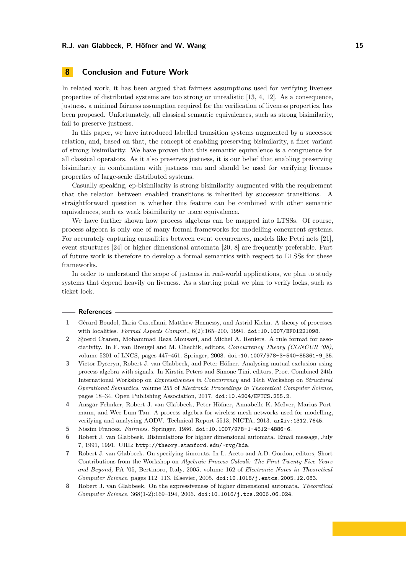# **8 Conclusion and Future Work**

In related work, it has been argued that fairness assumptions used for verifying liveness properties of distributed systems are too strong or unrealistic [\[13,](#page-15-0) [4,](#page-14-1) [12\]](#page-15-2). As a consequence, justness, a minimal fairness assumption required for the verification of liveness properties, has been proposed. Unfortunately, all classical semantic equivalences, such as strong bisimilarity, fail to preserve justness.

In this paper, we have introduced labelled transition systems augmented by a successor relation, and, based on that, the concept of enabling preserving bisimilarity, a finer variant of strong bisimilarity. We have proven that this semantic equivalence is a congruence for all classical operators. As it also preserves justness, it is our belief that enabling preserving bisimilarity in combination with justness can and should be used for verifying liveness properties of large-scale distributed systems.

Casually speaking, ep-bisimilarity is strong bisimilarity augmented with the requirement that the relation between enabled transitions is inherited by successor transitions. A straightforward question is whether this feature can be combined with other semantic equivalences, such as weak bisimilarity or trace equivalence.

We have further shown how process algebras can be mapped into LTSSs. Of course, process algebra is only one of many formal frameworks for modelling concurrent systems. For accurately capturing causalities between event occurrences, models like Petri nets [\[21\]](#page-15-14), event structures [\[24\]](#page-15-15) or higher dimensional automata [\[20,](#page-15-3) [8\]](#page-14-3) are frequently preferable. Part of future work is therefore to develop a formal semantics with respect to LTSSs for these frameworks.

In order to understand the scope of justness in real-world applications, we plan to study systems that depend heavily on liveness. As a starting point we plan to verify locks, such as ticket lock.

#### **References**

- <span id="page-14-7"></span>**1** Gérard Boudol, Ilaria Castellani, Matthew Hennessy, and Astrid Kiehn. A theory of processes with localities. *Formal Aspects Comput.*, 6(2):165–200, 1994. [doi:10.1007/BF01221098](http://dx.doi.org/10.1007/BF01221098).
- <span id="page-14-6"></span>**2** Sjoerd Cranen, Mohammad Reza Mousavi, and Michel A. Reniers. A rule format for associativity. In F. van Breugel and M. Chechik, editors, *Concurrency Theory (CONCUR '08)*, volume 5201 of LNCS, pages 447–461. Springer, 2008. [doi:10.1007/978-3-540-85361-9\\_35](http://dx.doi.org/10.1007/978-3-540-85361-9_35).
- <span id="page-14-5"></span>**3** Victor Dyseryn, Robert J. van Glabbeek, and Peter Höfner. Analysing mutual exclusion using process algebra with signals. In Kirstin Peters and Simone Tini, editors, Proc. Combined 24th International Workshop on *Expressiveness in Concurrency* and 14th Workshop on *Structural Operational Semantics*, volume 255 of *Electronic Proceedings in Theoretical Computer Science*, pages 18–34. Open Publishing Association, 2017. [doi:10.4204/EPTCS.255.2](http://dx.doi.org/10.4204/EPTCS.255.2).
- <span id="page-14-1"></span>**4** Ansgar Fehnker, Robert J. van Glabbeek, Peter Höfner, Annabelle K. McIver, Marius Portmann, and Wee Lum Tan. A process algebra for wireless mesh networks used for modelling, verifying and analysing AODV. Technical Report 5513, NICTA, 2013. [arXiv:1312.7645](http://arxiv.org/abs/1312.7645).
- <span id="page-14-0"></span>**5** Nissim Francez. *Fairness*. Springer, 1986. [doi:10.1007/978-1-4612-4886-6](http://dx.doi.org/10.1007/978-1-4612-4886-6).
- <span id="page-14-2"></span>**6** Robert J. van Glabbeek. Bisimulations for higher dimensional automata. Email message, July 7, 1991, 1991. URL: <http://theory.stanford.edu/~rvg/hda>.
- <span id="page-14-4"></span>**7** Robert J. van Glabbeek. On specifying timeouts. In L. Aceto and A.D. Gordon, editors, Short Contributions from the Workshop on *Algebraic Process Calculi: The First Twenty Five Years and Beyond,* PA '05, Bertinoro, Italy, 2005, volume 162 of *Electronic Notes in Theoretical Computer Science*, pages 112–113. Elsevier, 2005. [doi:10.1016/j.entcs.2005.12.083](http://dx.doi.org/10.1016/j.entcs.2005.12.083).
- <span id="page-14-3"></span>**8** Robert J. van Glabbeek. On the expressiveness of higher dimensional automata. *Theoretical Computer Science*, 368(1-2):169–194, 2006. [doi:10.1016/j.tcs.2006.06.024](http://dx.doi.org/10.1016/j.tcs.2006.06.024).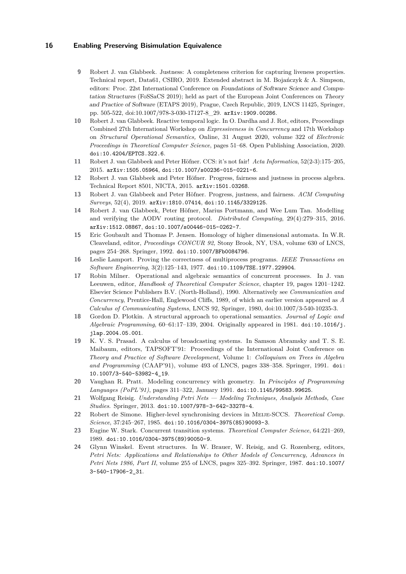- <span id="page-15-6"></span>**9** Robert J. van Glabbeek. Justness: A completeness criterion for capturing liveness properties. Technical report, Data61, CSIRO, 2019. Extended abstract in M. Bojańczyk & A. Simpson, editors: Proc. 22st International Conference on Foundations of Software Science and Computation Structures (FoSSaCS 2019); held as part of the European Joint Conferences on Theory and Practice of Software (ETAPS 2019), Prague, Czech Republic, 2019, LNCS 11425, Springer, pp. 505-522, doi[:10.1007/978-3-030-17127-8\\_29.](http:dx.doi.org/10.1007/978-3-030-17127-8_29) [arXiv:1909.00286](http://arxiv.org/abs/1909.00286).
- <span id="page-15-7"></span>**10** Robert J. van Glabbeek. Reactive temporal logic. In O. Dardha and J. Rot, editors, Proceedings Combined 27th International Workshop on *Expressiveness in Concurrency* and 17th Workshop on *Structural Operational Semantics,* Online, 31 August 2020, volume 322 of *Electronic Proceedings in Theoretical Computer Science*, pages 51–68. Open Publishing Association, 2020. [doi:10.4204/EPTCS.322.6](http://dx.doi.org/10.4204/EPTCS.322.6).
- <span id="page-15-9"></span>**11** Robert J. van Glabbeek and Peter Höfner. CCS: it's not fair! *Acta Informatica*, 52(2-3):175–205, 2015. [arXiv:1505.05964](http://arxiv.org/abs/1505.05964), [doi:10.1007/s00236-015-0221-6](http://dx.doi.org/10.1007/s00236-015-0221-6).
- <span id="page-15-2"></span>**12** Robert J. van Glabbeek and Peter Höfner. Progress, fairness and justness in process algebra. Technical Report 8501, NICTA, 2015. [arXiv:1501.03268](http://arxiv.org/abs/1501.03268).
- <span id="page-15-0"></span>**13** Robert J. van Glabbeek and Peter Höfner. Progress, justness, and fairness. *ACM Computing Surveys*, 52(4), 2019. [arXiv:1810.07414](http://arxiv.org/abs/1810.07414), [doi:10.1145/3329125](http://dx.doi.org/10.1145/3329125).
- <span id="page-15-10"></span>**14** Robert J. van Glabbeek, Peter Höfner, Marius Portmann, and Wee Lum Tan. Modelling and verifying the AODV routing protocol. *Distributed Computing*, 29(4):279–315, 2016. [arXiv:1512.08867](http://arxiv.org/abs/1512.08867), [doi:10.1007/s00446-015-0262-7](http://dx.doi.org/10.1007/s00446-015-0262-7).
- <span id="page-15-4"></span>**15** Eric Goubault and Thomas P. Jensen. Homology of higher dimensional automata. In W.R. Cleaveland, editor, *Proceedings CONCUR 92,* Stony Brook, NY, USA, volume 630 of LNCS, pages 254–268. Springer, 1992. [doi:10.1007/BFb0084796](http://dx.doi.org/10.1007/BFb0084796).
- <span id="page-15-5"></span>**16** Leslie Lamport. Proving the correctness of multiprocess programs. *IEEE Transactions on Software Engineering*, 3(2):125–143, 1977. [doi:10.1109/TSE.1977.229904](http://dx.doi.org/10.1109/TSE.1977.229904).
- <span id="page-15-1"></span>**17** Robin Milner. Operational and algebraic semantics of concurrent processes. In J. van Leeuwen, editor, *Handbook of Theoretical Computer Science*, chapter 19, pages 1201–1242. Elsevier Science Publishers B.V. (North-Holland), 1990. Alternatively see *Communication and Concurrency*, Prentice-Hall, Englewood Cliffs, 1989, of which an earlier version appeared as *A Calculus of Communicating Systems*, LNCS 92, Springer, 1980, doi[:10.1007/3-540-10235-3.](http:dx.doi.org/10.1007/3-540-10235-3)
- <span id="page-15-8"></span>**18** Gordon D. Plotkin. A structural approach to operational semantics. *Journal of Logic and Algebraic Programming*, 60–61:17–139, 2004. Originally appeared in 1981. [doi:10.1016/j.](http://dx.doi.org/10.1016/j.jlap.2004.05.001) [jlap.2004.05.001](http://dx.doi.org/10.1016/j.jlap.2004.05.001).
- <span id="page-15-11"></span>**19** K. V. S. Prasad. A calculus of broadcasting systems. In Samson Abramsky and T. S. E. Maibaum, editors, TAPSOFT'91: Proceedings of the International Joint Conference on *Theory and Practice of Software Development,* Volume 1: *Colloquium on Trees in Algebra and Programming* (CAAP'91), volume 493 of LNCS, pages 338–358. Springer, 1991. [doi:](http://dx.doi.org/10.1007/3-540-53982-4_19) [10.1007/3-540-53982-4\\_19](http://dx.doi.org/10.1007/3-540-53982-4_19).
- <span id="page-15-3"></span>**20** Vaughan R. Pratt. Modeling concurrency with geometry. In *Principles of Programming Languages (PoPL'91)*, pages 311–322, January 1991. [doi:10.1145/99583.99625](http://dx.doi.org/10.1145/99583.99625).
- <span id="page-15-14"></span>**21** Wolfgang Reisig. *Understanding Petri Nets — Modeling Techniques, Analysis Methods, Case Studies*. Springer, 2013. [doi:10.1007/978-3-642-33278-4](http://dx.doi.org/10.1007/978-3-642-33278-4).
- <span id="page-15-12"></span>**22** Robert de Simone. Higher-level synchronising devices in Meije-SCCS. *Theoretical Comp. Science*, 37:245–267, 1985. [doi:10.1016/0304-3975\(85\)90093-3](http://dx.doi.org/10.1016/0304-3975(85)90093-3).
- <span id="page-15-13"></span>**23** Eugine W. Stark. Concurrent transition systems. *Theoretical Computer Science*, 64:221–269, 1989. [doi:10.1016/0304-3975\(89\)90050-9](http://dx.doi.org/10.1016/0304-3975(89)90050-9).
- <span id="page-15-15"></span>**24** Glynn Winskel. Event structures. In W. Brauer, W. Reisig, and G. Rozenberg, editors, *Petri Nets: Applications and Relationships to Other Models of Concurrency, Advances in Petri Nets 1986, Part II*, volume 255 of LNCS, pages 325–392. Springer, 1987. [doi:10.1007/](http://dx.doi.org/10.1007/3-540-17906-2_31) [3-540-17906-2\\_31](http://dx.doi.org/10.1007/3-540-17906-2_31).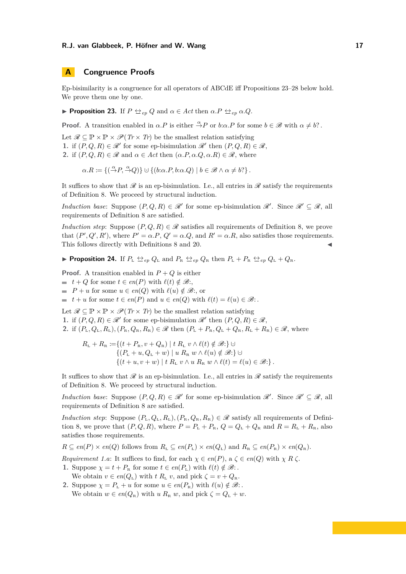# <span id="page-16-0"></span>**A Congruence Proofs**

Ep-bisimilarity is a congruence for all operators of ABCdE iff Propositions [23–](#page-16-1)[28](#page-19-0) below hold. We prove them one by one.

<span id="page-16-1"></span>▶ **Proposition 23.** If  $P \Leftrightarrow_{ep} Q$  and  $\alpha \in Act$  then  $\alpha.P \Leftrightarrow_{ep} \alpha.Q$ .

**Proof.** A transition enabled in  $\alpha.P$  is either  $\frac{\alpha}{\alpha}P$  or  $b:\alpha.P$  for some  $b \in \mathcal{B}$  with  $\alpha \neq b$ ?.

Let  $\mathscr{R} \subseteq \mathbb{P} \times \mathbb{P} \times \mathscr{P}(Tr \times Tr)$  be the smallest relation satisfying

**1.** if  $(P,Q,R) \in \mathcal{R}'$  for some ep-bisimulation  $\mathcal{R}'$  then  $(P,Q,R) \in \mathcal{R}$ ,

**2.** if  $(P, Q, R) \in \mathcal{R}$  and  $\alpha \in \text{Act}$  then  $(\alpha.P, \alpha.Q, \alpha.R) \in \mathcal{R}$ , where

$$
\alpha.R := \{ (\stackrel{\alpha}{\rightarrow} P, \stackrel{\alpha}{\rightarrow} Q) \} \cup \{ (b:\alpha.P, b:\alpha.Q) \mid b \in \mathcal{B} \land \alpha \neq b? \}.
$$

It suffices to show that  $\mathscr R$  is an ep-bisimulation. I.e., all entries in  $\mathscr R$  satisfy the requirements of Definition [8.](#page-3-0) We proceed by structural induction.

*Induction base:* Suppose  $(P,Q,R) \in \mathcal{R}'$  for some ep-bisimulation  $\mathcal{R}'$ . Since  $\mathcal{R}' \subseteq \mathcal{R}$ , all requirements of Definition [8](#page-3-0) are satisfied.

*Induction step*: Suppose  $(P, Q, R) \in \mathcal{R}$  satisfies all requirements of Definition [8,](#page-3-0) we prove that  $(P', Q', R')$ , where  $P' = \alpha.P$ ,  $Q' = \alpha.Q$ , and  $R' = \alpha.R$ , also satisfies those requirements. This follows directly with Definitions [8](#page-3-0) and [20.](#page-11-0)

▶ **Proposition 24.** If  $P_{\text{L}} \nleftrightarroweq_{ep} Q_{\text{L}}$  and  $P_{\text{R}} \nleftrightarroweq_{ep} Q_{\text{R}}$  then  $P_{\text{L}} + P_{\text{R}} \nleftrightarroweq_{ep} Q_{\text{L}} + Q_{\text{R}}$ .

**Proof.** A transition enabled in  $P + Q$  is either

- $t + Q$  for some  $t \in en(P)$  with  $\ell(t) \notin \mathcal{B}$ :
- $P + u$  for some  $u \in en(Q)$  with  $\ell(u) \notin \mathcal{B}$ ; or

 $t + u$  for some  $t \in en(P)$  and  $u \in en(Q)$  with  $\ell(t) = \ell(u) \in \mathcal{B}$ :

Let  $\mathcal{R} \subseteq \mathbb{P} \times \mathbb{P} \times \mathcal{P}(Tr \times Tr)$  be the smallest relation satisfying **1.** if  $(P,Q,R) \in \mathcal{R}'$  for some ep-bisimulation  $\mathcal{R}'$  then  $(P,Q,R) \in \mathcal{R}$ ,

**2.** if  $(P_L, Q_L, R_L)$ ,  $(P_R, Q_R, R_R) \in \mathcal{R}$  then  $(P_L + P_R, Q_L + Q_R, R_L + R_R) \in \mathcal{R}$ , where

$$
R_{\rm L} + R_{\rm R} := \{ (t + P_{\rm R}, v + Q_{\rm R}) \mid t \ R_{\rm L} \ v \wedge \ell(t) \notin \mathcal{B} : \} \cup
$$
  
\n
$$
\{ (P_{\rm L} + u, Q_{\rm L} + w) \mid u \ R_{\rm R} \ w \wedge \ell(u) \notin \mathcal{B} : \} \cup
$$
  
\n
$$
\{ (t + u, v + w) \mid t \ R_{\rm L} \ v \wedge u \ R_{\rm R} \ w \wedge \ell(t) = \ell(u) \in \mathcal{B} : \}.
$$

It suffices to show that  $\mathscr R$  is an ep-bisimulation. I.e., all entries in  $\mathscr R$  satisfy the requirements of Definition [8.](#page-3-0) We proceed by structural induction.

*Induction base*: Suppose  $(P,Q,R) \in \mathcal{R}'$  for some ep-bisimulation  $\mathcal{R}'$ . Since  $\mathcal{R}' \subseteq \mathcal{R}$ , all requirements of Definition [8](#page-3-0) are satisfied.

*Induction step*: Suppose  $(P_L, Q_L, R_L)$ ,  $(P_R, Q_R, R_R) \in \mathcal{R}$  satisfy all requirements of Defini-tion [8,](#page-3-0) we prove that  $(P, Q, R)$ , where  $P = P_L + P_R$ ,  $Q = Q_L + Q_R$  and  $R = R_L + R_R$ , also satisfies those requirements.

 $R \subseteq en(P) \times en(Q)$  follows from  $R_{\text{L}} \subseteq en(P_{\text{L}}) \times en(Q_{\text{L}})$  and  $R_{\text{R}} \subseteq en(P_{\text{R}}) \times en(Q_{\text{R}})$ .

*Requirement 1.a*: It suffices to find, for each  $\chi \in en(P)$ ,  $a \zeta \in en(Q)$  with  $\chi R \zeta$ .

- **1.** Suppose  $\chi = t + P_R$  for some  $t \in en(P_L)$  with  $\ell(t) \notin \mathcal{B}$ :
- We obtain  $v \in en(Q_L)$  with  $t R_L v$ , and pick  $\zeta = v + Q_R$ . **2.** Suppose  $\chi = P_L + u$  for some  $u \in en(P_R)$  with  $\ell(u) \notin \mathcal{B}$ :

We obtain  $w \in en(Q_R)$  with  $u R_R w$ , and pick  $\zeta = Q_L + w$ .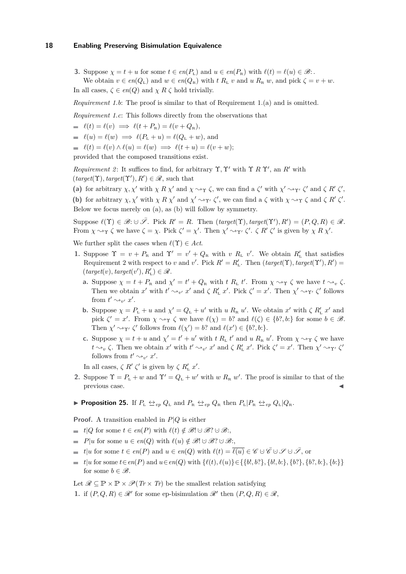**3.** Suppose  $\chi = t + u$  for some  $t \in en(P_L)$  and  $u \in en(P_R)$  with  $\ell(t) = \ell(u) \in \mathcal{B}$ : We obtain  $v \in en(Q_L)$  and  $w \in en(Q_R)$  with  $t R_L v$  and  $u R_R w$ , and pick  $\zeta = v + w$ . In all cases,  $\zeta \in en(Q)$  and  $\chi R \zeta$  hold trivially.

*Requirement 1.b:* The proof is similar to that of Requirement 1.(a) and is omitted.

*Requirement 1.c*: This follows directly from the observations that

- $\implies \ell(t) = \ell(v) \implies \ell(t + P_{R}) = \ell(v + Q_{R}),$
- $\ell(u) = \ell(w) \implies \ell(P_L + u) = \ell(Q_L + w)$ , and
- $\ell(t) = \ell(v) \wedge \ell(u) = \ell(w) \implies \ell(t+u) = \ell(v+w)$ ;

provided that the composed transitions exist.

*Requirement 2*: It suffices to find, for arbitrary Υ, Υ' with Υ *R* Υ', an *R'* with  $(target(\Upsilon), target(\Upsilon'), R') \in \mathcal{R}$ , such that

(a) for arbitrary  $\chi, \chi'$  with  $\chi R \chi'$  and  $\chi \rightarrow \gamma \zeta$ , we can find a  $\zeta'$  with  $\chi' \rightarrow \gamma' \zeta'$  and  $\zeta R' \zeta'$ , **(b)** for arbitrary  $\chi, \chi'$  with  $\chi R \chi'$  and  $\chi' \sim_{\Upsilon'} \zeta'$ , we can find a  $\zeta$  with  $\chi \sim_{\Upsilon} \zeta$  and  $\zeta R' \zeta'$ . Below we focus merely on (a), as (b) will follow by symmetry.

 $\text{Suppose } \ell(\Upsilon) \in \mathscr{B}: \cup \overline{\mathscr{S}}. \text{ Pick } R' = R. \text{ Then } (\text{target}(\Upsilon), \text{target}(\Upsilon'), R') = (P, Q, R) \in \mathscr{R}.$ From  $\chi \rightarrow \gamma \zeta$  we have  $\zeta = \chi$ . Pick  $\zeta' = \chi'$ . Then  $\chi' \rightarrow \gamma' \zeta'$ .  $\zeta R' \zeta'$  is given by  $\chi R \chi'$ .

We further split the cases when  $\ell(\Upsilon) \in Act$ .

- **1.** Suppose  $\Upsilon = v + P_R$  and  $\Upsilon' = v' + Q_R$  with *v R<sub>L</sub> v'*. We obtain  $R'_{\text{L}}$  that satisfies Requirement 2 with respect to *v* and *v'*. Pick  $R' = R'_{\mathcal{L}}$ . Then  $(\text{target}(\Upsilon), \text{target}(\Upsilon'), R') =$  $(\text{target}(v), \text{target}(v'), R'_{L}) \in \mathcal{R}.$ 
	- **a.** Suppose  $\chi = t + P_{\text{R}}$  and  $\chi' = t' + Q_{\text{R}}$  with *t R<sub>L</sub> t'*. From  $\chi \rightarrow \gamma \zeta$  we have  $t \rightarrow v \zeta$ . Then we obtain  $x'$  with  $t' \sim_{v'} x'$  and  $\zeta R'_{L} x'$ . Pick  $\zeta' = x'$ . Then  $\chi' \sim_{\Upsilon'} \zeta'$  follows from  $t' \sim_{v'} x'$ .
	- **b.** Suppose  $\chi = P_{\text{L}} + u$  and  $\chi' = Q_{\text{L}} + u'$  with *u*  $R_{\text{R}} u'$ . We obtain  $x'$  with  $\zeta R'_{\text{L}} x'$  and pick  $\zeta' = x'$ . From  $\chi \to \gamma \zeta$  we have  $\ell(\chi) = b$ ? and  $\ell(\zeta) \in \{b$ ?*, b*:} for some  $b \in \mathcal{B}$ . Then  $\chi' \rightarrow \gamma' \zeta'$  follows from  $\ell(\chi') = b$ ? and  $\ell(x') \in \{b$ ?*, b*: }.
	- **c.** Suppose  $\chi = t + u$  and  $\chi' = t' + u'$  with  $t R_L t'$  and  $u R_R u'$ . From  $\chi \rightarrow \gamma \zeta$  we have *t*  $\sim_v \zeta$ . Then we obtain *x'* with *t'*  $\sim_{v'} x'$  and  $\zeta R'_{L} x'$ . Pick  $\zeta' = x'$ . Then  $\chi' \sim_{\Upsilon'} \zeta'$ follows from  $t' \sim_{v'} x'$ .

In all cases,  $\zeta R' \zeta'$  is given by  $\zeta R'_{\rm L} x'$ .

**2.** Suppose  $\Upsilon = P_L + w$  and  $\Upsilon' = Q_L + w'$  with *w*  $R_R w'$ . The proof is similar to that of the previous case.

▶ **Proposition 25.** If  $P_{\text{L}} \Leftrightarrow_{ep} Q_{\text{L}}$  and  $P_{\text{R}} \Leftrightarrow_{ep} Q_{\text{R}}$  then  $P_{\text{L}}|P_{\text{R}} \Leftrightarrow_{ep} Q_{\text{L}}|Q_{\text{R}}$ .

**Proof.** A transition enabled in *P*|*Q* is either

- $\bullet$  *t*|*Q* for some *t* ∈ *en*(*P*) with  $\ell(t) \notin \mathcal{B}! \cup \mathcal{B}! \cup \mathcal{B}$ ;
- $P|u$  for some  $u \in en(Q)$  with  $\ell(u) \notin \mathscr{B}! \cup \mathscr{B}! \cup \mathscr{B}$ :
- $t \in \ell^p$  *t*|*u* for some  $t \in \ell^p(P)$  and  $u \in \ell^p(Q)$  with  $\ell(t) = \overline{\ell(u)} \in \mathscr{C} \cup \overline{\mathscr{C}} \cup \mathscr{S} \cup \overline{\mathscr{S}}$ , or
- $t = t|u$  for some  $t \in en(P)$  and  $u \in en(Q)$  with  $\{\ell(t), \ell(u)\} \in \{\{b1, b?\}, \{b1, b:\}, \{b?\}, \{b?\}, \{b?\}, \{b!\}$ for some  $b \in \mathcal{B}$ .

Let  $\mathcal{R} \subseteq \mathbb{P} \times \mathbb{P} \times \mathcal{P}(Tr \times Tr)$  be the smallest relation satisfying

**1.** if  $(P, Q, R) \in \mathcal{R}'$  for some ep-bisimulation  $\mathcal{R}'$  then  $(P, Q, R) \in \mathcal{R}$ ,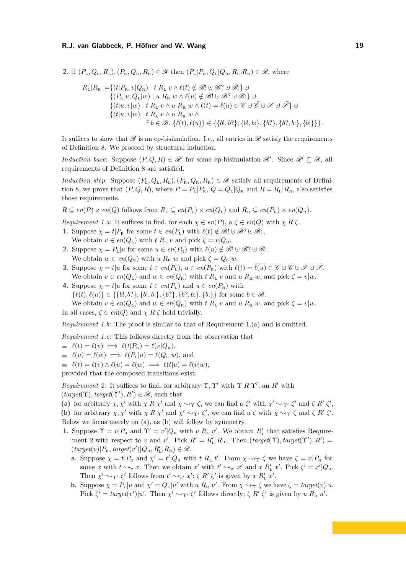**2.** if  $(P_L, Q_L, R_L)$ ,  $(P_R, Q_R, R_R) \in \mathcal{R}$  then  $(P_L|P_R, Q_L|Q_R, R_L|R_R) \in \mathcal{R}$ , where

$$
R_{\rm L}|R_{\rm R} := \{(t|P_{\rm R}, v|Q_{\rm R}) \mid t \ R_{\rm L} \ v \wedge \ell(t) \notin \mathcal{B}! \cup \mathcal{B}! \cup \mathcal{B}! \cup \mathcal{C}! \} \cup \{P_{\rm L}|u, Q_{\rm L}|w) \mid u \ R_{\rm R} \ w \wedge \ell(u) \notin \mathcal{B}! \cup \mathcal{B}! \cup \mathcal{B}! \cup \mathcal{C}! \} \cup \{t|u, v|w) \mid t \ R_{\rm L} \ v \wedge u \ R_{\rm R} \ w \wedge \ell(t) = \overline{\ell(u)} \in \mathcal{C} \cup \mathcal{C} \cup \mathcal{F} \cup \mathcal{F} \} \cup \{t|u, v|w) \mid t \ R_{\rm L} \ v \wedge u \ R_{\rm R} \ w \wedge \exists b \in \mathcal{B}. \ \{\ell(t), \ell(u)\} \in \{\{b!, b?\}, \{b!, b:\}, \{b?\}, \{b?, b:\}, \{b:\}\}\}
$$

It suffices to show that  $\mathscr R$  is an ep-bisimulation. I.e., all entries in  $\mathscr R$  satisfy the requirements of Definition [8.](#page-3-0) We proceed by structural induction.

*Induction base*: Suppose  $(P,Q,R) \in \mathcal{R}'$  for some ep-bisimulation  $\mathcal{R}'$ . Since  $\mathcal{R}' \subseteq \mathcal{R}$ , all requirements of Definition [8](#page-3-0) are satisfied.

*Induction step*: Suppose  $(P_L, Q_L, R_L)$ ,  $(P_R, Q_R, R_R) \in \mathcal{R}$  satisfy all requirements of Defini-tion [8,](#page-3-0) we prove that  $(P, Q, R)$ , where  $P = P_L|P_R$ ,  $Q = Q_L|Q_R$  and  $R = R_L|R_R$ , also satisfies those requirements.

 $R \subseteq en(P) \times en(Q)$  follows from  $R_{\text{L}} \subseteq en(P_{\text{L}}) \times en(Q_{\text{L}})$  and  $R_{\text{R}} \subseteq en(P_{\text{R}}) \times en(Q_{\text{R}})$ .

*Requirement 1.a*: It suffices to find, for each  $\chi \in en(P)$ ,  $a \zeta \in en(Q)$  with  $\chi R \zeta$ .

- **1.** Suppose  $\chi = t | P_R$  for some  $t \in en(P_L)$  with  $\ell(t) \notin \mathcal{B}! \cup \mathcal{B}! \cup \mathcal{B}$ : We obtain  $v \in en(Q_L)$  with  $t R_L v$  and pick  $\zeta = v |Q_R$ .
- **2.** Suppose  $\chi = P_L|u$  for some  $u \in en(P_R)$  with  $\ell(u) \notin \mathcal{B}! \cup \mathcal{B}! \cup \mathcal{B}$ : We obtain  $w \in en(Q_R)$  with  $u R_R w$  and pick  $\zeta = Q_L|w$ .
- **3.** Suppose  $\chi = t | u$  for some  $t \in en(P_L)$ ,  $u \in en(P_R)$  with  $\ell(t) = \overline{\ell(u)} \in \mathscr{C} \cup \overline{\mathscr{C}} \cup \mathscr{S} \cup \overline{\mathscr{S}}$ . We obtain  $v \in en(Q_L)$  and  $w \in en(Q_R)$  with  $t R_L v$  and  $u R_R w$ , and pick  $\zeta = v | w$ .
- **4.** Suppose  $\chi = t | u$  for some  $t \in en(P_L)$  and  $u \in en(P_R)$  with  $\{\ell(t), \ell(u)\} \in \{\{b!, b?\}, \{b!, b:\}, \{b?\}, \{b?\}, \{b:\}, \{b:\}\}\$  for some  $b \in \mathcal{B}$ . We obtain  $v \in en(Q_L)$  and  $w \in en(Q_R)$  with  $t R_L v$  and  $u R_R w$ , and pick  $\zeta = v | w$ .

In all cases,  $\zeta \in en(Q)$  and  $\chi R \zeta$  hold trivially.

*Requirement 1.b*: The proof is similar to that of Requirement 1.(a) and is omitted.

*Requirement 1.c*: This follows directly from the observation that

$$
\qquad \qquad \blacksquare \quad \ell(t) = \ell(v) \implies \ell(t|P_{\rm R}) = \ell(v|Q_{\rm R}),
$$

 $\ell(u) = \ell(w) \implies \ell(P_L|u) = \ell(Q_L|w)$ , and

 $\ell(t) = \ell(v) \wedge \ell(u) = \ell(w) \implies \ell(t|u) = \ell(v|w);$ 

provided that the composed transitions exist.

*Requirement 2* : It suffices to find, for arbitrary Υ*,* Υ′ with Υ *R* Υ′ , an *R*′ with  $(target(\Upsilon), target(\Upsilon'), R') \in \mathcal{R}$ , such that

(a) for arbitrary  $\chi$ ,  $\chi'$  with  $\chi$  *R*  $\chi'$  and  $\chi \rightarrow \gamma \zeta$ , we can find a  $\zeta'$  with  $\chi' \rightarrow \gamma' \zeta'$  and  $\zeta$  *R'*  $\zeta'$ ,

**(b)** for arbitrary  $\chi, \chi'$  with  $\chi R \chi'$  and  $\chi' \sim_{\Upsilon'} \zeta'$ , we can find a  $\zeta$  with  $\chi \sim_{\Upsilon} \zeta$  and  $\zeta R' \zeta'$ . Below we focus merely on (a), as (b) will follow by symmetry.

- **1.** Suppose  $\Upsilon = v | P_R$  and  $\Upsilon' = v' | Q_R$  with *v R<sub>L</sub> v'*. We obtain  $R'_{\text{L}}$  that satisfies Requirement 2 with respect to *v* and *v'*. Pick  $R' = R'_{L}|R_{R}$ . Then  $(target(\Upsilon), target(\Upsilon'), R') =$  $(\text{target}(v)|P_{\text{R}}, \text{target}(v')|Q_{\text{R}}, R'_{\text{L}}|R_{\text{R}}) \in \mathcal{R}.$ 
	- **a.** Suppose  $\chi = t|P_R$  and  $\chi' = t'|Q_R$  with *t R<sub>L</sub> t'*. From  $\chi \rightarrow \gamma \zeta$  we have  $\zeta = x|P_R$  for some *x* with  $t \sim_v x$ . Then we obtain *x'* with  $t' \sim_{v'} x'$  and  $x R'_{L} x'$ . Pick  $\zeta' = x' | Q_{R}$ . Then  $\chi' \rightarrow \gamma' \zeta'$  follows from  $t' \rightarrow_{v'} x'; \zeta R' \zeta'$  is given by  $x R'_{L} x'$ .
	- **b.** Suppose  $\chi = P_L | u \text{ and } \chi' = Q_L | u' \text{ with } u R_R u'$ . From  $\chi \to \gamma \zeta$  we have  $\zeta = target(v) | u$ . Pick  $\zeta' = \text{target}(v')|u'$ . Then  $\chi' \leadsto_{\Upsilon'} \zeta'$  follows directly;  $\zeta R' \zeta'$  is given by  $u R_R u'$ .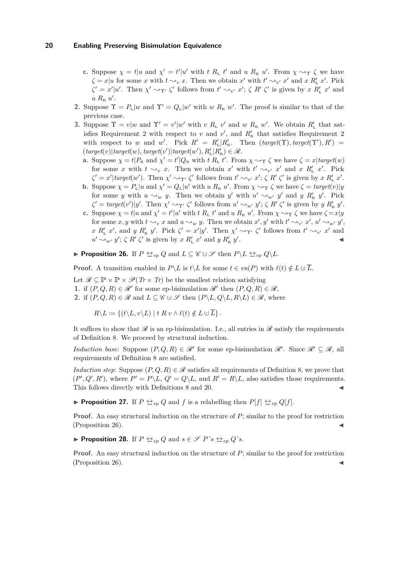- **c.** Suppose  $\chi = t | u$  and  $\chi' = t' | u'$  with *t R<sub>L</sub> t'* and *u R<sub>R</sub> u'*. From  $\chi \rightarrow \gamma \zeta$  we have  $\zeta = x | u$  for some *x* with  $t \sim_v x$ . Then we obtain  $x'$  with  $t' \sim_{v'} x'$  and  $x R'_{L} x'$ . Pick  $\zeta' = x'|u'$ . Then  $\chi' \sim_{\Upsilon'} \zeta'$  follows from  $t' \sim_{v'} x'; \zeta R' \zeta'$  is given by  $x R'_{L} x'$  and  $u R_{\rm R} u'$ .
- **2.** Suppose  $\Upsilon = P_L|w$  and  $\Upsilon' = Q_L|w'$  with *w*  $R_R w'$ . The proof is similar to that of the previous case.
- **3.** Suppose  $\Upsilon = v/w$  and  $\Upsilon' = v'|w'$  with *v R*<sub>L</sub> *v'* and *w R*<sub>R</sub> *w'*. We obtain  $R'_{\text{L}}$  that satisfies Requirement 2 with respect to *v* and  $v'$ , and  $R'_{R}$  that satisfies Requirement 2 with respect to *w* and *w'*. Pick  $R' = R'_{L} | R'_{R}$ . Then  $(target(\Upsilon), target(\Upsilon'), R') =$  $(\text{target}(v)|\text{target}(w), \text{target}(v')|\text{target}(w'), R'_{L}|R'_{R}) \in \mathcal{R}.$ 
	- **a.** Suppose  $\chi = t | P_R$  and  $\chi' = t' | Q_R$  with *t*  $R_L t'$ . From  $\chi \rightarrow \gamma \zeta$  we have  $\zeta = x | target(w)$ for some *x* with  $t \sim_v x$ . Then we obtain  $x'$  with  $t' \sim_{v'} x'$  and  $x R'_{L} x'$ . Pick  $\zeta' = x'| \text{target}(w')$ . Then  $\chi' \sim_{\Upsilon'} \zeta'$  follows from  $t' \sim_{v'} x'; \zeta R' \zeta'$  is given by  $x R'_{L} x'$ .
	- **b.** Suppose  $\chi = P_L |u \text{ and } \chi' = Q_L |u' \text{ with } u R_R u'$ . From  $\chi \rightarrow \gamma \zeta$  we have  $\zeta = target(v) | y$ for some *y* with  $u \sim_w y$ . Then we obtain *y'* with  $u' \sim_w y'$  and *y R'*<sub>R</sub> *y'*. Pick  $\zeta' = \text{target}(v')|y'.$  Then  $\chi' \rightarrow_{\Upsilon'} \zeta'$  follows from  $u' \rightarrow_{w'} y'; \zeta R' \zeta'$  is given by  $y R'_{R} y'.$
	- c. Suppose  $\chi = t | u$  and  $\chi' = t' | u'$  with *t R*<sub>L</sub> *t'* and *u R*<sub>R</sub> *u'*. From  $\chi \rightarrow \gamma \zeta$  we have  $\zeta = x | y$ for some  $x, y$  with  $t \sim_v x$  and  $u \sim_w y$ . Then we obtain  $x', y'$  with  $t' \sim_{v'} x', u' \sim_{w'} y'$ , *x R'*<sub>*x*</sub> *x'*, and *y R'*<sub>*x*</sub> *y'*. Pick  $\zeta' = x'|y'$ . Then  $\chi' \sim_{\Upsilon'} \zeta'$  follows from  $t' \sim_{v'} x'$  and  $u' \sim_{w'} y'$ ;  $\zeta R' \zeta'$  is given by  $x R'_{L} x'$  and  $y R'_{R} y'$ . ◀

<span id="page-19-1"></span>▶ **Proposition 26.** If  $P \triangleq_{ep} Q$  and  $L \subseteq \mathscr{C} \cup \mathscr{S}$  then  $P \setminus L \triangleq_{ep} Q \setminus L$ .

**Proof.** A transition enabled in *P*\*L* is *t*\*L* for some  $t \in en(P)$  with  $\ell(t) \notin L \cup \overline{L}$ .

Let  $\mathscr{R} \subseteq \mathbb{P} \times \mathbb{P} \times \mathscr{P}(Tr \times Tr)$  be the smallest relation satisfying **1.** if  $(P, Q, R) \in \mathcal{R}'$  for some ep-bisimulation  $\mathcal{R}'$  then  $(P, Q, R) \in \mathcal{R}$ , **2.** if  $(P,Q,R) \in \mathcal{R}$  and  $L \subseteq \mathcal{C} \cup \mathcal{S}$  then  $(P \setminus L, Q \setminus L, R \setminus L) \in \mathcal{R}$ , where

 $R\setminus L := \{(t\setminus L, v\setminus L) \mid t \mathrel R v \wedge \ell(t) \notin L \cup \overline{L}\}.$ 

It suffices to show that  $\mathscr R$  is an ep-bisimulation. I.e., all entries in  $\mathscr R$  satisfy the requirements of Definition [8.](#page-3-0) We proceed by structural induction.

*Induction base:* Suppose  $(P,Q,R) \in \mathcal{R}'$  for some ep-bisimulation  $\mathcal{R}'$ . Since  $\mathcal{R}' \subseteq \mathcal{R}$ , all requirements of Definition [8](#page-3-0) are satisfied.

*Induction step*: Suppose  $(P, Q, R) \in \mathcal{R}$  satisfies all requirements of Definition [8,](#page-3-0) we prove that  $(P', Q', R')$ , where  $P' = P \setminus L$ ,  $Q' = Q \setminus L$ , and  $R' = R \setminus L$ , also satisfies those requirements. This follows directly with Definitions [8](#page-3-0) and [20.](#page-11-0)

▶ **Proposition 27.** If  $P \Leftrightarrow_{ep} Q$  and  $f$  is a relabelling then  $P[f] \Leftrightarrow_{ep} Q[f]$ .

**Proof.** An easy structural induction on the structure of *P*; similar to the proof for restriction  $(Proposition 26).$  $(Proposition 26).$  $(Proposition 26).$ 

<span id="page-19-0"></span>▶ **Proposition 28.** If  $P \Leftrightarrow_{ep} Q$  and  $s \in \mathcal{S}$   $P^s s \Leftrightarrow_{ep} Q^s s$ .

**Proof.** An easy structural induction on the structure of *P*; similar to the proof for restriction  $(Proposition 26)$  $(Proposition 26)$ .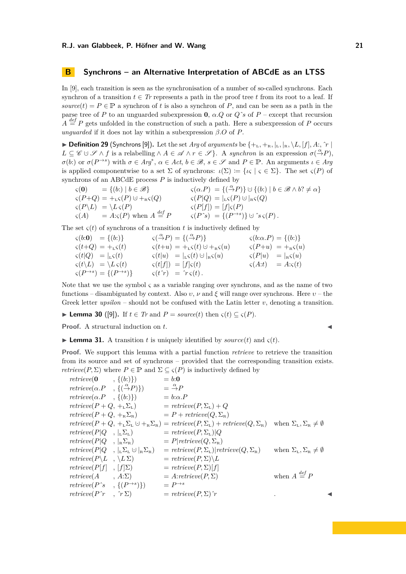# <span id="page-20-0"></span>**B Synchrons – an Alternative Interpretation of ABCdE as an LTSS**

In [\[9\]](#page-15-6), each transition is seen as the synchronisation of a number of so-called synchrons. Each synchron of a transition  $t \in Tr$  represents a path in the proof tree t from its root to a leaf. If  $source(t) = P \in \mathbb{P}$  a synchron of *t* is also a synchron of *P*, and can be seen as a path in the parse tree of *P* to an unguarded subexpression **0**,  $\alpha$ . *Q* or *Q*<sup> $\alpha$ </sup> of *P* – except that recursion  $A \stackrel{def}{=} P$  gets unfolded in the construction of such a path. Here a subexpression of *P* occurs *unguarded* if it does not lay within a subexpression  $\beta.O$  of  $P$ .

 $\triangleright$  **Definition 29** (Synchrons [\[9\]](#page-15-6)). Let the set *Arg* of *arguments* be  $\{+_{\text{L}},+_{\text{R}},\vert_{\text{L}},\vert_{\text{R}},\setminus L,[f],A:\hat{r}\}\$  $L \subseteq \mathscr{C} \cup \mathscr{S} \wedge f$  is a relabelling  $\wedge A \in \mathscr{A} \wedge r \in \mathscr{S}$ . A *synchron* is an expression  $\sigma(\stackrel{\alpha}{\rightarrow} P)$ ,  $\sigma(b)$ : or  $\sigma(P \to s)$  with  $\sigma \in Arg^*$ ,  $\alpha \in Act$ ,  $b \in \mathcal{B}$ ,  $s \in \mathcal{S}$  and  $P \in \mathbb{P}$ . An arguments  $\iota \in Arg$ is applied componentwise to a set  $\Sigma$  of synchrons:  $\iota(\Sigma) := {\iota \varsigma \mid \varsigma \in \Sigma}$ . The set  $\varsigma(P)$  of synchrons of an ABCdE process *P* is inductively defined by

$$
\begin{array}{lll}\n\varsigma(\mathbf{0}) & = \{ (b:) \mid b \in \mathcal{B} \} & \varsigma(\alpha.P) = \{ (\overset{\alpha}{\rightarrow} P) \} \cup \{ (b:) \mid b \in \mathcal{B} \land b? \neq \alpha \} \\
\varsigma(P+Q) & = \underset{\varsigma(P)}{\downarrow} \varsigma(P) \cup +_{\kappa} \varsigma(Q) & \varsigma(P|Q) = |_{\kappa} \varsigma(P) \cup |_{\kappa} \varsigma(Q) \\
\varsigma(P\backslash L) & = \underset{\varsigma(P)}{\downarrow} \varsigma(P) \quad \text{when } A \stackrel{\text{def}}{=} P & \varsigma(P^{\star}s) = \{ (P^{\to s}) \} \cup \, \varsigma_{S}(P) \,.\n\end{array}
$$

The set  $\varsigma(t)$  of synchrons of a transition *t* is inductively defined by

| $\varsigma(b:0) = \{(b:\})\}$                             |  | $\varsigma(\stackrel{\alpha}{\rightarrow}P) = \{(\stackrel{\alpha}{\rightarrow}P)\}$ | $\varsigma(b:\alpha.P)=\{(b:\})$          |
|-----------------------------------------------------------|--|--------------------------------------------------------------------------------------|-------------------------------------------|
| $\varsigma(t+Q) = +_{L}\varsigma(t)$                      |  | $\varsigma(t+u) = +_{L}\varsigma(t) \cup +_{R}\varsigma(u)$                          | $\varsigma(P+u) = +_{\rm R} \varsigma(u)$ |
| $\varsigma(t Q) =  _{L}\varsigma(t) $                     |  | $\varsigma(t u) =  _{\mathsf{L}}\varsigma(t) \cup  _{\mathsf{R}}\varsigma(u)$        | $\varsigma(P u) =  \kappa \varsigma(u) $  |
| $\varsigma(t\backslash L) = \backslash L \, \varsigma(t)$ |  | $\varsigma(t[f]) = [f]\varsigma(t)$                                                  | $\varsigma(A:t) = A \cdot \varsigma(t)$   |
| $\varsigma(P^{\to s}) = \{(P^{\to s})\}$                  |  | $\zeta(t\,\hat{\,\,}r) = \hat{r}\,\zeta(t)\,.$                                       |                                           |

Note that we use the symbol *ς* as a variable ranging over synchrons, and as the name of two functions – disambiguated by context. Also *υ*, *ν* and *ξ* will range over synchrons. Here *υ* – the Greek letter  $upsilon -$  should not be confused with the Latin letter  $v$ , denoting a transition.

▶ **Lemma 30** ([\[9\]](#page-15-6)). If  $t \in Tr$  and  $P = source(t)$  then  $\varsigma(t) \subseteq \varsigma(P)$ .

**Proof.** A structural induction on *t*.

<span id="page-20-1"></span> $\blacktriangleright$  **Lemma 31.** A transition *t* is uniquely identified by *source*(*t*) and *ς*(*t*).

**Proof.** We support this lemma with a partial function *retrieve* to retrieve the transition from its source and set of synchrons – provided that the corresponding transition exists. *retrieve*( $P, \Sigma$ ) where  $P \in \mathbb{P}$  and  $\Sigma \subseteq \varsigma(P)$  is inductively defined by

$$
metricve(0, \{(b:)\}) = b:0
$$
  
\n
$$
metricve(\alpha.P, \{(c\rightarrow P)\}) = \frac{\alpha}{\rightarrow}P
$$
  
\n
$$
metricve(P + Q, +_L\Sigma_L) = retrieve(P, \Sigma_L) + Q
$$
  
\n
$$
metricve(P + Q, +_R\Sigma_R) = P + retrieve(Q, \Sigma_R)
$$
  
\n
$$
metricve(P + Q, +_L\Sigma_L \cup +_R\Sigma_R) = retrieve(P, \Sigma_L) + retrieve(Q, \Sigma_R)
$$
 when  $\Sigma_L, \Sigma_R \neq \emptyset$   
\n
$$
metricve(P|Q, \{L\Sigma_L\}) = retrieve(P, \Sigma_L)|Q
$$
  
\n
$$
metricve(P|Q, \{L\Sigma_L\}) = retrieve(P, \Sigma_L)|Q
$$
  
\n
$$
metricve(P|Q, \{L\Sigma_L\}) = P||
$$
  
\n
$$
metricve(P|Q, \{L\Sigma_L\} = P||)
$$
  
\n
$$
metricve(P|Q, \{L\Sigma_L\} = retrieve(P, \Sigma_L)|
$$
  
\n
$$
metricve(P|f, \{L\Sigma\}) = retrieve(P, \Sigma)|
$$
  
\n
$$
metricve(P|f, \{f\}\Sigma) = retrieve(P, \Sigma)|f|
$$
  
\n
$$
metricve(A, A:\Sigma) = A: retrieve(P, \Sigma)
$$
  
\n
$$
metricve(P^* , \{P^*S\}) = P^{\rightarrow s}
$$
  
\n
$$
metricve(P^* , \{P^*S\}) = P^{\rightarrow s}
$$
  
\n
$$
metricve(P^* , \{P^*S\}) = retrieve(P, \Sigma) \uparrow
$$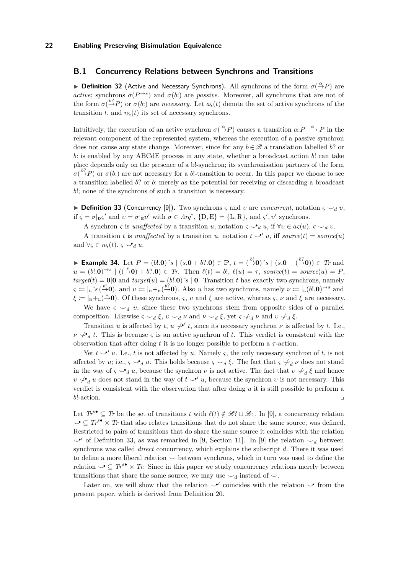# **B.1 Concurrency Relations between Synchrons and Transitions**

**▶ Definition 32** (Active and Necessary Synchrons). All synchrons of the form  $σ($ <sup>α</sup> $\rightarrow$ *P*) are *active*; synchrons  $\sigma(P^{\to s})$  and  $\sigma(b)$  are *passive*. Moreover, all synchrons that are not of the form  $\sigma(\frac{b?}{\rightarrow}P)$  or  $\sigma(b)$  are *necessary*. Let  $a\varsigma(t)$  denote the set of active synchrons of the transition *t*, and  $n\varsigma(t)$  its set of necessary synchrons.

Intuitively, the execution of an active synchron  $\sigma(\stackrel{\alpha}{\to}P)$  causes a transition  $\alpha.P \stackrel{\alpha}{\longrightarrow} P$  in the relevant component of the represented system, whereas the execution of a passive synchron does not cause any state change. Moreover, since for any  $b \in \mathcal{B}$  a translation labelled *b*? or *b*: is enabled by any ABCdE process in any state, whether a broadcast action *b*! can take place depends only on the presence of a b!-synchron; its synchronisation partners of the form  $\sigma$ ( $\stackrel{b?}{\rightarrow}$ *P*) or  $\sigma$ (*b*:) are not necessary for a *b*!-transition to occur. In this paper we choose to see a transition labelled *b*? or *b*: merely as the potential for receiving or discarding a broadcast *b*!; none of the synchrons of such a transition is necessary.

<span id="page-21-0"></span> $\triangleright$  **Definition 33** (Concurrency [\[9\]](#page-15-6)). Two synchrons *ς* and *v* are *concurrent*, notation  $\varsigma \smile_d v$ , if  $\varsigma = \sigma|_{\text{D}}\varsigma'$  and  $v = \sigma|_{\text{E}}v'$  with  $\sigma \in Arg^*$ ,  $\{\text{D},\text{E}\} = \{\text{L},\text{R}\}$ , and  $\varsigma', v'$  synchrons.

A synchron *ς* is *unaffected* by a transition *u*, notation  $\varsigma \searrow_d u$ , if  $\forall v \in a\varsigma(u)$ .  $\varsigma \searrow_d v$ .

A transition *t* is *unaffected* by a transition *u*, notation  $t \rightarrow u$ , iff *source*(*t*) = *source*(*u*) and  $\forall \varsigma \in n\varsigma(t)$ *.*  $\varsigma \rightarrow_d u$ .

► Example 34. Let  $P = (b!/0)$  s  $| (s.0 + b?0) \in \mathbb{P}$ ,  $t = (\stackrel{b!}{\rightarrow} 0)$  s  $| (s.0 + (\stackrel{b?}{\rightarrow} 0)) \in Tr$  and  $u = (b!.0)^{\rightarrow s} \mid ((\stackrel{s}{\rightarrow} 0) + b?.0) \in Tr$ . Then  $\ell(t) = b!$ ,  $\ell(u) = \tau$ , source $(t) = source(u) = P$ .  $target(t) = 0$ |**0** and  $target(u) = (b!.0)$ ˆ $s$  | **0**. Transition *t* has exactly two synchrons, namely  $\mathbf{y} := \int_{\mathbb{R}} \hat{\mathbf{y}} \left( \frac{b}{2} \mathbf{0} \right)$ , and  $v := \int_{\mathbb{R}} \mathbf{y} \left( \frac{b}{2} \mathbf{0} \right)$ . Also *u* has two synchrons, namely  $\nu := \int_{\mathbb{R}} (b \cdot \mathbf{0})^{-s}$  and  $\xi = \vert_{R} + \hat{L}(0, \frac{s}{c})$ . Of these synchrons, *ς*, *v* and *ξ* are active, whereas *ς*, *ν* and *ξ* are necessary.

We have  $\zeta \searrow_d v$ , since these two synchrons stem from opposite sides of a parallel composition. Likewise  $\varsigma \smile_d \xi$ ,  $v \smile_d \nu$  and  $v \smile_d \xi$ , yet  $\varsigma \not\downarrow_d \nu$  and  $v \not\downarrow_d \xi$ .

Transition *u* is affected by *t*,  $u \not\smile' t$ , since its necessary synchron  $\nu$  is affected by *t*. I.e.,  $\nu \neq d$ , *t*. This is because *ς* is an active synchron of *t*. This verdict is consistent with the observation that after doing  $t$  it is no longer possible to perform a  $\tau$ -action.

Yet  $t \rightarrow u$ . I.e., *t* is not affected by *u*. Namely *ς*, the only necessary synchron of *t*, is not affected by *u*; i.e.,  $\varsigma \searrow_d u$ . This holds because  $\varsigma \searrow_d \xi$ . The fact that  $\varsigma \not\downarrow_d \nu$  does not stand in the way of  $\zeta \searrow_d u$ , because the synchron  $\nu$  is not active. The fact that  $v \not\downarrow_d \xi$  and hence  $v \not\downarrow_d u$  does not stand in the way of  $t \searrow' u$ , because the synchron *v* is not necessary. This verdict is consistent with the observation that after doing *u* it is still possible to perform a *b*!-action.

Let  $Tr^s \subset Tr$  be the set of transitions *t* with  $\ell(t) \notin \mathcal{B}$ ? ∪  $\mathcal{B}$ : . In [\[9\]](#page-15-6), a concurrency relation  $\mathcal{I} \subset T_r^{s\bullet} \times T_r$  that also relates transitions that do not share the same source, was defined. Restricted to pairs of transitions that do share the same source it coincides with the relation  $\rightarrow'$  of Definition [33,](#page-21-0) as was remarked in [\[9,](#page-15-6) Section 11]. In [\[9\]](#page-15-6) the relation  $\rightarrow_d$  between synchrons was called *direct* concurrency, which explains the subscript *d*. There it was used to define a more liberal relation *⌣* between synchrons, which in turn was used to define the relation  $\mathcal{S} \subseteq T^s$ • × *Tr*. Since in this paper we study concurrency relations merely between transitions that share the same source, we may use  $\smile_d$  instead of  $\smile$ .

Later on, we will show that the relation  $\checkmark$  coincides with the relation  $\checkmark$  from the present paper, which is derived from Definition [20.](#page-11-0)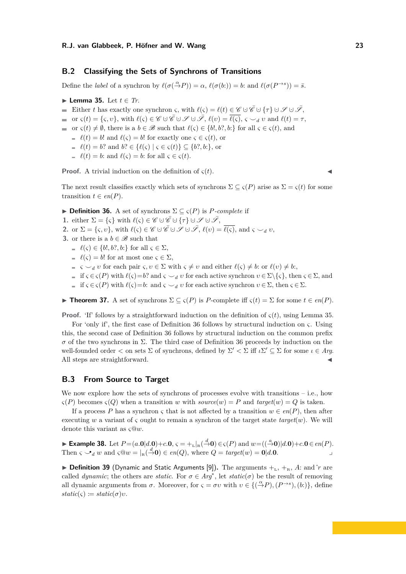# **B.2 Classifying the Sets of Synchrons of Transitions**

<span id="page-22-0"></span>Define the *label* of a synchron by  $\ell(\sigma(\stackrel{\alpha}{\to}P)) = \alpha$ ,  $\ell(\sigma(b:)) = b$ : and  $\ell(\sigma(P^{\to s})) = \overline{s}$ .

▶ **Lemma 35.** Let *t* ∈ *Tr*.

Either *t* has exactly one synchron *ς*, with  $\ell(\varsigma) = \ell(t) \in \mathscr{C} \cup \overline{\mathscr{C}} \cup \{\tau\} \cup \mathscr{S} \cup \overline{\mathscr{S}}$ ,

 $\bullet$  or  $\varsigma(t) = {\varsigma, v}$ , with  $\ell(\varsigma) \in \mathscr{C} \cup \overline{\mathscr{C}} \cup \mathscr{S} \cup \mathscr{S}, \ell(v) = \overline{\ell(\varsigma)}, \varsigma \smile_d v \text{ and } \ell(t) = \tau$ ,

 $\blacksquare$  or *ς*(*t*) ≠  $\emptyset$ , there is a *b* ∈  $\mathscr B$  such that  $\ell(\varsigma) \in \{b!, b?, b:\}$  for all  $\varsigma \in \varsigma(t)$ , and

 $\ell(t) = b!$  and  $\ell(\varsigma) = b!$  for exactly one  $\varsigma \in \varsigma(t)$ , or

- $\ell(t) = b$ ? and  $b$ ?  $\in \{ \ell(\varsigma) \mid \varsigma \in \varsigma(t) \} \subset \{ b$ ?*, b*: }, or
- $\ell(t) = b$ : and  $\ell(\varsigma) = b$ : for all  $\varsigma \in \varsigma(t)$ .

**Proof.** A trivial induction on the definition of  $\varsigma(t)$ .

The next result classifies exactly which sets of synchrons  $\Sigma \subseteq \varsigma(P)$  arise as  $\Sigma = \varsigma(t)$  for some transition  $t \in en(P)$ .

<span id="page-22-1"></span>**► Definition 36.** A set of synchrons  $\Sigma \subseteq \varsigma(P)$  is *P-complete* if

- **1.** either  $\Sigma = \{\varsigma\}$  with  $\ell(\varsigma) \in \mathscr{C} \cup \overline{\mathscr{C}} \cup \{\tau\} \cup \mathscr{S} \cup \overline{\mathscr{S}},$
- **2.** or  $\Sigma = \{\varsigma, v\}$ , with  $\ell(\varsigma) \in \mathscr{C} \cup \bar{\mathscr{C}} \cup \mathscr{S} \cup \mathscr{S} \cup \bar{\mathscr{S}}, \ell(v) = \overline{\ell(\varsigma)}$ , and  $\varsigma \smile_d v$ ,
- <span id="page-22-4"></span>**3.** or there is a  $b \in \mathcal{B}$  such that
	- $\ell$  (*ς*) ∈ {*b*!*, b*?*, b*:} for all *ς* ∈ Σ,
	- $\ell(\varsigma) = b!$  for at most one  $\varsigma \in \Sigma$ ,
	- $\leq \zeta \leq d$  *v* for each pair  $\zeta, v \in \Sigma$  with  $\zeta \neq v$  and either  $\ell(\zeta) \neq b$ : or  $\ell(v) \neq b$ :
	- $\leq$  if *ς* ∈ *ς*(*P*) with  $\ell$ (*ς*)=*b*? and *ς*  $\sim$ <sub>*d</sub> v* for each active synchron *v* ∈ Σ\{*ς*}, then *ς* ∈ Σ, and</sub>
	- $\leq$  if *ς* ∈ *ς*(*P*) with  $\ell$ (*ς*)=*b*: and *ς →*<sub>*d</sub> v* for each active synchron *ν* ∈ Σ, then *ς* ∈ Σ.</sub>

<span id="page-22-2"></span>▶ **Theorem 37.** A set of synchrons Σ ⊆ *ς*(*P*) is *P*-complete iff *ς*(*t*) = Σ for some *t* ∈ *en*(*P*).

**Proof.** 'If' follows by a straightforward induction on the definition of  $\varsigma(t)$ , using Lemma [35.](#page-22-0)

For 'only if', the first case of Definition [36](#page-22-1) follows by structural induction on *ς*. Using this, the second case of Definition [36](#page-22-1) follows by structural induction on the common prefix *σ* of the two synchrons in Σ. The third case of Definition [36](#page-22-1) proceeds by induction on the well-founded order  $\lt$  on sets  $\Sigma$  of synchrons, defined by  $\Sigma' \lt \Sigma$  iff  $\iota \Sigma' \subseteq \Sigma$  for some  $\iota \in Arg$ . All steps are straightforward.

# <span id="page-22-3"></span>**B.3 From Source to Target**

We now explore how the sets of synchrons of processes evolve with transitions  $-$  i.e., how  $\varsigma(P)$  becomes  $\varsigma(Q)$  when a transition *w* with *source*(*w*) = *P* and *target*(*w*) = *Q* is taken.

If a process *P* has a synchron  $\varsigma$  that is not affected by a transition  $w \in en(P)$ , then after executing *w* a variant of *ς* ought to remain a synchron of the target state  $target(w)$ . We will denote this variant as *ς*@*w*.

► Example 38. Let  $P = (a.0|d.0) + c.0$ ,  $\varsigma = +_L|_{\mathbb{R}}(\stackrel{d}{\to}0) \in \varsigma(P)$  and  $w = ((\stackrel{a}{\to}0)|d.0) + c.0 \in en(P)$ . Then  $\varsigma \rightarrow_d w$  and  $\varsigma \circ w = |_{\mathbb{R}}(\stackrel{d}{\rightarrow}0) \in en(Q)$ , where  $Q = target(w) = 0|d.\mathbf{0}$ .

<span id="page-22-5"></span>▶ **Definition 39** (Dynamic and Static Arguments [\[9\]](#page-15-6)). The arguments  $+$ <sub>L</sub>,  $+$ <sub>R</sub>, *A*: and  $\hat{r}$  are called *dynamic*; the others are *static*. For  $\sigma \in Arg^*$ , let *static*( $\sigma$ ) be the result of removing all dynamic arguments from  $\sigma$ . Moreover, for  $\varsigma = \sigma v$  with  $v \in \{(\stackrel{\alpha}{\to} P), (P^{\to s}), (b:\})\}$ , define  $static(\varsigma) := static(\sigma)v$ .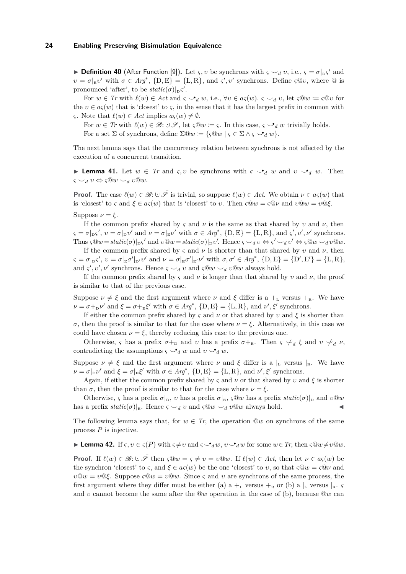**• Definition 40** (After Function [\[9\]](#page-15-6)). Let *ς, v* be synchrons with  $\varsigma \smile_d v$ , i.e.,  $\varsigma = \sigma|_{\text{D}}\varsigma'$  and  $\nu = \sigma|_{E}v'$  with  $\sigma \in Arg^*$ ,  $\{D, E\} = \{L, R\}$ , and  $\zeta', v'$  synchrons. Define  $\zeta \circ v$ , where  $\circledcirc$  is pronounced 'after', to be  $static(\sigma)|_D \varsigma'.$ 

For  $w \in Tr$  with  $\ell(w) \in Act$  and  $\varsigma \smile_d w$ , i.e.,  $\forall v \in a\varsigma(w)$ .  $\varsigma \smile_d v$ , let  $\varsigma @w \coloneqq \varsigma @v$  for the  $v \in a\varsigma(w)$  that is 'closest' to  $\varsigma$ , in the sense that it has the largest prefix in common with *ς*. Note that  $\ell(w) \in Act$  implies  $a\varsigma(w) \neq \emptyset$ .

For  $w \in Tr$  with  $\ell(w) \in \mathscr{B} : \cup \overline{\mathscr{S}}$ , let  $\varsigma @ w := \varsigma$ . In this case,  $\varsigma \circ \mathscr{S}_d w$  trivially holds. For a set  $\Sigma$  of synchrons, define  $\Sigma @w \coloneqq {\varsigma @w \mid {\varsigma \in \Sigma \wedge {\varsigma \smile_d w}}}$ .

The next lemma says that the concurrency relation between synchrons is not affected by the execution of a concurrent transition.

<span id="page-23-1"></span>**Example 41.** Let  $w \in Tr$  and  $\varsigma, v$  be synchrons with  $\varsigma \searrow_d w$  and  $v \searrow_d w$ . Then  $\varsigma \smile_d v \Leftrightarrow \varsigma @w \smile_d v @w.$ 

**Proof.** The case  $\ell(w) \in \mathcal{B}: \cup \overline{\mathcal{S}}$  is trivial, so suppose  $\ell(w) \in \Lambda$ ct. We obtain  $\nu \in a_{\mathcal{S}}(w)$  that is 'closest' to *ς* and  $\xi \in a_{\varsigma}(w)$  that is 'closest' to *v*. Then  $\varsigma @ w = \varsigma @ \nu$  and  $v @ w = v @ \xi$ . Suppose  $\nu = \xi$ .

If the common prefix shared by  $\varsigma$  and  $\nu$  is the same as that shared by  $\nu$  and  $\nu$ , then  $\varsigma = \sigma|_{\text{D}}\varsigma', v = \sigma|_{\text{D}}v'$  and  $\nu = \sigma|_{\text{E}}\nu'$  with  $\sigma \in Arg^*$ ,  $\{\text{D}, \text{E}\} = \{\text{L}, \text{R}\}$ , and  $\varsigma', v', \nu'$  synchrons. Thus  $\varsigma @ w = static(\sigma)|_{\mathcal{D}} \varsigma'$  and  $v @ w = static(\sigma)|_{\mathcal{D}} v'$ . Hence  $\varsigma \smile_d v \Leftrightarrow \varsigma' \smile_d v' \Leftrightarrow \varsigma @ w \smile_d v @ w$ .

If the common prefix shared by  $\varsigma$  and  $\nu$  is shorter than that shared by *v* and  $\nu$ , then  $\zeta = \sigma|_{\mathcal{D}}\zeta', \ v = \sigma|_{\mathcal{E}}\sigma'|_{\mathcal{D}'}v' \text{ and } \nu = \sigma|_{\mathcal{E}}\sigma'|_{\mathcal{E}'}\nu' \text{ with } \sigma, \sigma' \in \mathit{Arg}^*, \{\mathcal{D}, \mathcal{E}\} = {\mathcal{D}', \mathcal{E}'} = {\mathcal{L}', \mathcal{R}}$ and *ς'*,  $v'$ ,  $\nu'$  synchrons. Hence  $\varsigma \smile_d v$  and  $\varsigma @ w \smile_d v @ w$  always hold.

If the common prefix shared by  $\varsigma$  and  $\nu$  is longer than that shared by  $\nu$  and  $\nu$ , the proof is similar to that of the previous case.

Suppose  $\nu \neq \xi$  and the first argument where  $\nu$  and  $\xi$  differ is a  $+_{\text{L}}$  versus  $+_{\text{R}}$ . We have  $\nu = \sigma +_{\text{D}} \nu'$  and  $\xi = \sigma +_{\text{E}} \xi'$  with  $\sigma \in \text{Arg}^*$ ,  $\{\text{D}, \text{E}\} = \{\text{L}, \text{R}\}$ , and  $\nu', \xi'$  synchrons.

If either the common prefix shared by *ς* and *ν* or that shared by *υ* and *ξ* is shorter than *σ*, then the proof is similar to that for the case where  $ν = ξ$ . Alternatively, in this case we could have chosen  $\nu = \xi$ , thereby reducing this case to the previous one.

Otherwise, *ς* has a prefix  $\sigma +_D$  and *ν* has a prefix  $\sigma +_E$ . Then *ς*  $\neq_d$  *ξ* and *ν*  $\neq_d$  *ν*, contradicting the assumptions  $\varsigma \smile_d w$  and  $v \smile_d w$ .

Suppose  $\nu \neq \xi$  and the first argument where  $\nu$  and  $\xi$  differ is a  $\vert_L$  versus  $\vert_R$ . We have  $\nu = \sigma|_{\mathcal{D}}\nu'$  and  $\xi = \sigma|_{\mathcal{E}}\xi'$  with  $\sigma \in Arg^*$ ,  $\{\mathcal{D}, \mathcal{E}\} = \{\mathcal{L}, \mathcal{R}\}$ , and  $\nu', \xi'$  synchrons.

Again, if either the common prefix shared by  $\varsigma$  and  $\nu$  or that shared by  $\nu$  and  $\xi$  is shorter than  $\sigma$ , then the proof is similar to that for the case where  $\nu = \xi$ .

Otherwise, *ς* has a prefix  $\sigma|_D$ , *υ* has a prefix  $\sigma|_E$ , *ςQw* has a prefix *static*(*σ*)|<sub>D</sub> and *νQw* has a prefix  $static(\sigma)|_E$ . Hence  $\varsigma \smile_d v$  and  $\varsigma @w \smile_d v @w$  always hold.

The following lemma says that, for  $w \in Tr$ , the operation  $@w$  on synchrons of the same process *P* is injective.

<span id="page-23-0"></span>▶ **Lemma 42.** If *ς,*  $v \in \varsigma(P)$  with  $\varsigma \neq v$  and  $\varsigma \circ \mathcal{A}_d w$ ,  $v \circ \mathcal{A}_d w$  for some  $w \in Tr$ , then  $\varsigma @w \neq v @w$ .

**Proof.** If  $\ell(w) \in \mathcal{B}: \cup \overline{\mathcal{S}}$  then  $\varsigma @ w = \varsigma \neq v = v @ w$ . If  $\ell(w) \in Act$ , then let  $\nu \in a\varsigma(w)$  be the synchron 'closest' to *ς*, and  $\xi \in a\varsigma(w)$  be the one 'closest' to *v*, so that  $\varsigma @ w = \varsigma @ v$  and *ν* $\mathbb{Q}w = v \mathbb{Q} \xi$ . Suppose *ς* $\mathbb{Q}w = v \mathbb{Q}w$ . Since *ς* and *ν* are synchrons of the same process, the first argument where they differ must be either (a)  $a +_L$  versus  $+_R$  or (b)  $a \mid_L$  versus  $\mid_R$ . and *υ* cannot become the same after the @*w* operation in the case of (b), because @*w* can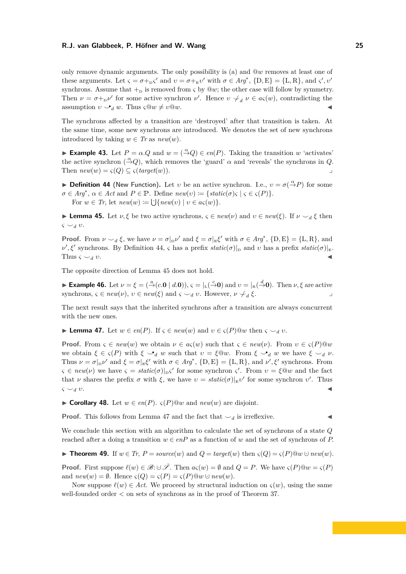only remove dynamic arguments. The only possibility is (a) and @*w* removes at least one of these arguments. Let  $\varsigma = \sigma +_{\text{D}} \varsigma'$  and  $v = \sigma +_{\text{E}} v'$  with  $\sigma \in \text{Arg}^*$ ,  $\{\text{D}, \text{E}\} = \{\text{L}, \text{R}\},\$  and  $\varsigma', v'$ synchrons. Assume that  $+$ <sub>D</sub> is removed from *ς* by  $@w$ ; the other case will follow by symmetry. Then  $\nu = \sigma +_{\text{D}} \nu'$  for some active synchron  $\nu'$ . Hence  $v \neq_d \nu \in a\varsigma(w)$ , contradicting the assumption  $v \rightarrow_d w$ . Thus  $\varsigma \mathbb{Q}w \neq v\mathbb{Q}w$ .

The synchrons affected by a transition are 'destroyed' after that transition is taken. At the same time, some new synchrons are introduced. We denotes the set of new synchrons introduced by taking  $w \in Tr$  as  $new(w)$ .

**► Example 43.** Let  $P = \alpha \cdot Q$  and  $w = (\stackrel{\alpha}{\rightarrow} Q) \in en(P)$ . Taking the transition *w* 'activates' the active synchron  $(\stackrel{\alpha}{\rightarrow} Q)$ , which removes the 'guard'  $\alpha$  and 'reveals' the synchrons in *Q*. Then  $new(w) = \varsigma(Q) \subseteq \varsigma(target(w)).$ 

<span id="page-24-0"></span>**• Definition 44** (New Function). Let *v* be an active synchron. I.e.,  $v = \sigma(\frac{\alpha}{r})P$  for some  $\sigma \in Arg^*$ ,  $\alpha \in Act$  and  $P \in \mathbb{P}$ . Define  $new(v) := \{static(\sigma) \in \mathcal{C} \in \mathcal{C}(P)\}.$ For  $w \in Tr$ , let  $new(w) := \bigcup \{new(v) \mid v \in a\varsigma(w)\}.$ 

<span id="page-24-1"></span>**Example 45.** Let  $\nu, \xi$  be two active synchrons,  $\varsigma \in new(\nu)$  and  $\nu \in new(\xi)$ . If  $\nu \smile_d \xi$  then *ς ⌣<sup>d</sup> υ*.

**Proof.** From  $\nu \sim_d \xi$ , we have  $\nu = \sigma|_{\text{D}}\nu'$  and  $\xi = \sigma|_{\text{E}}\xi'$  with  $\sigma \in Arg^*$ ,  $\{\text{D},\text{E}\} = \{\text{L},\text{R}\}$ , and  $\nu'$ ,  $\xi'$  synchrons. By Definition [44,](#page-24-0) *ς* has a prefix *static*(*σ*)|<sub>D</sub> and *v* has a prefix *static*(*σ*)|<sub>E</sub>. Thus  $\varsigma \smile_d v$ .

The opposite direction of Lemma [45](#page-24-1) does not hold.

► **Example 46.** Let  $\nu = \xi = (\stackrel{a}{\rightarrow}(c.\mathbf{0} \mid d.\mathbf{0}))$ ,  $\varsigma = |_{\text{L}}(\stackrel{c}{\rightarrow}\mathbf{0})$  and  $\nu = |_{\text{R}}(\stackrel{d}{\rightarrow}\mathbf{0})$ . Then  $\nu, \xi$  are active synchrons,  $\varsigma \in \text{new}(\nu)$ ,  $v \in \text{new}(\xi)$  and  $\varsigma \smile_d v$ . However,  $\nu \not\sim_d \xi$ . *ξ*. ⌟

The next result says that the inherited synchrons after a transition are always concurrent with the new ones.

<span id="page-24-2"></span> $\blacktriangleright$  **Lemma 47.** Let  $w \in en(P)$ . If  $\varsigma \in new(w)$  and  $v \in \varsigma(P)@w$  then  $\varsigma \smile_d v$ .

**Proof.** From  $\varsigma \in new(w)$  we obtain  $\nu \in a_{\varsigma}(w)$  such that  $\varsigma \in new(\nu)$ . From  $v \in \varsigma(P)@w$ we obtain  $\xi \in \varsigma(P)$  with  $\xi \searrow_d w$  such that  $v = \xi \mathbb{Q}w$ . From  $\xi \searrow_d w$  we have  $\xi \searrow_d v$ . Thus  $\nu = \sigma|_{\mathcal{D}}\nu'$  and  $\xi = \sigma|_{\mathcal{E}}\zeta'$  with  $\sigma \in \mathcal{A}r\mathcal{g}^*, \{\mathcal{D}, \mathcal{E}\} = \{\mathcal{L}, \mathcal{R}\}, \text{ and } \nu', \xi'$  synchrons. From  $\varsigma \in \text{new}(\nu)$  we have  $\varsigma = \text{static}(\sigma)|_{\text{D}}\varsigma'$  for some synchron  $\varsigma'$ . From  $v = \xi \circ w$  and the fact that *ν* shares the prefix  $\sigma$  with  $\xi$ , we have  $v = static(\sigma)|_{E}v'$  for some synchron *v'*. Thus  $\varsigma \smile_d v.$ 

▶ **Corollary 48.** Let  $w \in en(P)$ .  $\varsigma(P)@w$  and  $new(w)$  are disjoint.

**Proof.** This follows from Lemma [47](#page-24-2) and the fact that  $\smile_d$  is irreflexive.

We conclude this section with an algorithm to calculate the set of synchrons of a state *Q* reached after a doing a transition  $w \in enP$  as a function of *w* and the set of synchrons of *P*.

<span id="page-24-3"></span>▶ **Theorem 49.** If  $w \in Tr$ ,  $P = source(w)$  and  $Q = target(w)$  then  $\varsigma(Q) = \varsigma(P)@w \cup new(w)$ .

**Proof.** First suppose  $\ell(w) \in \mathcal{B}: \cup \bar{\mathcal{S}}$ . Then  $a\varsigma(w) = \emptyset$  and  $Q = P$ . We have  $\varsigma(P)@w = \varsigma(P)$ and  $new(w) = \emptyset$ . Hence  $\varsigma(Q) = \varsigma(P) = \varsigma(P) \mathbb{Q} w \cup new(w)$ .

Now suppose  $\ell(w) \in Act$ . We proceed by structural induction on  $\varsigma(w)$ , using the same well-founded order *<* on sets of synchrons as in the proof of Theorem [37.](#page-22-2)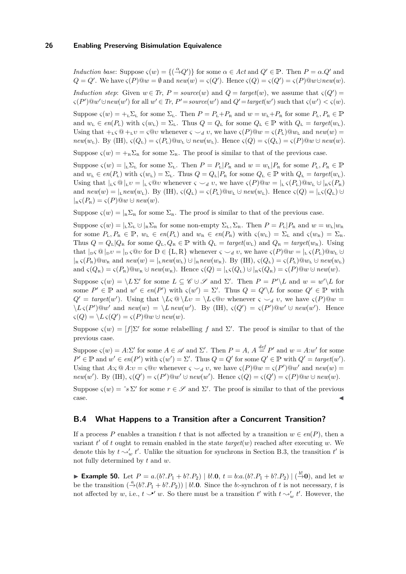*Induction base:* Suppose  $\varsigma(w) = \{(\stackrel{\alpha}{\to} Q')\}$  for some  $\alpha \in \text{Act}$  and  $Q' \in \mathbb{P}$ . Then  $P = \alpha.Q'$  and  $Q = Q'$ . We have  $\varsigma(P) @ w = \emptyset$  and  $new(w) = \varsigma(Q')$ . Hence  $\varsigma(Q) = \varsigma(Q') = \varsigma(P) @ w \cup new(w)$ .

*Induction step*: Given  $w \in Tr$ ,  $P = source(w)$  and  $Q = target(w)$ , we assume that  $\varsigma(Q') =$  $\varsigma(P')@w' \cup new(w')$  for all  $w' \in Tr$ ,  $P' = source(w')$  and  $Q' = target(w')$  such that  $\varsigma(w') < \varsigma(w)$ .

Suppose  $\varsigma(w) = +_L \Sigma_L$  for some  $\Sigma_L$ . Then  $P = P_L + P_R$  and  $w = w_L + P_R$  for some  $P_L, P_R \in \mathbb{P}$ and  $w_L \in en(P_L)$  with  $\varsigma(w_L) = \Sigma_L$ . Thus  $Q = Q_L$  for some  $Q_L \in \mathbb{P}$  with  $Q_L = target(w_L)$ . Using that  $+_{L} \mathcal{S} \mathbb{Q} +_{L} \mathcal{V} = \mathcal{S} \mathbb{Q} \mathcal{V}$  whenever  $\mathcal{S} \setminus \mathcal{A} \mathcal{V}$ , we have  $\mathcal{S}(P) \mathbb{Q} \mathcal{W} = \mathcal{S}(P_L) \mathbb{Q} \mathcal{W}_L$  and  $new(w) =$  $new(w_L)$ . By (IH),  $\varsigma(Q_L) = \varsigma(P_L)@w_L \cup new(w_L)$ . Hence  $\varsigma(Q) = \varsigma(Q_L) = \varsigma(P)@w \cup new(w_L)$ .

Suppose  $\zeta(w) = +_{\mathbb{R}} \Sigma_{\mathbb{R}}$  for some  $\Sigma_{\mathbb{R}}$ . The proof is similar to that of the previous case.

Suppose  $\varsigma(w) = |_{L} \Sigma_{L}$  for some  $\Sigma_{L}$ . Then  $P = P_{L} | P_{R}$  and  $w = w_{L} | P_{R}$  for some  $P_{L}$ ,  $P_{R} \in \mathbb{P}$ and  $w_L \in en(P_L)$  with  $\varsigma(w_L) = \Sigma_L$ . Thus  $Q = Q_L | P_R$  for some  $Q_L \in \mathbb{P}$  with  $Q_L = target(w_L)$ . Using that  $|_L \varsigma \otimes |_L v = |_L \varsigma \otimes v$  whenever  $\varsigma \smile_d v$ , we have  $\varsigma(P) \otimes w = |_L \varsigma(P_L) \otimes w_L \cup |_R \varsigma(P_R)$ and  $new(w) = \vert_{\mathbb{L}} new(w_{\mathbb{L}})$ . By (IH),  $\varsigma(Q_{\mathbb{L}}) = \varsigma(P_{\mathbb{L}}) \oplus w_{\mathbb{L}} \cup new(w_{\mathbb{L}})$ . Hence  $\varsigma(Q) = \vert_{\mathbb{L}} \varsigma(Q_{\mathbb{L}}) \cup$  $\bigcap_{B} \varsigma(P_B) = \varsigma(P) \mathbb{Q} w \cup \text{new}(w).$ 

Suppose  $\zeta(w) = |_{R}\Sigma_{R}$  for some  $\Sigma_{R}$ . The proof is similar to that of the previous case.

Suppose  $\varsigma(w) = |L \Sigma_L \cup R \Sigma_R$  for some non-empty  $\Sigma_L, \Sigma_R$ . Then  $P = P_L | P_R$  and  $w = w_L | w_R$ for some  $P_L, P_R \in \mathbb{P}, w_L \in en(P_L)$  and  $w_R \in en(P_R)$  with  $\varsigma(w_L) = \Sigma_L$  and  $\varsigma(w_R) = \Sigma_R$ . Thus  $Q = Q_{\text{L}}|Q_{\text{R}}$  for some  $Q_{\text{L}}$ ,  $Q_{\text{R}} \in \mathbb{P}$  with  $Q_{\text{L}} = target(w_{\text{L}})$  and  $Q_{\text{R}} = target(w_{\text{R}})$ . Using that  $|D \varsigma \otimes |D \upsilon| = |D \varsigma \otimes \upsilon|$  for  $D \in \{L, R\}$  whenever  $\varsigma \smile_d \upsilon$ , we have  $\varsigma(P) \otimes w = |L \varsigma(P_L) \otimes w_L \cup$  $|R|_{\mathcal{R}} \zeta(P_{\mathcal{R}}) @ w_{\mathcal{R}} \text{ and } new(w) = |L| \cdot new(w_{\mathcal{L}}) \cup |R| \cdot new(w_{\mathcal{R}}). \text{ By (IH)}, \ \zeta(Q_{\mathcal{L}}) = \zeta(P_{\mathcal{L}}) @ w_{\mathcal{L}} \cup new(w_{\mathcal{L}}) \cdot new(w_{\mathcal{L}}) \cdot new(w_{\mathcal{R}}).$ and  $\varsigma(Q_{\rm R}) = \varsigma(P_{\rm R})@w_{\rm R} \cup new(w_{\rm R})$ . Hence  $\varsigma(Q) = |_{\rm L}\varsigma(Q_{\rm L}) \cup |_{\rm R}\varsigma(Q_{\rm R}) = \varsigma(P)@w \cup new(w)$ .

Suppose  $\varsigma(w) = \langle L \Sigma' \rangle$  for some  $L \subseteq \mathscr{C} \cup \mathscr{S}$  and  $\Sigma'$ . Then  $P = P' \setminus L$  and  $w = w' \setminus L$  for some  $P' \in \mathbb{P}$  and  $w' \in en(P')$  with  $\varsigma(w') = \Sigma'$ . Thus  $Q = Q' \setminus L$  for some  $Q' \in \mathbb{P}$  with  $Q' = target(w')$ . Using that  $\{L \in \mathbb{Q} \mid Lv = \{L \in \mathbb{Q}v \text{ whenever } \varsigma \setminus u \text{ and } v, \text{ we have } \varsigma(P) \mathbb{Q}w = \varsigma(P) \mathbb{Q}w\}$  $\langle L \varsigma(P') \mathbb{Q} w' \text{ and } new(w) = \langle L \text{ new}(w') \rangle$ . By (IH),  $\varsigma(Q') = \varsigma(P') \mathbb{Q} w' \cup new(w')$ . Hence  $\varsigma(Q) = \langle L \, \varsigma(Q') \rangle = \varsigma(P) @w \cup \textit{new}(w).$ 

Suppose  $\varsigma(w) = [f] \Sigma'$  for some relabelling f and  $\Sigma'$ . The proof is similar to that of the previous case.

Suppose  $\varsigma(w) = A \cdot \Sigma'$  for some  $A \in \mathcal{A}$  and  $\Sigma'$ . Then  $P = A$ ,  $A \stackrel{def}{=} P'$  and  $w = A \cdot w'$  for some  $P' \in \mathbb{P}$  and  $w' \in en(P')$  with  $\varsigma(w') = \Sigma'$ . Thus  $Q = Q'$  for some  $Q' \in \mathbb{P}$  with  $Q' = target(w')$ . Using that  $A:\varsigma \t Q A:\upsilon = \varsigma \t Q \upsilon$  whenever  $\varsigma \smile_d \upsilon$ , we have  $\varsigma(P) \t Q \omega = \varsigma(P') \t Q \omega'$  and  $new(w)$  $new(w')$ . By (IH),  $\varsigma(Q') = \varsigma(P')@w' \cup new(w')$ . Hence  $\varsigma(Q) = \varsigma(Q') = \varsigma(P)@w \cup new(w)$ .

Suppose  $\varsigma(w) = \hat{\sigma} s \Sigma'$  for some  $r \in \mathscr{S}$  and  $\Sigma'$ . The proof is similar to that of the previous case.

### **B.4 What Happens to a Transition after a Concurrent Transition?**

If a process *P* enables a transition *t* that is not affected by a transition  $w \in en(P)$ , then a variant  $t'$  of  $t$  ought to remain enabled in the state  $target(w)$  reached after executing  $w$ . We denote this by  $t \sim_w' t'$ . Unlike the situation for synchrons in Section [B.3,](#page-22-3) the transition  $t'$  is not fully determined by *t* and *w*.

<span id="page-25-0"></span>► Example 50. Let  $P = a.(b? \cdot P_1 + b? \cdot P_2) | b! \cdot 0$ ,  $t = b:a.(b? \cdot P_1 + b? \cdot P_2) | (\stackrel{b!}{\rightarrow} 0)$ , and let w be the transition  $\left(\frac{a}{r}(b^2 \cdot P_1 + b^2 \cdot P_2)\right) | b! \cdot \mathbf{0}$ . Since the *b*:-synchron of *t* is not necessary, *t* is not affected by *w*, i.e.,  $t \sim' w$ . So there must be a transition *t'* with  $t \sim'_{w} t'$ . However, the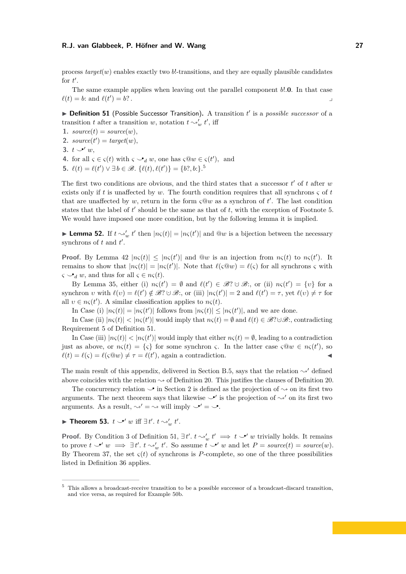process  $target(w)$  enables exactly two  $b!$ -transitions, and they are equally plausible candidates for  $t'$ .

The same example applies when leaving out the parallel component *b*!*.***0**. In that case  $\ell(t) = b$ : and  $\ell(t)$  $) = b$ ? .

<span id="page-26-2"></span>▶ **Definition 51** (Possible Successor Transition). A transition *t'* is a *possible successor* of a transition *t* after a transition *w*, notation  $t \sim v'_w t'$ , iff

1.  $source(t) = source(w)$ ,

- 2.  $source(t') = target(w),$
- <span id="page-26-5"></span>**3.**  $t \searrow^{\prime} w$ ,
- <span id="page-26-3"></span>**4.** for all  $\varsigma \in \varsigma(t)$  with  $\varsigma \circ d$  *w*, one has  $\varsigma @ w \in \varsigma(t')$ , and
- <span id="page-26-1"></span>**[5](#page-26-0).**  $\ell(t) = \ell(t') \lor \exists b \in \mathcal{B}$ .  $\{\ell(t), \ell(t')\} = \{b?, b:\}$ .<sup>5</sup>

The first two conditions are obvious, and the third states that a successor  $t'$  of  $t$  after  $w$ exists only if *t* is unaffected by *w*. The fourth condition requires that all synchrons *ς* of *t* that are unaffected by  $w$ , return in the form  $\varsigma \mathbb{Q} w$  as a synchron of  $t'$ . The last condition states that the label of *t'* should be the same as that of *t*, with the exception of Footnote 5. We would have imposed one more condition, but by the following lemma it is implied.

<span id="page-26-4"></span>**Lemma 52.** If  $t \sim_w' t'$  then  $|n\varsigma(t)| = |n\varsigma(t')|$  and  $\mathbb{Q}w$  is a bijection between the necessary synchrons of  $t$  and  $t'$ .

**Proof.** By Lemma [42](#page-23-0)  $|n\varsigma(t)| \leq |n\varsigma(t')|$  and  $@w$  is an injection from  $n\varsigma(t)$  to  $n\varsigma(t')$ . It remains to show that  $|n\varsigma(t)| = |n\varsigma(t')|$ . Note that  $\ell(\varsigma \circledcirc w) = \ell(\varsigma)$  for all synchrons  $\varsigma$  with  $\varsigma \rightarrow_{d} w$ , and thus for all  $\varsigma \in n\varsigma(t)$ .

By Lemma [35,](#page-22-0) either (i)  $n\varsigma(t') = \emptyset$  and  $\ell(t') \in \mathcal{B}$ ?  $\cup \mathcal{B}$ ;, or (ii)  $n\varsigma(t') = \{v\}$  for a synchron *v* with  $\ell(v) = \ell(t') \notin \mathcal{B}$ ?  $\cup \mathcal{B}$ ;, or (iii)  $|n\varsigma(t')| = 2$  and  $\ell(t') = \tau$ , yet  $\ell(v) \neq \tau$  for all  $v \in n\varsigma(t')$ . A similar classification applies to  $n\varsigma(t)$ .

In Case (i)  $|n\varsigma(t)| = |n\varsigma(t')|$  follows from  $|n\varsigma(t)| \leq |n\varsigma(t')|$ , and we are done.

In Case (ii)  $|n\varsigma(t)| < |n\varsigma(t')|$  would imply that  $n\varsigma(t) = \emptyset$  and  $\ell(t) \in \mathscr{B}$ ? $\cup \mathscr{B}$ :, contradicting Requirement [5](#page-26-1) of Definition [51.](#page-26-2)

In Case (iii)  $|n\varsigma(t)| < |n\varsigma(t')|$  would imply that either  $n\varsigma(t) = \emptyset$ , leading to a contradiction just as above, or  $n\varsigma(t) = {\varsigma}$  for some synchron  $\varsigma$ . In the latter case  $\varsigma @ w \in n\varsigma(t')$ , so  $\ell(t) = \ell(\varsigma) = \ell(\varsigma \mathbb{Q} w) \neq \tau = \ell(t')$ , again a contradiction.

The main result of this appendix, delivered in Section [B.5,](#page-28-0) says that the relation  $\sim'$  defined above coincides with the relation  $\sim$  of Definition [20.](#page-11-0) This justifies the clauses of Definition 20.

The concurrency relation  $\mathcal{S}$  in Section [2](#page-2-0) is defined as the projection of  $\sim$  on its first two arguments. The next theorem says that likewise  $\checkmark'$  is the projection of  $\checkmark'$  on its first two arguments. As a result,  $\sim' = \sim$  will imply  $\checkmark' = \checkmark$ .

▶ **Theorem 53.**  $t$   $\rightarrow' w$  iff  $\exists t'. t \rightsquigarrow' w t'.$ 

**Proof.** By Condition 3 of Definition [51,](#page-26-2)  $\exists t'. t \sim'_{w} t' \implies t \sim' w$  trivially holds. It remains to prove  $t \searrow' w \implies \exists t'. t \rightsquigarrow' w$ . So assume  $t \searrow' w$  and let  $P = source(t) = source(w)$ . By Theorem [37,](#page-22-2) the set  $\varsigma(t)$  of synchrons is *P*-complete, so one of the three possibilities listed in Definition [36](#page-22-1) applies.

<span id="page-26-0"></span><sup>5</sup> This allows a broadcast-receive transition to be a possible successor of a broadcast-discard transition, and vice versa, as required for Example [50b](#page-25-0).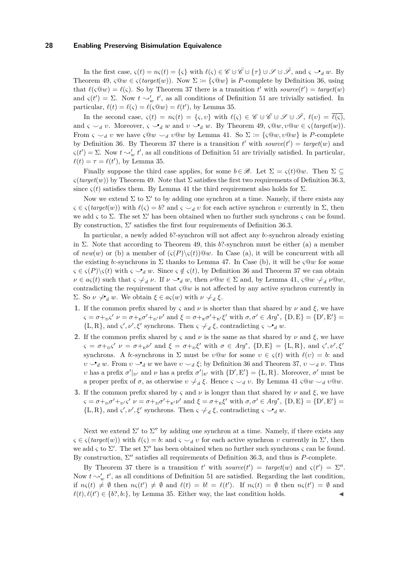In the first case,  $\varsigma(t) = n\varsigma(t) = {\varsigma}$  with  $\ell(\varsigma) \in \mathscr{C} \cup \overline{\mathscr{C}} \cup {\varsigma}$   $\tau$   $\} \cup \mathscr{S} \cup \overline{\mathscr{S}}$ , and  $\varsigma \searrow_d w$ . By Theorem [49,](#page-24-3)  $\varsigma \mathbb{Q} w \in \varsigma (target(w))$ . Now  $\Sigma := {\varsigma \mathbb{Q} w}$  is *P*-complete by Definition [36,](#page-22-1) using that  $\ell(\varsigma \circledcirc w) = \ell(\varsigma)$ . So by Theorem [37](#page-22-2) there is a transition *t'* with *source*(*t'*) = *target*(*w*) and  $\varsigma(t') = \Sigma$ . Now  $t \sim'_{w} t'$ , as all conditions of Definition [51](#page-26-2) are trivially satisfied. In particular,  $\ell(t) = \ell(\varsigma) = \ell(\varsigma \mathbb{Q} w) = \ell(t')$ , by Lemma [35.](#page-22-0)

In the second case,  $\varsigma(t) = n\varsigma(t) = {\varsigma, v}$  with  $\ell(\varsigma) \in \mathscr{C} \cup \overline{\mathscr{C}} \cup \mathscr{S} \cup \overline{\mathscr{S}}, \ell(v) = \overline{\ell(\varsigma)},$ and  $\varsigma \smile_d v$ . Moreover,  $\varsigma \smile_d w$  and  $v \smile_d w$ . By Theorem [49,](#page-24-3)  $\varsigma \mathcal{Q}w, v\mathcal{Q}w \in \varsigma (target(w))$ . From  $\varsigma \smile_d v$  we have  $\varsigma @w \smile_d v @w$  by Lemma [41.](#page-23-1) So  $\Sigma := {\varsigma @w, v @w}$  is *P*-complete by Definition [36.](#page-22-1) By Theorem [37](#page-22-2) there is a transition  $t'$  with  $source(t') = target(w)$  and  $\varsigma(t') = \Sigma$ . Now  $t \sim_w' t'$ , as all conditions of Definition [51](#page-26-2) are trivially satisfied. In particular,  $\ell(t) = \tau = \ell(t')$ , by Lemma [35.](#page-22-0)

Finally suppose the third case applies, for some  $b \in \mathcal{B}$ . Let  $\Sigma = \varsigma(t) @w$ . Then  $\Sigma \subset$  $\varsigma(target(w))$  by Theorem [49.](#page-24-3) Note that  $\Sigma$  satisfies the first two requirements of Definition [36.](#page-22-1)[3,](#page-22-4) since  $\varsigma(t)$  satisfies them. By Lemma [41](#page-23-1) the third requirement also holds for  $\Sigma$ .

Now we extend  $\Sigma$  to  $\Sigma'$  to by adding one synchron at a time. Namely, if there exists any  $\zeta \in \zeta$  (*target*(*w*)) with  $\ell(\zeta) = b$ ? and  $\zeta \smile_d v$  for each active synchron *v* currently in  $\Sigma$ , then we add *ς* to Σ. The set Σ ′ has been obtained when no further such synchrons *ς* can be found. By construction,  $\Sigma'$  satisfies the first four requirements of Definition [36.](#page-22-1)[3.](#page-22-4)

In particular, a newly added *b*?-synchron will not affect any *b*:-synchron already existing in  $\Sigma$ . Note that according to Theorem [49,](#page-24-3) this *b*?-synchron must be either (a) a member of  $new(w)$  or (b) a member of  $\left(\frac{\varsigma(P)}{\varsigma(t)}\right)@w$ . In Case (a), it will be concurrent with all the existing *b*:-synchrons in  $\Sigma$  thanks to Lemma [47.](#page-24-2) In Case (b), it will be  $\varsigma \mathbb{Q} w$  for some  $\zeta \in \zeta(P) \setminus \zeta(t)$  with  $\zeta \to_d w$ . Since  $\zeta \notin \zeta(t)$ , by Definition [36](#page-22-1) and Theorem [37](#page-22-2) we can obtain  $\nu \in a_{\varsigma}(t)$  such that  $\varsigma \neq_d \nu$ . If  $\nu \searrow_d w$ , then  $\nu @ w \in \Sigma$  and, by Lemma [41,](#page-23-1)  $\varsigma @ w \neq_d \nu @ w$ , contradicting the requirement that  $\varsigma \mathbb{Q} w$  is not affected by any active synchron currently in  $\Sigma$ . So *ν γ*<sub>*d*</sub> *w*. We obtain *ξ* ∈ *aς*(*w*) with *ν √*<sub>*d*</sub> *ξ*.

- **1.** If the common prefix shared by *ς* and *ν* is shorter than that shared by *ν* and  $\xi$ , we have  $\zeta = \sigma + {}_{\text{D}}\zeta'$   $\nu = \sigma + {}_{\text{E}}\sigma' + {}_{\text{D'}}\nu'$  and  $\xi = \sigma + {}_{\text{E}}\sigma' + {}_{\text{E'}}\zeta'$  with  $\sigma, \sigma' \in \text{Arg}^*, \{\text{D}, \text{E}\} = {\{\text{D}', \text{E}'\}} = {\{\text{D}', \text{E}'\}}$ {L, R}, and  $\varsigma', \nu', \xi'$  synchrons. Then  $\varsigma \neq_d \xi$ , contradicting  $\varsigma \searrow_d w$ .
- **2.** If the common prefix shared by *ς* and *ν* is the same as that shared by *ν* and  $\xi$ , we have  $\varsigma = \sigma + {}_{\rm D} \varsigma' \; \nu = \sigma + {}_{\rm E} \nu' \text{ and } \xi = \sigma + {}_{\rm D} \xi' \text{ with } \sigma \in Arg^*, \text{ } \{D, E\} = \{L, R\}, \text{ and } \varsigma', \nu', \xi'$ synchrons. A *b*:-synchrons in  $\Sigma$  must be  $v@w$  for some  $v \in \varsigma(t)$  with  $\ell(v) = b$ : and *υ* → *d w*. From *v* → *d w* we have  $v$  → *d*  $\xi$ ; by Definition [36](#page-22-1) and Theorem [37,](#page-22-2)  $v$  → *d*  $\nu$ . Thus *υ* has a prefix  $\sigma'|_{D'}$  and *ν* has a prefix  $\sigma'|_{E'}$  with  $\{D', E'\} = \{L, R\}$ . Moreover,  $\sigma'$  must be a proper prefix of  $\sigma$ , as otherwise  $v \nless \iota_d \xi$ . Hence  $\varsigma \sim_d v$ . By Lemma [41](#page-23-1)  $\varsigma \mathbb{Q}w \sim_d v \mathbb{Q}w$ .
- **3.** If the common prefix shared by *ς* and *ν* is longer than that shared by *ν* and  $\xi$ , we have  $\zeta = \sigma + {}_{\mathbf{D}}\sigma' + {}_{\mathbf{D}}\zeta'$   $\nu = \sigma + {}_{\mathbf{D}}\sigma' + {}_{\mathbf{E}}\iota \nu'$  and  $\xi = \sigma + {}_{\mathbf{E}}\xi'$  with  $\sigma, \sigma' \in \mathit{Arg}^*, \{\mathbf{D}, \mathbf{E}\} = {\{\mathbf{D}', \mathbf{E}'\}} = {\{\mathbf{D}', \mathbf{E}'\}}$ {L, R}, and  $\varsigma', \nu', \xi'$  synchrons. Then  $\varsigma \neq_d \xi$ , contradicting  $\varsigma \searrow_d w$ .

Next we extend  $\Sigma'$  to  $\Sigma''$  by adding one synchron at a time. Namely, if there exists any  $\zeta \in \zeta(\text{target}(w))$  with  $\ell(\zeta) = b$ : and  $\zeta \smile_d v$  for each active synchron *v* currently in  $\Sigma'$ , then we add *ς* to Σ ′ . The set Σ ′′ has been obtained when no further such synchrons *ς* can be found. By construction, Σ ′′ satisfies all requirements of Definition [36](#page-22-1)[.3,](#page-22-4) and thus is *P*-complete.

By Theorem [37](#page-22-2) there is a transition *t'* with *source*(*t'*) = *target*(*w*) and  $\varsigma(t') = \Sigma''$ . Now  $t \sim_w' t'$ , as all conditions of Definition [51](#page-26-2) are satisfied. Regarding the last condition, if  $n\varsigma(t) \neq \emptyset$  then  $n\varsigma(t') \neq \emptyset$  and  $\ell(t) = b! = \ell(t')$ . If  $n\varsigma(t) = \emptyset$  then  $n\varsigma(t') = \emptyset$  and  $\ell(t), \ell(t') \in \{b?, b:\}$ , by Lemma [35.](#page-22-0) Either way, the last condition holds.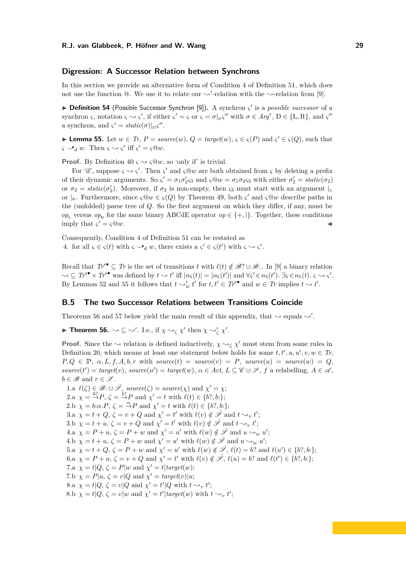## **Digression: A Successor Relation between Synchrons**

In this section we provide an alternative form of Condition [4](#page-26-3) of Definition [51,](#page-26-2) which does not use the function  $@.$  We use it to relate our  $\rightsquigarrow'$ -relation with the  $\rightsquigarrow$ -relation from [\[9\]](#page-15-6).

▶ **Definition 54** (Possible Successor Synchron [\[9\]](#page-15-6))**.** A synchron *ς* ′ is a *possible successor* of a synchron *ς*, notation  $\varsigma \sim \varsigma'$ , if either  $\varsigma' = \varsigma$  or  $\varsigma = \sigma|_{\text{D}}\varsigma''$  with  $\sigma \in Arg^*$ ,  $D \in \{L, R\}$ , and  $\varsigma''$ a synchron, and  $\varsigma' = static(\sigma)|_D \varsigma''$ .

<span id="page-28-1"></span>▶ **Lemma 55.** Let  $w \in Tr$ ,  $P = source(w)$ ,  $Q = target(w)$ ,  $\varsigma \in \varsigma(P)$  and  $\varsigma' \in \varsigma(Q)$ , such that  $\varsigma \rightarrow d$  *w*. Then  $\varsigma \rightarrow \varsigma'$  iff  $\varsigma' = \varsigma @ w$ .

**Proof.** By Definition [40](#page-22-5)  $\varsigma \rightsquigarrow \varsigma @ w$ , so 'only if' is trivial.

For 'if', suppose  $\varsigma \rightarrow \varsigma'$ . Then  $\varsigma'$  and  $\varsigma \mathbb{Q}w$  are both obtained from  $\varsigma$  by deleting a prefix of their dynamic arguments. So  $\zeta' = \sigma_1 \sigma_2' \zeta_3$  and  $\zeta \mathbb{Q} w = \sigma_1 \sigma_2 \zeta_3$  with either  $\sigma_2' = static(\sigma_2)$ or  $\sigma_2 = static(\sigma_2')$ . Moreover, if  $\sigma_2$  is non-empty, then  $\varsigma_3$  must start with an argument  $\vert_L$ or  $|_{R}$ . Furthermore, since  $\varsigma \mathbb{Q} w \in \varsigma(Q)$  by Theorem [49,](#page-24-3) both  $\varsigma'$  and  $\varsigma \mathbb{Q} w$  describe paths in the (unfolded) parse tree of *Q*. So the first argument on which they differ, if any, must be  $op_{\text{L}}$  versus  $op_{\text{R}}$  for the same binary ABCdE operator  $op \in \{+, |\}$ . Together, these conditions imply that  $\varsigma' = \varsigma @ w$ .  $\mathcal{L}' = \varsigma @w.$ 

Consequently, Condition [4](#page-26-3) of Definition [51](#page-26-2) can be restated as [4.](#page-26-3) for all  $\varsigma \in \varsigma(t)$  with  $\varsigma \smile_d w$ , there exists a  $\varsigma' \in \varsigma(t')$  with  $\varsigma \leadsto \varsigma'$ .

Recall that  $Tr^s \subseteq Tr$  is the set of transitions *t* with  $\ell(t) \notin \mathcal{B}$ ? ∪  $\mathcal{B}$ : . In [\[9\]](#page-15-6) a binary relation  $\sim \subseteq T r^{s\bullet} \times T r^{s\bullet}$  was defined by  $t \sim t'$  iff  $|n\varsigma(t)| = |n\varsigma(t')|$  and  $\forall \varsigma' \in n\varsigma(t')$ .  $\exists \varsigma \in n\varsigma(t)$ .  $\varsigma \sim \varsigma'$ . By Lemmas [52](#page-26-4) and [55](#page-28-1) it follows that  $t \sim_v' y'$  for  $t, t' \in T^{s\bullet}$  and  $w \in T_r$  implies  $t \sim t'$ .

# <span id="page-28-0"></span>**B.5 The two Successor Relations between Transitions Coincide**

Theorems [56](#page-28-2) and [57](#page-31-0) below yield the main result of this appendix, that  $\sim$  equals  $\sim'$ .

<span id="page-28-2"></span>**Find 56.**  $\rightsquigarrow \subseteq \rightsquigarrow'$ . I.e., if  $\chi \rightsquigarrow_{\zeta} \chi'$  then  $\chi \rightsquigarrow'_{\zeta} \chi'$ .

**Proof.** Since the  $\sim$  relation is defined inductively,  $\chi \sim_\zeta \chi'$  must stem from some rules in Definition [20,](#page-11-0) which means at least one statement below holds for some  $t, t', u, u', v, w \in Tr$ ,  $P, Q \in \mathbb{P}, \alpha, L, f, A, b, r$  with  $source(t) = source(v) = P$ ,  $source(u) = source(w) = Q$ ,  $source(t') = target(v)$ ,  $source(u') = target(w)$ ,  $\alpha \in Act$ ,  $L \subseteq \mathscr{C} \cup \mathscr{S}$ ,  $f$  a relabelling,  $A \in \mathscr{A}$ ,  $b \in \mathscr{B}$  and  $r \in \mathscr{S}$ .

1.a  $\ell(\zeta) \in \mathcal{B}: \cup \bar{\mathcal{S}}$ , source $(\zeta) = source(\chi)$  and  $\chi' = \chi$ ; 2.a  $\chi = \frac{b^2}{2}P$ ,  $\zeta = \frac{b^2}{2}P$  and  $\chi' = t$  with  $\ell(t) \in \{b^2, b^2\}$ ; 2.b  $\chi = b:\alpha.P, \zeta = \stackrel{\alpha}{\to}P$  and  $\chi' = t$  with  $\ell(t) \in \{b?, b:\};$ 3.a  $\chi = t + Q$ ,  $\zeta = v + Q$  and  $\chi' = t'$  with  $\ell(v) \notin \bar{\mathscr{S}}$  and  $t \sim_v t'$ ; 3.b  $\chi = t + u$ ,  $\zeta = v + Q$  and  $\chi' = t'$  with  $\ell(v) \notin \bar{\mathscr{S}}$  and  $t \sim_v t'$ ; 4.a  $\chi = P + u, \zeta = P + w$  and  $\chi' = u'$  with  $\ell(w) \notin \bar{\mathscr{S}}$  and  $u \sim_w u'$ ; 4.b  $\chi = t + u, \zeta = P + w$  and  $\chi' = u'$  with  $\ell(w) \notin \bar{\mathscr{S}}$  and  $u \rightsquigarrow_w u';$ 5.a  $\chi = t + Q$ ,  $\zeta = P + w$  and  $\chi' = u'$  with  $\ell(w) \notin \overline{\mathscr{S}}$ ,  $\ell(t) = b$ ? and  $\ell(u') \in \{b$ ?,  $b$ :}; 6.a  $\chi = P + u, \zeta = v + Q$  and  $\chi' = t'$  with  $\ell(v) \notin \overline{\mathscr{S}}, \ell(u) = b$ ? and  $\ell(t') \in \{b$ ?*, b*:}; 7.a  $\chi = t|Q, \zeta = P|w \text{ and } \chi' = t| target(w);$ 7.b  $\chi = P|u, \zeta = v|Q$  and  $\chi' = target(v)|u;$ 8.a  $\chi = t|Q, \zeta = v|Q \text{ and } \chi' = t'|Q \text{ with } t \sim_t v'$ ; 8.b  $\chi = t|Q, \zeta = v|w$  and  $\chi' = t'|target(w)$  with  $t \rightsquigarrow_v t'$ ;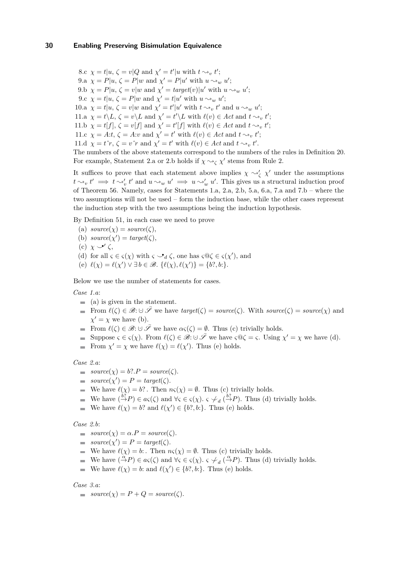8.c  $\chi = t | u, \zeta = v | Q$  and  $\chi' = t' | u$  with  $t \sim_v t'$ ; 9.a  $\chi = P|u, \zeta = P|w$  and  $\chi' = P|u'$  with  $u \rightsquigarrow_w u'$ ; 9.b  $\chi = P|u, \zeta = v|w$  and  $\chi' = target(v)|u'$  with  $u \rightsquigarrow_w u'$ ; 9.c  $\chi = t | u, \zeta = P | w$  and  $\chi' = t | u'$  with  $u \sim_w u'$ ; 10.a  $\chi = t | u, \zeta = v | w$  and  $\chi' = t' | u'$  with  $t \leadsto_v t'$  and  $u \leadsto_w u'$ ; 11.a  $\chi = t \backslash L$ ,  $\zeta = v \backslash L$  and  $\chi' = t' \backslash L$  with  $\ell(v) \in Act$  and  $t \sim_v t'$ ; 11.b  $\chi = t[f], \zeta = v[f]$  and  $\chi' = t'[f]$  with  $\ell(v) \in Act$  and  $t \sim_v t'$ ; 11.c  $\chi = A:t, \zeta = A:v \text{ and } \chi' = t' \text{ with } \ell(v) \in Act \text{ and } t \sim_v t';$ 11.d  $\chi = t\hat{r}$ ,  $\zeta = v\hat{r}$  and  $\chi' = t'$  with  $\ell(v) \in Act$  and  $t \rightarrow_v t'$ . The numbers of the above statements correspond to the numbers of the rules in Definition [20.](#page-11-0) For example, Statement [2.](#page-11-3)a or 2.b holds if  $\chi \sim_\zeta \chi'$  stems from Rule 2.

It suffices to prove that each statement above implies  $\chi \sim'_{\zeta} \chi'$  under the assumptions  $t \rightarrow v$ ,  $t' \implies t \rightarrow v'$ ,  $t'$  and  $u \rightarrow w$ ,  $u' \implies u \rightarrow v'$ ,  $u'$ . This gives us a structural induction proof of Theorem [56.](#page-28-2) Namely, cases for Statements 1.a, 2.a, 2.b, 5.a, 6.a, 7.a and 7.b – where the two assumptions will not be used – form the induction base, while the other cases represent the induction step with the two assumptions being the induction hypothesis.

By Definition [51,](#page-26-2) in each case we need to prove

- (a)  $source(\chi) = source(\zeta)$ , (b)  $source(\chi') = target(\zeta)$ ,
- 
- (c) *χ ⌣*•′ *ζ*,
- (d) for all  $\varsigma \in \varsigma(\chi)$  with  $\varsigma \circ \mathcal{A}$   $\zeta$ , one has  $\varsigma \mathcal{Q} \zeta \in \varsigma(\chi')$ , and
- (e)  $\ell(\chi) = \ell(\chi') \lor \exists b \in \mathcal{B}$ .  $\{\ell(\chi), \ell(\chi')\} = \{b?, b:\}.$

Below we use the number of statements for cases.

*Case 1.a*:

- $\qquad \qquad \bullet$  (a) is given in the statement.
- From  $\ell(\zeta) \in \mathcal{B}: \cup \overline{\mathcal{S}}$  we have  $target(\zeta) = source(\zeta)$ . With  $source(\zeta) = source(\chi)$  and  $\chi' = \chi$  we have (b).
- From  $\ell(\zeta) \in \mathcal{B}: \cup \overline{\mathcal{S}}$  we have  $\alpha_{\zeta}(\zeta) = \emptyset$ . Thus (c) trivially holds.
- Suppose  $\varsigma \in \varsigma(\chi)$ . From  $\ell(\zeta) \in \mathscr{B} : \cup \overline{\mathscr{S}}$  we have  $\varsigma \mathbb{Q} \zeta = \varsigma$ . Using  $\chi' = \chi$  we have (d).
- From  $\chi' = \chi$  we have  $\ell(\chi) = \ell(\chi')$ . Thus (e) holds.

#### *Case 2.a*:

- $\blacksquare$  *source*(*χ*) = *b*?.*P* = *source*(*ζ*).
- $source(\chi') = P = target(\zeta).$
- We have  $\ell(\chi) = b$ ?. Then  $n\varsigma(\chi) = \emptyset$ . Thus (c) trivially holds.
- We have  $\left(\frac{b_1^2}{2}P\right) \in a_{\varsigma}(\zeta)$  and  $\forall \varsigma \in \varsigma(\chi)$ *.*  $\varsigma \neq_d \left(\frac{b_1^2}{2}P\right)$ *.* Thus (d) trivially holds.
- We have  $\ell(\chi) = b$ ? and  $\ell(\chi') \in \{b$ ?*, b*:}. Thus (e) holds.

#### *Case 2.b*:

- $\blacksquare$  *source*(*χ*) =  $\alpha.P = source(\zeta)$ .
- $source(\chi') = P = target(\zeta).$
- We have  $\ell(\chi) = b$ : Then  $n\varsigma(\chi) = \emptyset$ . Thus (c) trivially holds.
- We have  $(\stackrel{\alpha}{\to} P) \in a_{\varsigma}(\zeta)$  and  $\forall \varsigma \in \varsigma(\chi)$ *.*  $\varsigma \neq a(\stackrel{\alpha}{\to} P)$ *.* Thus (d) trivially holds.
- We have  $\ell(\chi) = b$ : and  $\ell(\chi') \in \{b$ ?, *b*:}. Thus (e) holds.

#### *Case 3.a*:

 $\blacksquare$   $source(\chi) = P + Q = source(\zeta).$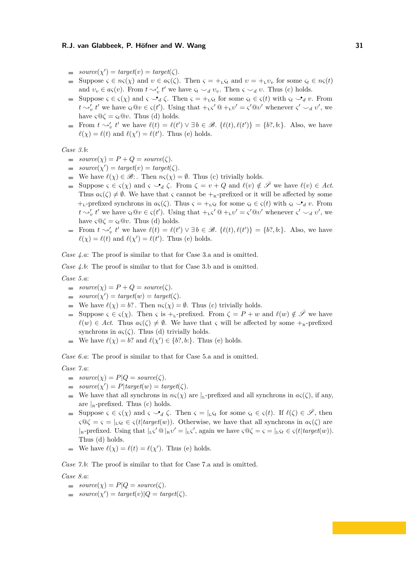- $source(\chi') = target(v) = target(\zeta).$
- Suppose  $\varsigma \in n\varsigma(\chi)$  and  $v \in a\varsigma(\zeta)$ . Then  $\varsigma = +L\varsigma_t$  and  $v = +L\nu_v$  for some  $\varsigma_t \in n\varsigma(t)$  $\sim$ and  $v_v \in a\varsigma(v)$ . From  $t \sim'_v t'$  we have  $\varsigma_t \smile_d v_v$ . Then  $\varsigma \smile_d v$ . Thus (c) holds.
- Suppose  $\varsigma \in \varsigma(\chi)$  and  $\varsigma \circ d\zeta$ . Then  $\varsigma = +L\varsigma_t$  for some  $\varsigma_t \in \varsigma(t)$  with  $\varsigma_t \circ d\zeta$ . From  $t \sim_v' t'$  we have  $\varsigma_t @ v \in \varsigma(t')$ . Using that  $+_{\text{L}} \varsigma' @ +_{\text{L}} v' = \varsigma' @ v'$  whenever  $\varsigma' \smile_d v'$ , we have  $\zeta \mathbb{Q} \zeta = \zeta_t \mathbb{Q} v$ . Thus (d) holds.
- From  $t \sim_t^{\prime} t'$  we have  $\ell(t) = \ell(t') \vee \exists b \in \mathcal{B}$ .  $\{\ell(t), \ell(t')\} = \{b^2, b^2\}$ . Also, we have  $\ell(\chi) = \ell(t)$  and  $\ell(\chi') = \ell(t')$ . Thus (e) holds.

*Case 3.b*:

- $\blacksquare$   $source(\chi) = P + Q = source(\zeta).$
- $source(\chi') = target(v) = target(\zeta).$
- We have  $\ell(\chi) \in \mathcal{B}$ : Then  $n\varsigma(\chi) = \emptyset$ . Thus (c) trivially holds.
- Suppose  $\varsigma \in \varsigma(\chi)$  and  $\varsigma \smile_d \zeta$ . From  $\zeta = v + Q$  and  $\ell(v) \notin \bar{\mathscr{S}}$  we have  $\ell(v) \in Act$ . Thus  $a_{\varsigma}(\zeta) \neq \emptyset$ . We have that  $\varsigma$  cannot be  $+_{\kappa}$ -prefixed or it will be affected by some +<sub>L</sub>-prefixed synchrons in  $a\varsigma(\zeta)$ . Thus  $\varsigma = +_L\varsigma_t$  for some  $\varsigma_t \in \varsigma(t)$  with  $\varsigma_t \smile_d v$ . From  $t \sim_v' t'$  we have  $\varsigma_t @ v \in \varsigma(t')$ . Using that  $+_{\text{L}} \varsigma' @ +_{\text{L}} v' = \varsigma' @ v'$  whenever  $\varsigma' \smile_d v'$ , we have  $\varsigma \mathcal{Q} \zeta = \varsigma_t \mathcal{Q} v$ . Thus (d) holds.
- From  $t \sim_t^{\prime} t'$  we have  $\ell(t) = \ell(t') \vee \exists b \in \mathcal{B}$ .  $\{\ell(t), \ell(t')\} = \{b^2, b^2\}$ . Also, we have  $\ell(\chi) = \ell(t)$  and  $\ell(\chi') = \ell(t')$ . Thus (e) holds.

*Case 4.a*: The proof is similar to that for Case 3.a and is omitted.

*Case 4.b*: The proof is similar to that for Case 3.b and is omitted.

*Case 5.a*:

- $\bullet$  *source*(*χ*) = *P* + *Q* = *source*(*ζ*).
- $source(\chi') = target(w) = target(\zeta).$
- We have  $\ell(\chi) = b$ ?. Then  $n\varsigma(\chi) = \emptyset$ . Thus (c) trivially holds.
- Suppose *ς* ∈ *ς*(*χ*). Then *ς* is +<sub>L</sub>-prefixed. From *ζ* = *P* + *w* and  $\ell(w) \notin \overline{S}$  we have  $\ell(w) \in \text{Act. Thus } a_{\varsigma}(\zeta) \neq \emptyset$ . We have that  $\varsigma$  will be affected by some  $+_{\kappa}$ -prefixed synchrons in  $a\varsigma(\zeta)$ . Thus (d) trivially holds.
- We have  $\ell(\chi) = b$ ? and  $\ell(\chi') \in \{b$ ?*, b*:}. Thus (e) holds.

*Case 6.a*: The proof is similar to that for Case 5.a and is omitted.

*Case 7.a*:

- $\blacksquare$   $source(\chi) = P|Q = source(\zeta).$
- $source(\chi') = P|target(w) = target(\zeta).$
- We have that all synchrons in  $n\varsigma(\chi)$  are  $|L$ -prefixed and all synchrons in  $a\varsigma(\zeta)$ , if any, are  $|R$ -prefixed. Thus (c) holds.
- Suppose  $\varsigma \in \varsigma(\chi)$  and  $\varsigma \smile_d \zeta$ . Then  $\varsigma = |_{L} \varsigma_t$  for some  $\varsigma_t \in \varsigma(t)$ . If  $\ell(\zeta) \in \bar{\mathscr{S}}$ , then  $\zeta \mathcal{Q} \zeta = \zeta = |_{L} \zeta_t \in \zeta(t | target(w))$ . Otherwise, we have that all synchrons in  $a\zeta(\zeta)$  are  $|R|_{\mathbb{R}}$ -prefixed. Using that  $|L|\zeta' \otimes |R|\psi' = |L|\zeta'$ , again we have  $\zeta \otimes \zeta = \zeta = |L|\zeta_t \in \zeta(t| \text{target}(w)).$ Thus (d) holds.
- We have  $\ell(\chi) = \ell(t) = \ell(\chi')$ . Thus (e) holds.

*Case 7.b*: The proof is similar to that for Case 7.a and is omitted.

#### *Case 8.a*:

- $\blacksquare$   $source(\chi) = P|Q = source(\zeta).$
- $source(\chi') = target(v)|Q = target(\zeta).$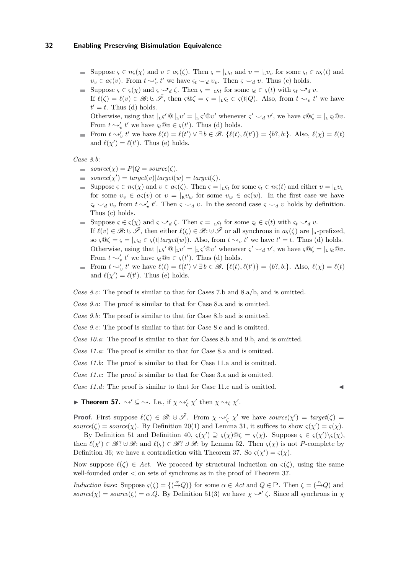- Suppose  $\varsigma \in n\varsigma(\chi)$  and  $v \in a\varsigma(\zeta)$ . Then  $\varsigma = |_{L}\varsigma_t$  and  $v = |_{L}v_v$  for some  $\varsigma_t \in n\varsigma(t)$  and  $v_v \in a\varsigma(v)$ . From  $t \sim'_v t'$  we have  $\varsigma_t \smile_d v_v$ . Then  $\varsigma \smile_d v$ . Thus (c) holds.
- Suppose  $\varsigma \in \varsigma(\chi)$  and  $\varsigma \circ \mathcal{A}_d \zeta$ . Then  $\varsigma = |_{L} \varsigma_t$  for some  $\varsigma_t \in \varsigma(t)$  with  $\varsigma_t \circ \mathcal{A}_d v$ .
- If  $\ell(\zeta) = \ell(v) \in \mathcal{B} : \cup \overline{\mathcal{S}}$ , then  $\zeta \mathbb{Q} \zeta = \zeta = |_{L} \zeta_t \in \zeta(t|Q)$ . Also, from  $t \leadsto_v t'$  we have  $t' = t$ . Thus (d) holds.

Otherwise, using that  $\vert L \zeta' \mathcal{Q} \vert_L v' = \vert L \zeta' \mathcal{Q} v'$  whenever  $\zeta' \smile_d v'$ , we have  $\zeta \mathcal{Q} \zeta = \vert L \zeta_t \mathcal{Q} v$ . From  $t \sim'_v t'$  we have  $\varsigma_t @ v \in \varsigma(t')$ . Thus (d) holds.

From  $t \sim_v' t'$  we have  $\ell(t) = \ell(t') \vee \exists b \in \mathcal{B}$ .  $\{\ell(t), \ell(t')\} = \{b$ ?,  $b$ :}. Also,  $\ell(\chi) = \ell(t)$ and  $\ell(\chi') = \ell(t')$ . Thus (e) holds.

```
Case 8.b:
```
- $\bullet$  *source*(*χ*) = *P*| $Q = source(\zeta)$ .
- $source(\chi') = target(v)|target(w) = target(\zeta).$
- Suppose  $\varsigma \in n\varsigma(\chi)$  and  $v \in a\varsigma(\zeta)$ . Then  $\varsigma = |_{L}\varsigma_t$  for some  $\varsigma_t \in n\varsigma(t)$  and either  $v = |_{L}v_v$ for some  $v_v \in a\varsigma(v)$  or  $v = |_{\mathbb{R}}v_w$  for some  $v_w \in a\varsigma(w)$ . In the first case we have  $\zeta_t \smile_d v_v$  from  $t \rightsquigarrow_v' t'$ . Then  $\zeta \smile_d v$ . In the second case  $\zeta \smile_d v$  holds by definition. Thus (c) holds.
- Suppose  $\varsigma \in \varsigma(\chi)$  and  $\varsigma \circ \mathcal{A}$   $\zeta$ . Then  $\varsigma = |_{L} \varsigma_t$  for some  $\varsigma_t \in \varsigma(t)$  with  $\varsigma_t \circ \mathcal{A}$  *v*. If  $\ell(v) \in \mathscr{B}$ :  $\cup \overline{\mathscr{S}}$ , then either  $\ell(\zeta) \in \mathscr{B}$ :  $\cup \overline{\mathscr{S}}$  or all synchrons in  $a\varsigma(\zeta)$  are  $|_{\mathbb{R}}$ -prefixed, so  $\zeta \circ \zeta = \zeta = |_{L} \zeta_t \in \zeta(t | target(w))$ . Also, from  $t \leadsto_v t'$  we have  $t' = t$ . Thus (d) holds. Otherwise, using that  $\vert_{L}\zeta' @ \vert_{L} \upsilon' = \vert_{L}\zeta' @ \upsilon'$  whenever  $\zeta' \smile_d v'$ , we have  $\zeta @ \zeta = \vert_{L}\zeta_t @ \upsilon$ . From  $t \sim'_v t'$  we have  $\varsigma_t @ v \in \varsigma(t')$ . Thus (d) holds.
- From  $t \sim_v' t'$  we have  $\ell(t) = \ell(t') \vee \exists b \in \mathcal{B}$ .  $\{\ell(t), \ell(t')\} = \{b$ ?,  $b$ :}. Also,  $\ell(\chi) = \ell(t)$ and  $\ell(\chi') = \ell(t')$ . Thus (e) holds.

*Case 8.c*: The proof is similar to that for Cases 7.b and 8.a/b, and is omitted.

*Case 9.a*: The proof is similar to that for Case 8.a and is omitted.

*Case 9.b*: The proof is similar to that for Case 8.b and is omitted.

*Case 9.c*: The proof is similar to that for Case 8.c and is omitted.

*Case 10.a*: The proof is similar to that for Cases 8.b and 9.b, and is omitted.

*Case 11.a*: The proof is similar to that for Case 8.a and is omitted.

*Case 11.b*: The proof is similar to that for Case 11.a and is omitted.

*Case 11.c*: The proof is similar to that for Case 3.a and is omitted.

*Case 11.d*: The proof is similar to that for Case 11.c and is omitted.

<span id="page-31-0"></span>**Fineorem 57.**  $\rightsquigarrow' \subseteq \rightsquigarrow$ . I.e., if  $\chi \rightsquigarrow'_{\zeta} \chi'$  then  $\chi \rightsquigarrow_{\zeta} \chi'$ .

**Proof.** First suppose  $\ell(\zeta) \in \mathcal{B}: \cup \overline{\mathcal{S}}$ . From  $\chi \sim'_\zeta \chi'$  we have source $(\chi') = \text{target}(\zeta) =$  $source(\zeta) = source(\chi)$ . By Definition [20\(](#page-11-0)1) and Lemma [31,](#page-20-1) it suffices to show  $\zeta(\chi') = \zeta(\chi)$ .

By Definition [51](#page-26-2) and Definition [40,](#page-22-5)  $\varsigma(\chi') \supseteq \varsigma(\chi) \mathbb{Q} \zeta = \varsigma(\chi)$ . Suppose  $\varsigma \in \varsigma(\chi') \setminus \varsigma(\chi)$ , then  $\ell(\chi') \in \mathscr{B}$ ? ∪ $\mathscr{B}$ : and  $\ell(\varsigma) \in \mathscr{B}$ ? ∪ $\mathscr{B}$ : by Lemma [52.](#page-26-4) Then  $\varsigma(\chi)$  is not *P*-complete by Definition [36;](#page-22-1) we have a contradiction with Theorem [37.](#page-22-2) So  $\varsigma(\chi') = \varsigma(\chi)$ .

Now suppose  $\ell(\zeta) \in \text{Act.}$  We proceed by structural induction on  $\zeta(\zeta)$ , using the same well-founded order *<* on sets of synchrons as in the proof of Theorem [37.](#page-22-2)

*Induction base:* Suppose  $\varsigma(\zeta) = \{(\overset{\alpha}{\to} Q)\}$  for some  $\alpha \in Act$  and  $Q \in \mathbb{P}$ . Then  $\zeta = (\overset{\alpha}{\to} Q)$  and *source*( $\chi$ ) = *source*( $\zeta$ ) =  $\alpha$ . Q. By Definition [51\(](#page-26-2)[3\)](#page-26-5) we have  $\chi \rightarrow' \zeta$ . Since all synchrons in  $\chi$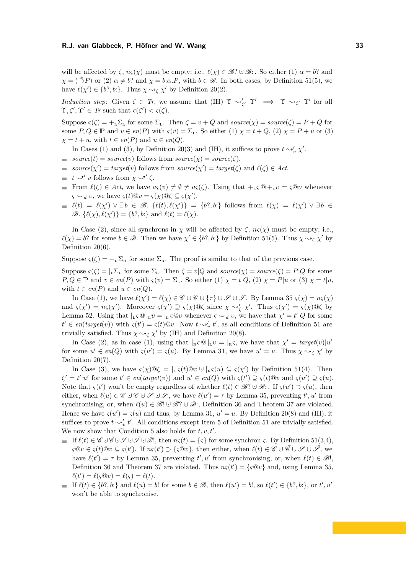will be affected by  $\zeta$ ,  $n\zeta(\chi)$  must be empty; i.e.,  $\ell(\chi) \in \mathscr{B}$ ?  $\cup \mathscr{B}$ : . So either (1)  $\alpha = b$ ? and  $\chi = (\stackrel{\alpha}{\to} P)$  or (2)  $\alpha \neq b$ ? and  $\chi = b$ : $\alpha.P$ , with  $b \in \mathscr{B}$ . In both cases, by Definition [51](#page-26-2)[\(5\)](#page-26-1), we have  $\ell(\chi') \in \{b$ ?, *b*:}. Thus  $\chi \sim_{\zeta} \chi'$  by Definition [20\(](#page-11-0)2).

*Induction step*: Given  $\zeta \in Tr$ , we assume that (IH)  $\Upsilon \sim'_{\zeta'} \Upsilon' \implies \Upsilon \sim_{\zeta'} \Upsilon'$  for all  $\Upsilon, \zeta', \Upsilon' \in \mathit{Tr} \text{ such that } \zeta(\zeta') < \zeta(\zeta).$ 

Suppose  $\varsigma(\zeta) = +_L \Sigma_L$  for some  $\Sigma_L$ . Then  $\zeta = v + Q$  and  $source(\chi) = source(\zeta) = P + Q$  for some  $P, Q \in \mathbb{P}$  and  $v \in en(P)$  with  $\varsigma(v) = \Sigma_L$ . So either (1)  $\chi = t + Q$ , (2)  $\chi = P + u$  or (3)  $\chi = t + u$ , with  $t \in en(P)$  and  $u \in en(Q)$ .

In Cases (1) and (3), by Definition [20\(](#page-11-0)3) and (IH), it suffices to prove  $t \sim_v' \chi'$ .

- *source*(*t*) = *source*(*v*) follows from *source*( $\chi$ ) = *source*( $\zeta$ ).
- $source(\chi') = target(v)$  follows from  $source(\chi') = target(\zeta)$  and  $\ell(\zeta) \in Act$ .  $\equiv$
- *t*  $\overline{\phantom{a}}$  *v* follows from  $\chi \overline{\phantom{a}}$  *ζ*.
- From  $\ell(\zeta) \in \text{Act}$ , we have  $a\varsigma(v) \neq \emptyset \neq a\varsigma(\zeta)$ . Using that  $+_{\mathsf{L}\zeta}\mathbb{Q} +_{\mathsf{L}}v = \varsigma\mathbb{Q}v$  whenever  $\varsigma \smile_d v$ , we have  $\varsigma(t) @v = \varsigma(\chi) @ \zeta \subseteq \varsigma(\chi').$
- $\ell(t) = \ell(\chi') \vee \exists b \in \mathscr{B}$ .  $\{\ell(t), \ell(\chi')\} = \{b$ ?, *b*:} follows from  $\ell(\chi) = \ell(\chi') \vee \exists b \in \mathscr{B}$ .  $\mathscr{B}. \{ \ell(\chi), \ell(\chi') \} = \{ b$ ?, *b*:} and  $\ell(t) = \ell(\chi)$ .

In Case (2), since all synchrons in *χ* will be affected by  $\zeta$ ,  $n\zeta(\chi)$  must be empty; i.e.,  $\ell(\chi) = b$ ? for some  $b \in \mathcal{B}$ . Then we have  $\chi' \in \{b$ ?*, b*:} by Definition [51](#page-26-2)[\(5\)](#page-26-1). Thus  $\chi \rightsquigarrow_{\zeta} \chi'$  by Definition  $20(6)$ .

Suppose  $\zeta(\zeta) = +_{R} \Sigma_{R}$  for some  $\Sigma_{R}$ . The proof is similar to that of the previous case.

Suppose  $\varsigma(\zeta) = |L\Sigma_L|$  for some  $\Sigma_L$ . Then  $\zeta = v|Q$  and  $source(\chi) = source(\zeta) = P|Q$  for some  $P, Q \in \mathbb{P}$  and  $v \in en(P)$  with  $\varsigma(v) = \Sigma_L$ . So either (1)  $\chi = t|Q, (2) \chi = P|u$  or (3)  $\chi = t|u$ , with  $t \in en(P)$  and  $u \in en(Q)$ .

In Case (1), we have  $\ell(\chi') = \ell(\chi) \in \mathscr{C} \cup \overline{\mathscr{C}} \cup \{\tau\} \cup \mathscr{S} \cup \overline{\mathscr{S}}$ . By Lemma [35](#page-22-0)  $\varsigma(\chi) = n\varsigma(\chi)$ and  $\varsigma(\chi') = n\varsigma(\chi')$ . Moreover  $\varsigma(\chi') \supseteq \varsigma(\chi) \otimes \zeta$  since  $\chi \rightsquigarrow'_{\zeta} \chi'$ . Thus  $\varsigma(\chi') = \varsigma(\chi) \otimes \zeta$  by Lemma [52.](#page-26-4) Using that  $|_L \varsigma \otimes |_L v = |_L \varsigma \otimes v$  whenever  $\varsigma \smile_d v$ , we have that  $\chi' = t' | Q$  for some  $t' \in en(target(v))$  with  $\varsigma(t') = \varsigma(t) @v$ . Now  $t \sim'_v t'$ , as all conditions of Definition [51](#page-26-2) are trivially satisfied. Thus  $\chi \sim_{\zeta} \chi'$  by (IH) and Definition [20\(](#page-11-0)8).

In Case (2), as in case (1), using that  $|R \circ \mathbb{Q}|_L v = |R \circ \mathbb{Q}|$ , we have that  $\chi' = \text{target}(v) |u'$ for some  $u' \in en(Q)$  with  $\varsigma(u') = \varsigma(u)$ . By Lemma [31,](#page-20-1) we have  $u' = u$ . Thus  $\chi \rightsquigarrow_{\zeta} \chi'$  by Definition  $20(7)$ .

In Case (3), we have  $\varsigma(\chi) \mathbb{Q} \zeta = |_{L} \varsigma(t) \mathbb{Q} v \cup |_{R} \varsigma(u) \subseteq \varsigma(\chi')$  by Definition [51\(](#page-26-2)[4\)](#page-26-3). Then  $\zeta' = t'|u'$  for some  $t' \in en(target(v))$  and  $u' \in en(Q)$  with  $\zeta(t') \supseteq \zeta(t) @v$  and  $\zeta(u') \supseteq \zeta(u)$ . Note that  $\varsigma(t')$  won't be empty regardless of whether  $\ell(t) \in \mathscr{B}$ ?  $\cup \mathscr{B}$ : . If  $\varsigma(u') \supset \varsigma(u)$ , then either, when  $\ell(u) \in \mathscr{C} \cup \overline{\mathscr{C}} \cup \mathscr{S} \cup \overline{\mathscr{S}}$ , we have  $\ell(u') = \tau$  by Lemma [35,](#page-22-0) preventing  $t', u'$  from synchronising, or, when  $\ell(u) \in \mathcal{B}! \cup \mathcal{B}! \cup \mathcal{B}!$ ; Definition [36](#page-22-1) and Theorem [37](#page-22-2) are violated. Hence we have  $\varsigma(u') = \varsigma(u)$  and thus, by Lemma [31,](#page-20-1)  $u' = u$ . By Definition [20\(](#page-11-0)8) and (IH), it suffices to prove  $t \sim'_v t'$ . All conditions except Item [5](#page-26-1) of Definition [51](#page-26-2) are trivially satisfied. We now show that Condition [5](#page-26-1) also holds for  $t, v, t'$ .

- **If**  $\ell(t) \in \mathscr{C} \cup \overline{\mathscr{C}} \cup \mathscr{S} \cup \overline{\mathscr{S}} \cup \overline{\mathscr{S}}$ !, then  $n\varsigma(t) = {\varsigma}$  for some synchron  $\varsigma$ . By Definition [51\(](#page-26-2)[3,](#page-26-5)[4\)](#page-26-3),  $\varsigma \t0$ *v* ∈  $\varsigma(t)$   $\t0$ *v* ⊆  $\varsigma(t')$ . If *nς*(*t*<sup> $\prime$ </sup>) ⊃ { $\varsigma$   $\t0$ *v*}, then either, when  $\ell(t) \in \mathscr{C} \cup \overline{\mathscr{C}} \cup \mathscr{S} \cup \overline{\mathscr{S}}$ , we have  $\ell(t') = \tau$  by Lemma [35,](#page-22-0) preventing  $t', u'$  from synchronising, or, when  $\ell(t) \in \mathcal{B}$ !, Definition [36](#page-22-1) and Theorem [37](#page-22-2) are violated. Thus  $n\varsigma(t') = {\varsigma \mathbb{Q}v}$  and, using Lemma [35,](#page-22-0)  $\ell(t') = \ell(\varsigma \mathbf{Q} v) = \ell(\varsigma) = \ell(t).$
- If  $\ell(t) \in \{b$ ?, *b*: $\}$  and  $\ell(u) = b!$  for some  $b \in \mathcal{B}$ , then  $\ell(u') = b!$ , so  $\ell(t') \in \{b$ ?, *b*: $\}$ , or  $t'$ ,  $u'$ won't be able to synchronise.